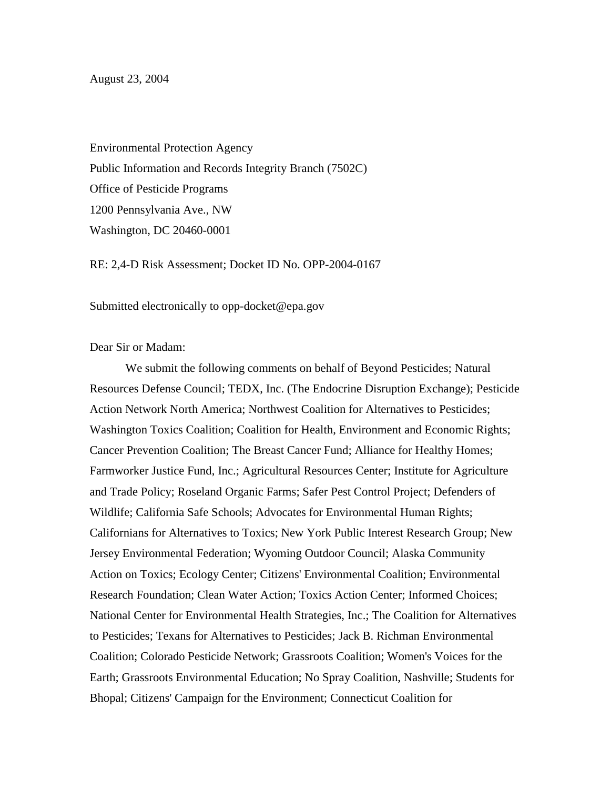August 23, 2004

Environmental Protection Agency Public Information and Records Integrity Branch (7502C) Office of Pesticide Programs 1200 Pennsylvania Ave., NW Washington, DC 20460-0001

RE: 2,4-D Risk Assessment; Docket ID No. OPP-2004-0167

Submitted electronically to opp-docket@epa.gov

Dear Sir or Madam:

We submit the following comments on behalf of Beyond Pesticides; Natural Resources Defense Council; TEDX, Inc. (The Endocrine Disruption Exchange); Pesticide Action Network North America; Northwest Coalition for Alternatives to Pesticides; Washington Toxics Coalition; Coalition for Health, Environment and Economic Rights; Cancer Prevention Coalition; The Breast Cancer Fund; Alliance for Healthy Homes; Farmworker Justice Fund, Inc.; Agricultural Resources Center; Institute for Agriculture and Trade Policy; Roseland Organic Farms; Safer Pest Control Project; Defenders of Wildlife; California Safe Schools; Advocates for Environmental Human Rights; Californians for Alternatives to Toxics; New York Public Interest Research Group; New Jersey Environmental Federation; Wyoming Outdoor Council; Alaska Community Action on Toxics; Ecology Center; Citizens' Environmental Coalition; Environmental Research Foundation; Clean Water Action; Toxics Action Center; Informed Choices; National Center for Environmental Health Strategies, Inc.; The Coalition for Alternatives to Pesticides; Texans for Alternatives to Pesticides; Jack B. Richman Environmental Coalition; Colorado Pesticide Network; Grassroots Coalition; Women's Voices for the Earth; Grassroots Environmental Education; No Spray Coalition, Nashville; Students for Bhopal; Citizens' Campaign for the Environment; Connecticut Coalition for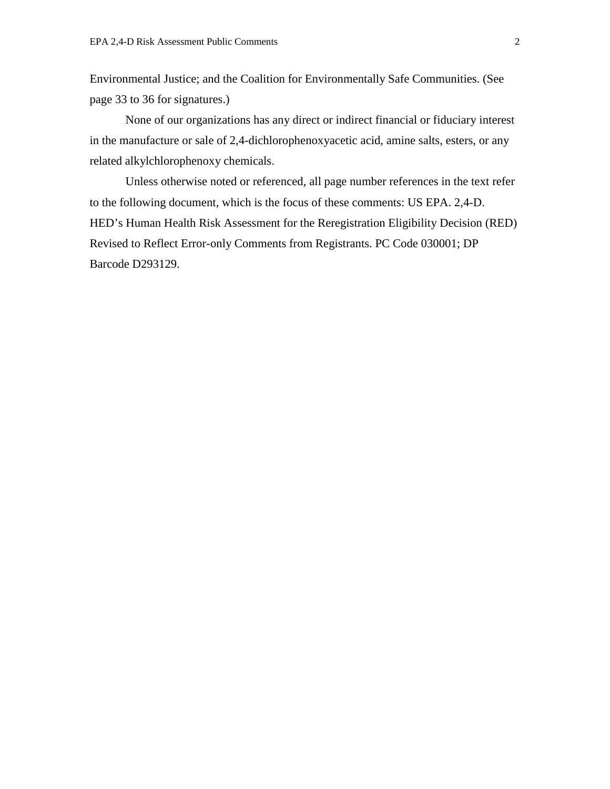Environmental Justice; and the Coalition for Environmentally Safe Communities. (See page 33 to 36 for signatures.)

None of our organizations has any direct or indirect financial or fiduciary interest in the manufacture or sale of 2,4-dichlorophenoxyacetic acid, amine salts, esters, or any related alkylchlorophenoxy chemicals.

Unless otherwise noted or referenced, all page number references in the text refer to the following document, which is the focus of these comments: US EPA. 2,4-D. HED's Human Health Risk Assessment for the Reregistration Eligibility Decision (RED) Revised to Reflect Error-only Comments from Registrants. PC Code 030001; DP Barcode D293129.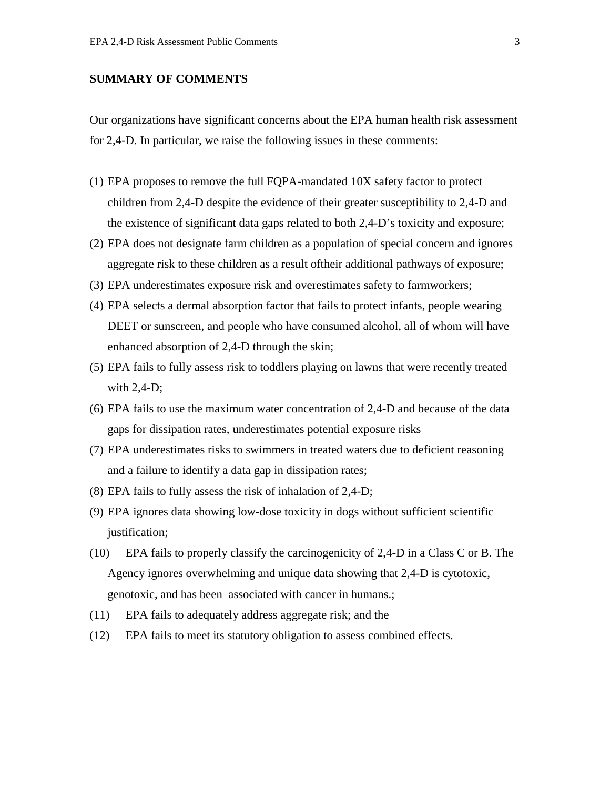## **SUMMARY OF COMMENTS**

Our organizations have significant concerns about the EPA human health risk assessment for 2,4-D. In particular, we raise the following issues in these comments:

- (1) EPA proposes to remove the full FQPA-mandated 10X safety factor to protect children from 2,4-D despite the evidence of their greater susceptibility to 2,4-D and the existence of significant data gaps related to both 2,4-D's toxicity and exposure;
- (2) EPA does not designate farm children as a population of special concern and ignores aggregate risk to these children as a result oftheir additional pathways of exposure;
- (3) EPA underestimates exposure risk and overestimates safety to farmworkers;
- (4) EPA selects a dermal absorption factor that fails to protect infants, people wearing DEET or sunscreen, and people who have consumed alcohol, all of whom will have enhanced absorption of 2,4-D through the skin;
- (5) EPA fails to fully assess risk to toddlers playing on lawns that were recently treated with  $2,4$ -D;
- (6) EPA fails to use the maximum water concentration of 2,4-D and because of the data gaps for dissipation rates, underestimates potential exposure risks
- (7) EPA underestimates risks to swimmers in treated waters due to deficient reasoning and a failure to identify a data gap in dissipation rates;
- (8) EPA fails to fully assess the risk of inhalation of 2,4-D;
- (9) EPA ignores data showing low-dose toxicity in dogs without sufficient scientific justification;
- (10) EPA fails to properly classify the carcinogenicity of 2,4-D in a Class C or B. The Agency ignores overwhelming and unique data showing that 2,4-D is cytotoxic, genotoxic, and has been associated with cancer in humans.;
- (11) EPA fails to adequately address aggregate risk; and the
- (12) EPA fails to meet its statutory obligation to assess combined effects.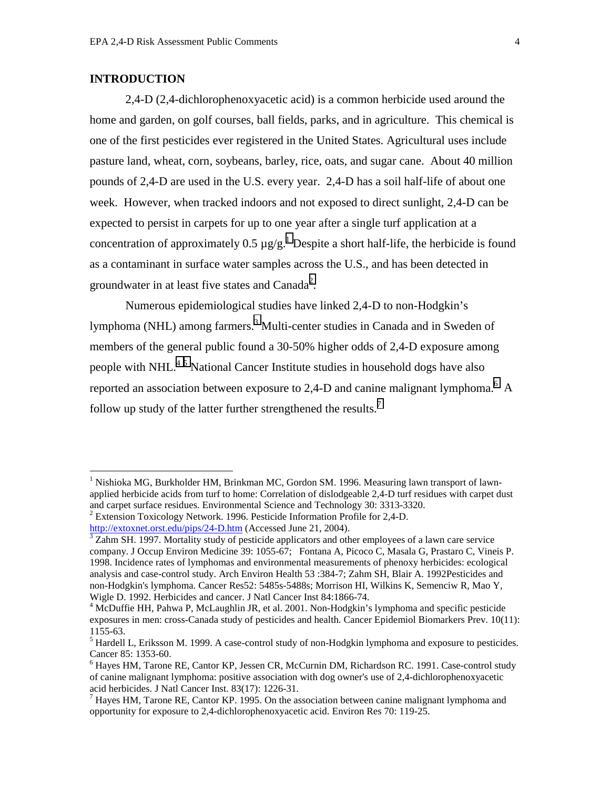# **INTRODUCTION**

 $\overline{a}$ 

2,4-D (2,4-dichlorophenoxyacetic acid) is a common herbicide used around the home and garden, on golf courses, ball fields, parks, and in agriculture. This chemical is one of the first pesticides ever registered in the United States. Agricultural uses include pasture land, wheat, corn, soybeans, barley, rice, oats, and sugar cane. About 40 million pounds of 2,4-D are used in the U.S. every year. 2,4-D has a soil half-life of about one week. However, when tracked indoors and not exposed to direct sunlight, 2,4-D can be expected to persist in carpets for up to one year after a single turf application at a concentration of approximately 0.5  $\mu$ g/g.<sup>1</sup> Despite a short half-life, the herbicide is found as a contaminant in surface water samples across the U.S., and has been detected in groundwater in at least five states and Canada<sup>2</sup>.

Numerous epidemiological studies have linked 2,4-D to non-Hodgkin's lymphoma (NHL) among farmers.<sup>3</sup> Multi-center studies in Canada and in Sweden of members of the general public found a 30-50% higher odds of 2,4-D exposure among people with NHL.<sup>45</sup> National Cancer Institute studies in household dogs have also reported an association between exposure to 2,4-D and canine malignant lymphoma.<sup>6</sup> A follow up study of the latter further strengthened the results.<sup>7</sup>

<sup>&</sup>lt;sup>1</sup> Nishioka MG, Burkholder HM, Brinkman MC, Gordon SM. 1996. Measuring lawn transport of lawnapplied herbicide acids from turf to home: Correlation of dislodgeable 2,4-D turf residues with carpet dust and carpet surface residues. Environmental Science and Technology 30: 3313-3320. <sup>2</sup> Extension Toxicology Network. 1996. Pesticide Information Profile for 2,4-D.

http://extoxnet.orst.edu/pips/24-D.htm (Accessed June 21, 2004).

 $3$  Zahm SH. 1997. Mortality study of pesticide applicators and other employees of a lawn care service company. J Occup Environ Medicine 39: 1055-67; Fontana A, Picoco C, Masala G, Prastaro C, Vineis P. 1998. Incidence rates of lymphomas and environmental measurements of phenoxy herbicides: ecological analysis and case-control study. Arch Environ Health 53 :384-7; Zahm SH, Blair A. 1992Pesticides and non-Hodgkin's lymphoma. Cancer Res52: 5485s-5488s; Morrison HI, Wilkins K, Semenciw R, Mao Y, Wigle D. 1992. Herbicides and cancer. J Natl Cancer Inst 84:1866-74.

<sup>&</sup>lt;sup>4</sup> McDuffie HH, Pahwa P, McLaughlin JR, et al. 2001. Non-Hodgkin's lymphoma and specific pesticide exposures in men: cross-Canada study of pesticides and health. Cancer Epidemiol Biomarkers Prev. 10(11): 1155-63.

<sup>&</sup>lt;sup>5</sup> Hardell L, Eriksson M. 1999. A case-control study of non-Hodgkin lymphoma and exposure to pesticides. Cancer 85: 1353-60.

<sup>&</sup>lt;sup>6</sup> Hayes HM, Tarone RE, Cantor KP, Jessen CR, McCurnin DM, Richardson RC. 1991. Case-control study of canine malignant lymphoma: positive association with dog owner's use of 2,4-dichlorophenoxyacetic acid herbicides. J Natl Cancer Inst. 83(17): 1226-31.

 $<sup>7</sup>$  Hayes HM, Tarone RE, Cantor KP. 1995. On the association between canine malignant lymphoma and</sup> opportunity for exposure to 2,4-dichlorophenoxyacetic acid. Environ Res 70: 119-25.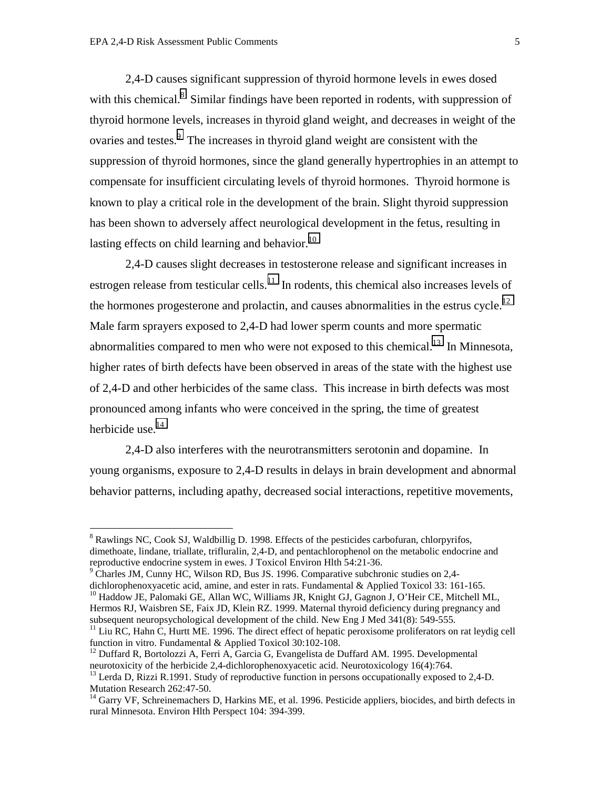$\overline{a}$ 

 2,4-D causes significant suppression of thyroid hormone levels in ewes dosed with this chemical.<sup>8</sup> Similar findings have been reported in rodents, with suppression of thyroid hormone levels, increases in thyroid gland weight, and decreases in weight of the ovaries and testes.<sup>9</sup> The increases in thyroid gland weight are consistent with the suppression of thyroid hormones, since the gland generally hypertrophies in an attempt to compensate for insufficient circulating levels of thyroid hormones. Thyroid hormone is known to play a critical role in the development of the brain. Slight thyroid suppression has been shown to adversely affect neurological development in the fetus, resulting in lasting effects on child learning and behavior.<sup>10</sup>

2,4-D causes slight decreases in testosterone release and significant increases in estrogen release from testicular cells.<sup>11</sup> In rodents, this chemical also increases levels of the hormones progesterone and prolactin, and causes abnormalities in the estrus cycle.<sup>12</sup> Male farm sprayers exposed to 2,4-D had lower sperm counts and more spermatic abnormalities compared to men who were not exposed to this chemical.<sup>13</sup> In Minnesota, higher rates of birth defects have been observed in areas of the state with the highest use of 2,4-D and other herbicides of the same class. This increase in birth defects was most pronounced among infants who were conceived in the spring, the time of greatest herbicide use.<sup>14</sup>

2,4-D also interferes with the neurotransmitters serotonin and dopamine. In young organisms, exposure to 2,4-D results in delays in brain development and abnormal behavior patterns, including apathy, decreased social interactions, repetitive movements,

<sup>&</sup>lt;sup>8</sup> Rawlings NC, Cook SJ, Waldbillig D. 1998. Effects of the pesticides carbofuran, chlorpyrifos, dimethoate, lindane, triallate, trifluralin, 2,4-D, and pentachlorophenol on the metabolic endocrine and reproductive endocrine system in ewes. J Toxicol Environ Hlth 54:21-36.

 $9^9$  Charles JM, Cunny HC, Wilson RD, Bus JS. 1996. Comparative subchronic studies on 2,4-

dichlorophenoxyacetic acid, amine, and ester in rats. Fundamental & Applied Toxicol 33: 161-165.

<sup>&</sup>lt;sup>10</sup> Haddow JE, Palomaki GE, Allan WC, Williams JR, Knight GJ, Gagnon J, O'Heir CE, Mitchell ML, Hermos RJ, Waisbren SE, Faix JD, Klein RZ. 1999. Maternal thyroid deficiency during pregnancy and subsequent neuropsychological development of the child. New Eng J Med 341(8): 549-555.

<sup>&</sup>lt;sup>11</sup> Liu RC, Hahn C, Hurtt ME. 1996. The direct effect of hepatic peroxisome proliferators on rat leydig cell function in vitro. Fundamental & Applied Toxicol 30:102-108.

 $12$  Duffard R, Bortolozzi A, Ferri A, Garcia G, Evangelista de Duffard AM. 1995. Developmental neurotoxicity of the herbicide 2,4-dichlorophenoxyacetic acid. Neurotoxicology 16(4):764.

<sup>&</sup>lt;sup>13</sup> Lerda D, Rizzi R.1991. Study of reproductive function in persons occupationally exposed to 2,4-D. Mutation Research 262:47-50.

<sup>&</sup>lt;sup>14</sup> Garry VF, Schreinemachers D, Harkins ME, et al. 1996. Pesticide appliers, biocides, and birth defects in rural Minnesota. Environ Hlth Perspect 104: 394-399.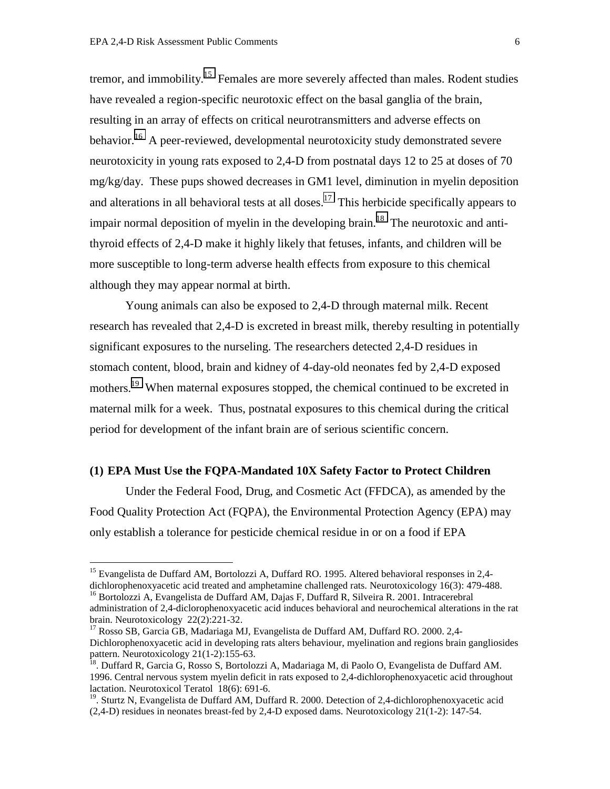$\overline{a}$ 

tremor, and immobility.<sup>15</sup> Females are more severely affected than males. Rodent studies have revealed a region-specific neurotoxic effect on the basal ganglia of the brain, resulting in an array of effects on critical neurotransmitters and adverse effects on behavior.<sup>16</sup> A peer-reviewed, developmental neurotoxicity study demonstrated severe neurotoxicity in young rats exposed to 2,4-D from postnatal days 12 to 25 at doses of 70 mg/kg/day. These pups showed decreases in GM1 level, diminution in myelin deposition and alterations in all behavioral tests at all doses.<sup>17</sup> This herbicide specifically appears to impair normal deposition of myelin in the developing brain.<sup>18</sup> The neurotoxic and antithyroid effects of 2,4-D make it highly likely that fetuses, infants, and children will be more susceptible to long-term adverse health effects from exposure to this chemical although they may appear normal at birth.

 Young animals can also be exposed to 2,4-D through maternal milk. Recent research has revealed that 2,4-D is excreted in breast milk, thereby resulting in potentially significant exposures to the nurseling. The researchers detected 2,4-D residues in stomach content, blood, brain and kidney of 4-day-old neonates fed by 2,4-D exposed mothers.<sup>19</sup> When maternal exposures stopped, the chemical continued to be excreted in maternal milk for a week. Thus, postnatal exposures to this chemical during the critical period for development of the infant brain are of serious scientific concern.

# **(1) EPA Must Use the FQPA-Mandated 10X Safety Factor to Protect Children**

Under the Federal Food, Drug, and Cosmetic Act (FFDCA), as amended by the Food Quality Protection Act (FQPA), the Environmental Protection Agency (EPA) may only establish a tolerance for pesticide chemical residue in or on a food if EPA

<sup>&</sup>lt;sup>15</sup> Evangelista de Duffard AM, Bortolozzi A, Duffard RO. 1995. Altered behavioral responses in 2,4dichlorophenoxyacetic acid treated and amphetamine challenged rats. Neurotoxicology 16(3): 479-488.

<sup>&</sup>lt;sup>16</sup> Bortolozzi A, Evangelista de Duffard AM, Dajas F, Duffard R, Silveira R. 2001. Intracerebral administration of 2,4-diclorophenoxyacetic acid induces behavioral and neurochemical alterations in the rat brain. Neurotoxicology 22(2):221-32.

<sup>&</sup>lt;sup>17</sup> Rosso SB, Garcia GB, Madariaga MJ, Evangelista de Duffard AM, Duffard RO. 2000. 2,4-Dichlorophenoxyacetic acid in developing rats alters behaviour, myelination and regions brain gangliosides pattern. Neurotoxicology 21(1-2):155-63.<br><sup>18</sup>. Duffard R, Garcia G, Rosso S, Bortolozzi A, Madariaga M, di Paolo O, Evangelista de Duffard AM.

<sup>1996.</sup> Central nervous system myelin deficit in rats exposed to 2,4-dichlorophenoxyacetic acid throughout lactation. Neurotoxicol Teratol 18(6): 691-6.

<sup>&</sup>lt;sup>19</sup>. Sturtz N, Evangelista de Duffard AM, Duffard R. 2000. Detection of 2,4-dichlorophenoxyacetic acid (2,4-D) residues in neonates breast-fed by 2,4-D exposed dams. Neurotoxicology 21(1-2): 147-54.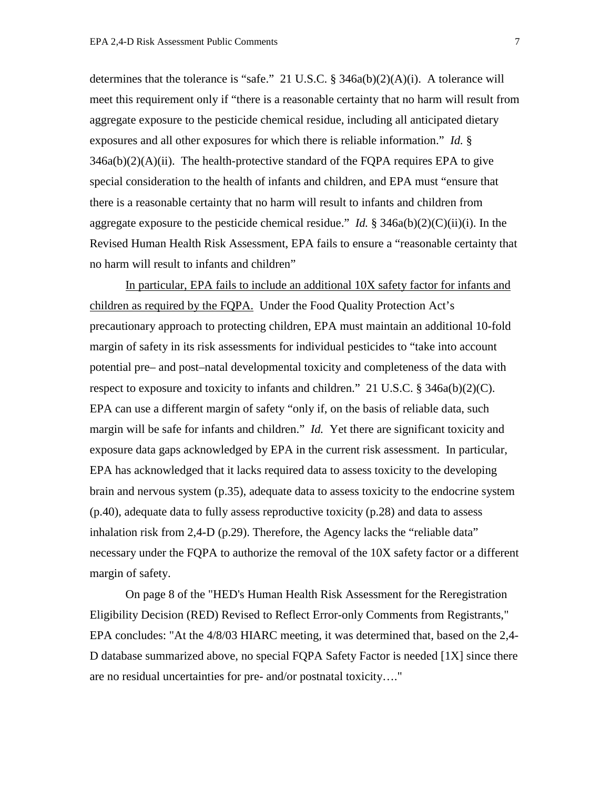determines that the tolerance is "safe." 21 U.S.C.  $\S$  346a(b)(2)(A)(i). A tolerance will meet this requirement only if "there is a reasonable certainty that no harm will result from aggregate exposure to the pesticide chemical residue, including all anticipated dietary exposures and all other exposures for which there is reliable information." *Id.* §  $346a(b)(2)(A)(ii)$ . The health-protective standard of the FQPA requires EPA to give special consideration to the health of infants and children, and EPA must "ensure that there is a reasonable certainty that no harm will result to infants and children from aggregate exposure to the pesticide chemical residue." *Id.* §  $346a(b)(2)(C)(ii)(i)$ . In the Revised Human Health Risk Assessment, EPA fails to ensure a "reasonable certainty that no harm will result to infants and children"

In particular, EPA fails to include an additional 10X safety factor for infants and children as required by the FQPA. Under the Food Quality Protection Act's precautionary approach to protecting children, EPA must maintain an additional 10-fold margin of safety in its risk assessments for individual pesticides to "take into account potential pre– and post–natal developmental toxicity and completeness of the data with respect to exposure and toxicity to infants and children." 21 U.S.C. § 346a(b)(2)(C). EPA can use a different margin of safety "only if, on the basis of reliable data, such margin will be safe for infants and children." *Id.* Yet there are significant toxicity and exposure data gaps acknowledged by EPA in the current risk assessment. In particular, EPA has acknowledged that it lacks required data to assess toxicity to the developing brain and nervous system (p.35), adequate data to assess toxicity to the endocrine system (p.40), adequate data to fully assess reproductive toxicity (p.28) and data to assess inhalation risk from 2,4-D (p.29). Therefore, the Agency lacks the "reliable data" necessary under the FQPA to authorize the removal of the 10X safety factor or a different margin of safety.

On page 8 of the "HED's Human Health Risk Assessment for the Reregistration Eligibility Decision (RED) Revised to Reflect Error-only Comments from Registrants," EPA concludes: "At the 4/8/03 HIARC meeting, it was determined that, based on the 2,4- D database summarized above, no special FQPA Safety Factor is needed [1X] since there are no residual uncertainties for pre- and/or postnatal toxicity…."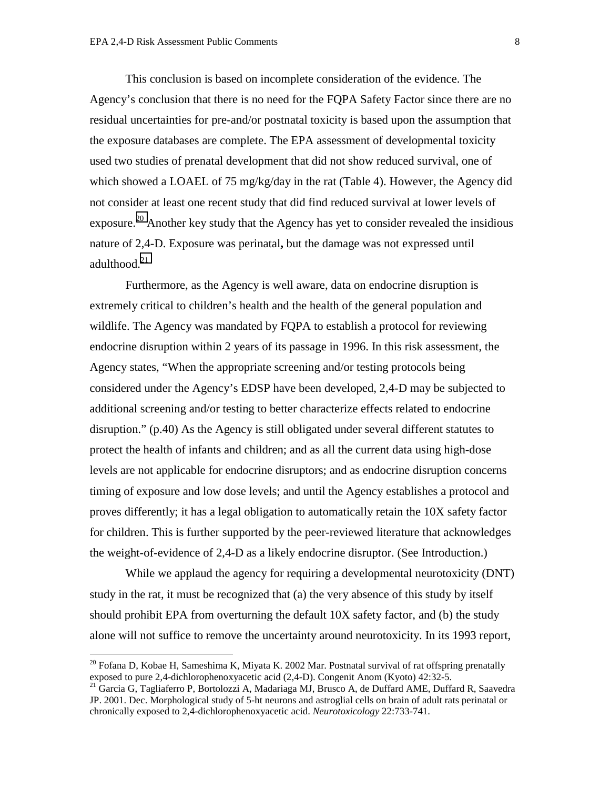This conclusion is based on incomplete consideration of the evidence. The Agency's conclusion that there is no need for the FQPA Safety Factor since there are no residual uncertainties for pre-and/or postnatal toxicity is based upon the assumption that the exposure databases are complete. The EPA assessment of developmental toxicity used two studies of prenatal development that did not show reduced survival, one of which showed a LOAEL of 75 mg/kg/day in the rat (Table 4). However, the Agency did not consider at least one recent study that did find reduced survival at lower levels of exposure.<sup>20</sup> Another key study that the Agency has yet to consider revealed the insidious nature of 2,4-D. Exposure was perinatal**,** but the damage was not expressed until adulthood.<sup>21</sup>

Furthermore, as the Agency is well aware, data on endocrine disruption is extremely critical to children's health and the health of the general population and wildlife. The Agency was mandated by FQPA to establish a protocol for reviewing endocrine disruption within 2 years of its passage in 1996. In this risk assessment, the Agency states, "When the appropriate screening and/or testing protocols being considered under the Agency's EDSP have been developed, 2,4-D may be subjected to additional screening and/or testing to better characterize effects related to endocrine disruption." (p.40) As the Agency is still obligated under several different statutes to protect the health of infants and children; and as all the current data using high-dose levels are not applicable for endocrine disruptors; and as endocrine disruption concerns timing of exposure and low dose levels; and until the Agency establishes a protocol and proves differently; it has a legal obligation to automatically retain the 10X safety factor for children. This is further supported by the peer-reviewed literature that acknowledges the weight-of-evidence of 2,4-D as a likely endocrine disruptor. (See Introduction.)

While we applaud the agency for requiring a developmental neurotoxicity (DNT) study in the rat, it must be recognized that (a) the very absence of this study by itself should prohibit EPA from overturning the default 10X safety factor, and (b) the study alone will not suffice to remove the uncertainty around neurotoxicity. In its 1993 report,

 $20$  Fofana D, Kobae H, Sameshima K, Miyata K. 2002 Mar. Postnatal survival of rat offspring prenatally exposed to pure 2,4-dichlorophenoxyacetic acid (2,4-D). Congenit Anom (Kyoto) 42:32-5.

<sup>&</sup>lt;sup>21</sup> Garcia G, Tagliaferro P, Bortolozzi A, Madariaga MJ, Brusco A, de Duffard AME, Duffard R, Saavedra JP. 2001. Dec. Morphological study of 5-ht neurons and astroglial cells on brain of adult rats perinatal or chronically exposed to 2,4-dichlorophenoxyacetic acid. *Neurotoxicology* 22:733-741.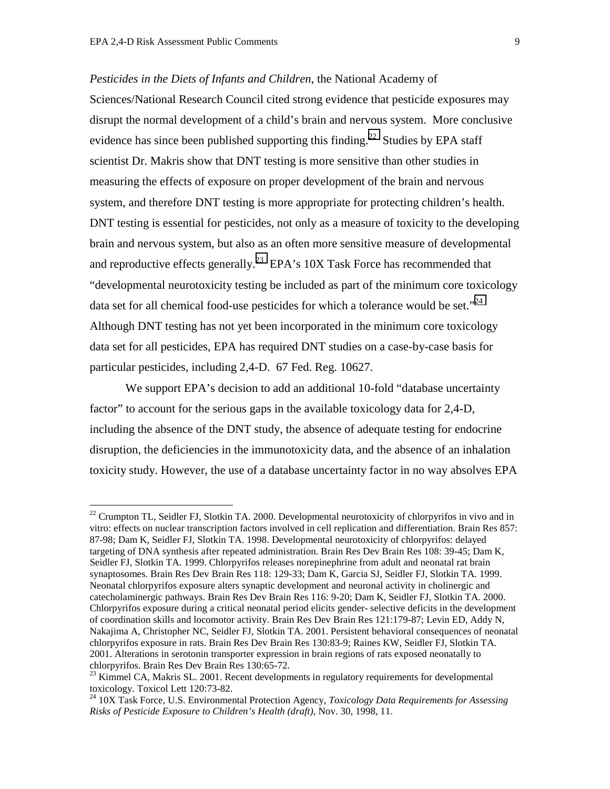$\overline{a}$ 

*Pesticides in the Diets of Infants and Children*, the National Academy of Sciences/National Research Council cited strong evidence that pesticide exposures may disrupt the normal development of a child's brain and nervous system. More conclusive evidence has since been published supporting this finding.<sup>22</sup> Studies by EPA staff scientist Dr. Makris show that DNT testing is more sensitive than other studies in measuring the effects of exposure on proper development of the brain and nervous system, and therefore DNT testing is more appropriate for protecting children's health. DNT testing is essential for pesticides, not only as a measure of toxicity to the developing brain and nervous system, but also as an often more sensitive measure of developmental and reproductive effects generally.<sup>23</sup> EPA's  $10X$  Task Force has recommended that "developmental neurotoxicity testing be included as part of the minimum core toxicology data set for all chemical food-use pesticides for which a tolerance would be set."<sup>24</sup> Although DNT testing has not yet been incorporated in the minimum core toxicology data set for all pesticides, EPA has required DNT studies on a case-by-case basis for particular pesticides, including 2,4-D. 67 Fed. Reg. 10627.

We support EPA's decision to add an additional 10-fold "database uncertainty" factor" to account for the serious gaps in the available toxicology data for 2,4-D, including the absence of the DNT study, the absence of adequate testing for endocrine disruption, the deficiencies in the immunotoxicity data, and the absence of an inhalation toxicity study. However, the use of a database uncertainty factor in no way absolves EPA

<sup>&</sup>lt;sup>22</sup> Crumpton TL, Seidler FJ, Slotkin TA. 2000. Developmental neurotoxicity of chlorpyrifos in vivo and in vitro: effects on nuclear transcription factors involved in cell replication and differentiation. Brain Res 857: 87-98; Dam K, Seidler FJ, Slotkin TA. 1998. Developmental neurotoxicity of chlorpyrifos: delayed targeting of DNA synthesis after repeated administration. Brain Res Dev Brain Res 108: 39-45; Dam K, Seidler FJ, Slotkin TA. 1999. Chlorpyrifos releases norepinephrine from adult and neonatal rat brain synaptosomes. Brain Res Dev Brain Res 118: 129-33; Dam K, Garcia SJ, Seidler FJ, Slotkin TA. 1999. Neonatal chlorpyrifos exposure alters synaptic development and neuronal activity in cholinergic and catecholaminergic pathways. Brain Res Dev Brain Res 116: 9-20; Dam K, Seidler FJ, Slotkin TA. 2000. Chlorpyrifos exposure during a critical neonatal period elicits gender- selective deficits in the development of coordination skills and locomotor activity. Brain Res Dev Brain Res 121:179-87; Levin ED, Addy N, Nakajima A, Christopher NC, Seidler FJ, Slotkin TA. 2001. Persistent behavioral consequences of neonatal chlorpyrifos exposure in rats. Brain Res Dev Brain Res 130:83-9; Raines KW, Seidler FJ, Slotkin TA. 2001. Alterations in serotonin transporter expression in brain regions of rats exposed neonatally to chlorpyrifos. Brain Res Dev Brain Res 130:65-72.

<sup>&</sup>lt;sup>23</sup> Kimmel CA, Makris SL. 2001. Recent developments in regulatory requirements for developmental toxicology. Toxicol Lett 120:73-82.

<sup>24 10</sup>X Task Force, U.S. Environmental Protection Agency, *Toxicology Data Requirements for Assessing Risks of Pesticide Exposure to Children's Health (draft)*, Nov. 30, 1998, 11.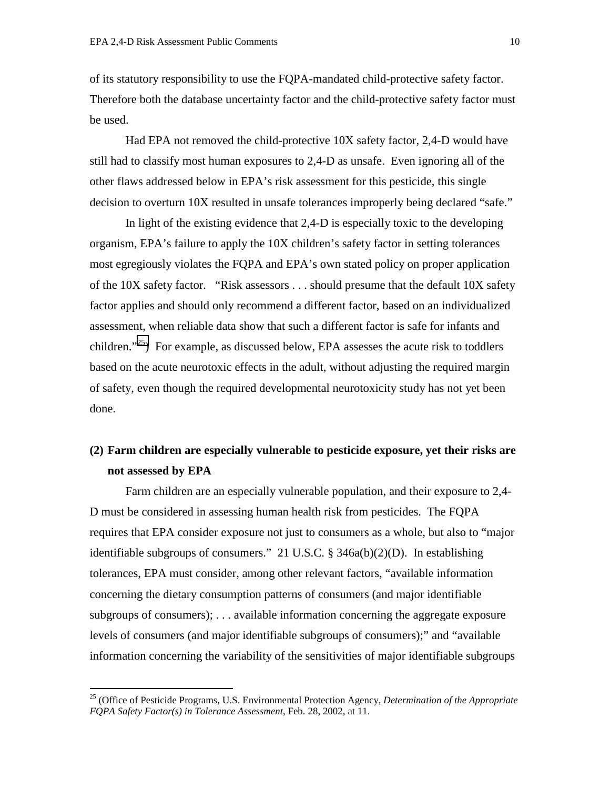of its statutory responsibility to use the FQPA-mandated child-protective safety factor. Therefore both the database uncertainty factor and the child-protective safety factor must be used.

Had EPA not removed the child-protective 10X safety factor, 2,4-D would have still had to classify most human exposures to 2,4-D as unsafe. Even ignoring all of the other flaws addressed below in EPA's risk assessment for this pesticide, this single decision to overturn 10X resulted in unsafe tolerances improperly being declared "safe."

In light of the existing evidence that 2,4-D is especially toxic to the developing organism, EPA's failure to apply the 10X children's safety factor in setting tolerances most egregiously violates the FQPA and EPA's own stated policy on proper application of the 10X safety factor. "Risk assessors . . . should presume that the default 10X safety factor applies and should only recommend a different factor, based on an individualized assessment, when reliable data show that such a different factor is safe for infants and children."<sup>25</sup>) For example, as discussed below, EPA assesses the acute risk to toddlers based on the acute neurotoxic effects in the adult, without adjusting the required margin of safety, even though the required developmental neurotoxicity study has not yet been done.

# **(2) Farm children are especially vulnerable to pesticide exposure, yet their risks are not assessed by EPA**

Farm children are an especially vulnerable population, and their exposure to 2,4- D must be considered in assessing human health risk from pesticides. The FQPA requires that EPA consider exposure not just to consumers as a whole, but also to "major identifiable subgroups of consumers." 21 U.S.C. § 346a(b)(2)(D). In establishing tolerances, EPA must consider, among other relevant factors, "available information concerning the dietary consumption patterns of consumers (and major identifiable subgroups of consumers); . . . available information concerning the aggregate exposure levels of consumers (and major identifiable subgroups of consumers);" and "available information concerning the variability of the sensitivities of major identifiable subgroups

<sup>25 (</sup>Office of Pesticide Programs, U.S. Environmental Protection Agency, *Determination of the Appropriate FQPA Safety Factor(s) in Tolerance Assessment*, Feb. 28, 2002, at 11.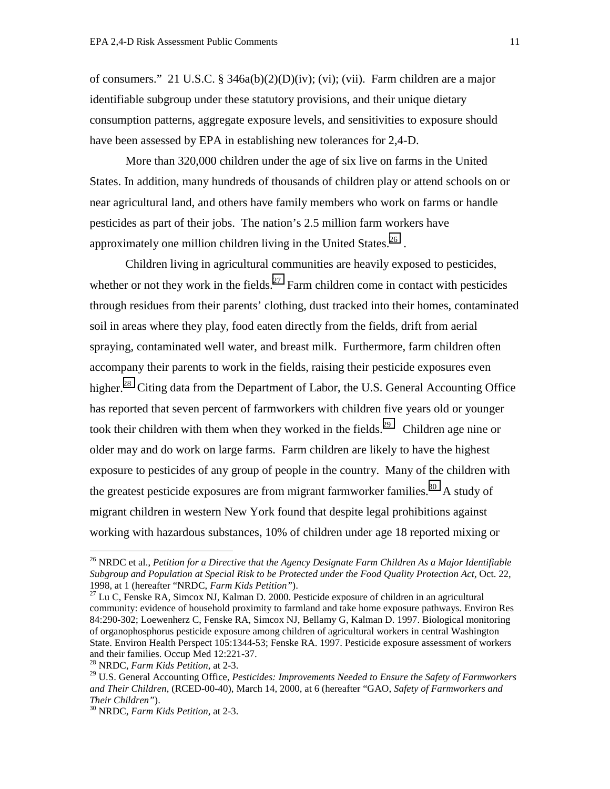of consumers." 21 U.S.C. § 346a(b)(2)(D)(iv); (vi); (vii). Farm children are a major identifiable subgroup under these statutory provisions, and their unique dietary consumption patterns, aggregate exposure levels, and sensitivities to exposure should have been assessed by EPA in establishing new tolerances for 2,4-D.

More than 320,000 children under the age of six live on farms in the United States. In addition, many hundreds of thousands of children play or attend schools on or near agricultural land, and others have family members who work on farms or handle pesticides as part of their jobs. The nation's 2.5 million farm workers have approximately one million children living in the United States.  $^{26}$ .

Children living in agricultural communities are heavily exposed to pesticides, whether or not they work in the fields.<sup>27</sup> Farm children come in contact with pesticides through residues from their parents' clothing, dust tracked into their homes, contaminated soil in areas where they play, food eaten directly from the fields, drift from aerial spraying, contaminated well water, and breast milk. Furthermore, farm children often accompany their parents to work in the fields, raising their pesticide exposures even higher.<sup>28</sup> Citing data from the Department of Labor, the U.S. General Accounting Office has reported that seven percent of farmworkers with children five years old or younger took their children with them when they worked in the fields.<sup>29</sup> Children age nine or older may and do work on large farms. Farm children are likely to have the highest exposure to pesticides of any group of people in the country. Many of the children with the greatest pesticide exposures are from migrant farmworker families.<sup>30</sup> A study of migrant children in western New York found that despite legal prohibitions against working with hazardous substances, 10% of children under age 18 reported mixing or

<sup>26</sup> NRDC et al., *Petition for a Directive that the Agency Designate Farm Children As a Major Identifiable Subgroup and Population at Special Risk to be Protected under the Food Quality Protection Act,* Oct. 22, 1998, at 1 (hereafter "NRDC, *Farm Kids Petition"*). 27 Lu C, Fenske RA, Simcox NJ, Kalman D. 2000. Pesticide exposure of children in an agricultural

community: evidence of household proximity to farmland and take home exposure pathways. Environ Res 84:290-302; Loewenherz C, Fenske RA, Simcox NJ, Bellamy G, Kalman D. 1997. Biological monitoring of organophosphorus pesticide exposure among children of agricultural workers in central Washington State. Environ Health Perspect 105:1344-53; Fenske RA. 1997. Pesticide exposure assessment of workers and their families. Occup Med 12:221-37.<br><sup>28</sup> NRDC, *Farm Kids Petition*, at 2-3.

<sup>&</sup>lt;sup>29</sup> U.S. General Accounting Office, *Pesticides: Improvements Needed to Ensure the Safety of Farmworkers and Their Children*, (RCED-00-40), March 14, 2000, at 6 (hereafter "GAO, *Safety of Farmworkers and Their Children"*). 30 NRDC, *Farm Kids Petition*, at 2-3.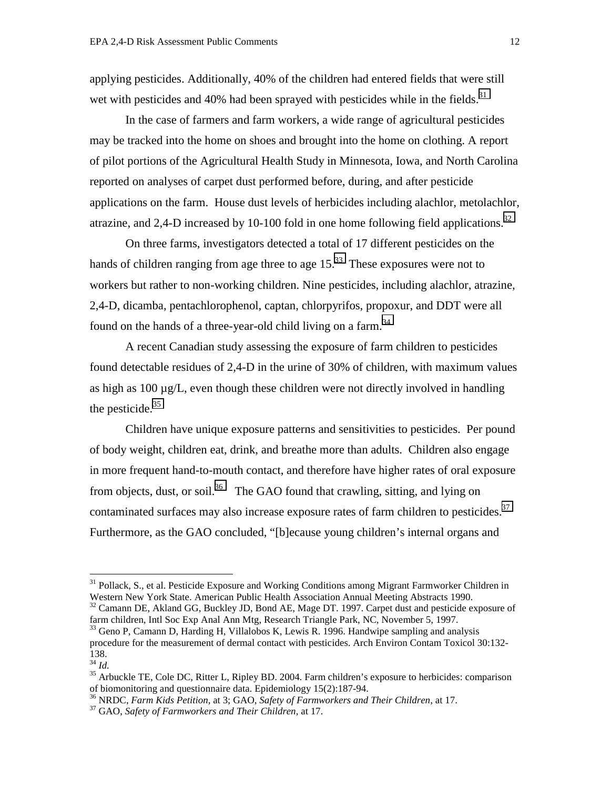applying pesticides. Additionally, 40% of the children had entered fields that were still wet with pesticides and 40% had been sprayed with pesticides while in the fields.<sup>31</sup>

In the case of farmers and farm workers, a wide range of agricultural pesticides may be tracked into the home on shoes and brought into the home on clothing. A report of pilot portions of the Agricultural Health Study in Minnesota, Iowa, and North Carolina reported on analyses of carpet dust performed before, during, and after pesticide applications on the farm. House dust levels of herbicides including alachlor, metolachlor, atrazine, and 2,4-D increased by 10-100 fold in one home following field applications.<sup>32</sup>

On three farms, investigators detected a total of 17 different pesticides on the hands of children ranging from age three to age  $15<sup>33</sup>$ . These exposures were not to workers but rather to non-working children. Nine pesticides, including alachlor, atrazine, 2,4-D, dicamba, pentachlorophenol, captan, chlorpyrifos, propoxur, and DDT were all found on the hands of a three-year-old child living on a farm.<sup>34</sup>

A recent Canadian study assessing the exposure of farm children to pesticides found detectable residues of 2,4-D in the urine of 30% of children, with maximum values as high as  $100 \mu g/L$ , even though these children were not directly involved in handling the pesticide.<sup>35</sup>

Children have unique exposure patterns and sensitivities to pesticides. Per pound of body weight, children eat, drink, and breathe more than adults. Children also engage in more frequent hand-to-mouth contact, and therefore have higher rates of oral exposure from objects, dust, or soil.<sup>36</sup> The GAO found that crawling, sitting, and lying on contaminated surfaces may also increase exposure rates of farm children to pesticides.<sup>37</sup> Furthermore, as the GAO concluded, "[b]ecause young children's internal organs and

<sup>&</sup>lt;sup>31</sup> Pollack, S., et al. Pesticide Exposure and Working Conditions among Migrant Farmworker Children in Western New York State. American Public Health Association Annual Meeting Abstracts 1990. <sup>32</sup> Camann DE, Akland GG, Buckley JD, Bond AE, Mage DT. 1997. Carpet dust and pesticide exposure of

farm children, Intl Soc Exp Anal Ann Mtg, Research Triangle Park, NC, November 5, 1997. <sup>33</sup> Geno P, Camann D, Harding H, Villalobos K, Lewis R. 1996. Handwipe sampling and analysis

procedure for the measurement of dermal contact with pesticides. Arch Environ Contam Toxicol 30:132-  $\frac{138}{^{34}}$  *Id.* 

<sup>&</sup>lt;sup>35</sup> Arbuckle TE, Cole DC, Ritter L, Ripley BD. 2004. Farm children's exposure to herbicides: comparison of biomonitoring and questionnaire data. Epidemiology 15(2):187-94.

<sup>&</sup>lt;sup>36</sup> NRDC, *Farm Kids Petition*, at 3; GAO, *Safety of Farmworkers and Their Children*, at 17.<br><sup>37</sup> GAO, *Safety of Farmworkers and Their Children*, at 17.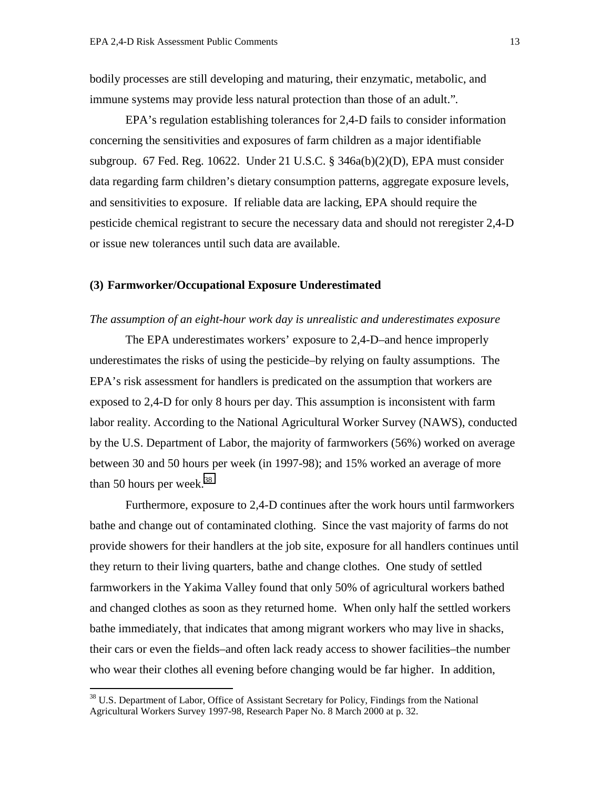bodily processes are still developing and maturing, their enzymatic, metabolic, and immune systems may provide less natural protection than those of an adult."*.*

EPA's regulation establishing tolerances for 2,4-D fails to consider information concerning the sensitivities and exposures of farm children as a major identifiable subgroup. 67 Fed. Reg. 10622. Under 21 U.S.C. § 346a(b)(2)(D), EPA must consider data regarding farm children's dietary consumption patterns, aggregate exposure levels, and sensitivities to exposure. If reliable data are lacking, EPA should require the pesticide chemical registrant to secure the necessary data and should not reregister 2,4-D or issue new tolerances until such data are available.

# **(3) Farmworker/Occupational Exposure Underestimated**

#### *The assumption of an eight-hour work day is unrealistic and underestimates exposure*

The EPA underestimates workers' exposure to 2,4-D–and hence improperly underestimates the risks of using the pesticide–by relying on faulty assumptions. The EPA's risk assessment for handlers is predicated on the assumption that workers are exposed to 2,4-D for only 8 hours per day. This assumption is inconsistent with farm labor reality. According to the National Agricultural Worker Survey (NAWS), conducted by the U.S. Department of Labor, the majority of farmworkers (56%) worked on average between 30 and 50 hours per week (in 1997-98); and 15% worked an average of more than 50 hours per week. $38$ 

Furthermore, exposure to 2,4-D continues after the work hours until farmworkers bathe and change out of contaminated clothing. Since the vast majority of farms do not provide showers for their handlers at the job site, exposure for all handlers continues until they return to their living quarters, bathe and change clothes. One study of settled farmworkers in the Yakima Valley found that only 50% of agricultural workers bathed and changed clothes as soon as they returned home. When only half the settled workers bathe immediately, that indicates that among migrant workers who may live in shacks, their cars or even the fields–and often lack ready access to shower facilities–the number who wear their clothes all evening before changing would be far higher. In addition,

 $38$  U.S. Department of Labor, Office of Assistant Secretary for Policy, Findings from the National Agricultural Workers Survey 1997-98, Research Paper No. 8 March 2000 at p. 32.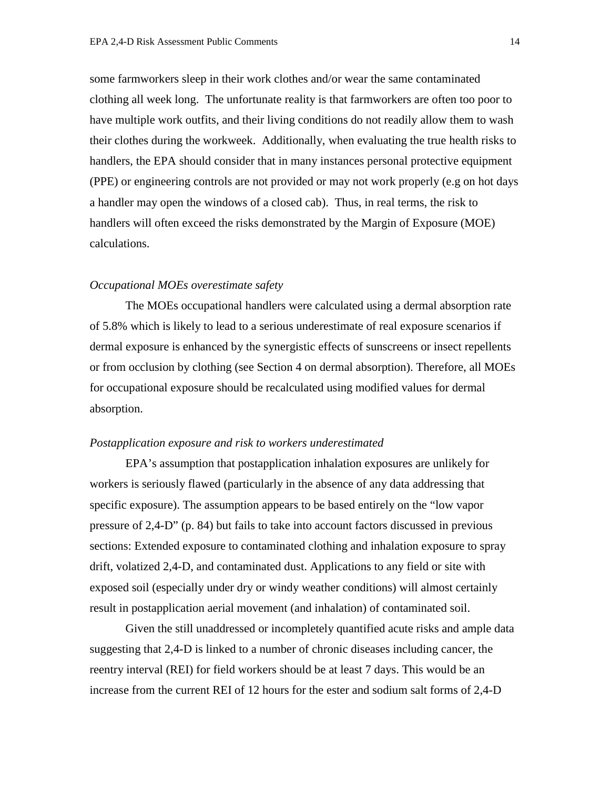some farmworkers sleep in their work clothes and/or wear the same contaminated clothing all week long. The unfortunate reality is that farmworkers are often too poor to have multiple work outfits, and their living conditions do not readily allow them to wash their clothes during the workweek. Additionally, when evaluating the true health risks to handlers, the EPA should consider that in many instances personal protective equipment (PPE) or engineering controls are not provided or may not work properly (e.g on hot days a handler may open the windows of a closed cab). Thus, in real terms, the risk to handlers will often exceed the risks demonstrated by the Margin of Exposure (MOE) calculations.

#### *Occupational MOEs overestimate safety*

The MOEs occupational handlers were calculated using a dermal absorption rate of 5.8% which is likely to lead to a serious underestimate of real exposure scenarios if dermal exposure is enhanced by the synergistic effects of sunscreens or insect repellents or from occlusion by clothing (see Section 4 on dermal absorption). Therefore, all MOEs for occupational exposure should be recalculated using modified values for dermal absorption.

## *Postapplication exposure and risk to workers underestimated*

EPA's assumption that postapplication inhalation exposures are unlikely for workers is seriously flawed (particularly in the absence of any data addressing that specific exposure). The assumption appears to be based entirely on the "low vapor pressure of 2,4-D" (p. 84) but fails to take into account factors discussed in previous sections: Extended exposure to contaminated clothing and inhalation exposure to spray drift, volatized 2,4-D, and contaminated dust. Applications to any field or site with exposed soil (especially under dry or windy weather conditions) will almost certainly result in postapplication aerial movement (and inhalation) of contaminated soil.

Given the still unaddressed or incompletely quantified acute risks and ample data suggesting that 2,4-D is linked to a number of chronic diseases including cancer, the reentry interval (REI) for field workers should be at least 7 days. This would be an increase from the current REI of 12 hours for the ester and sodium salt forms of 2,4-D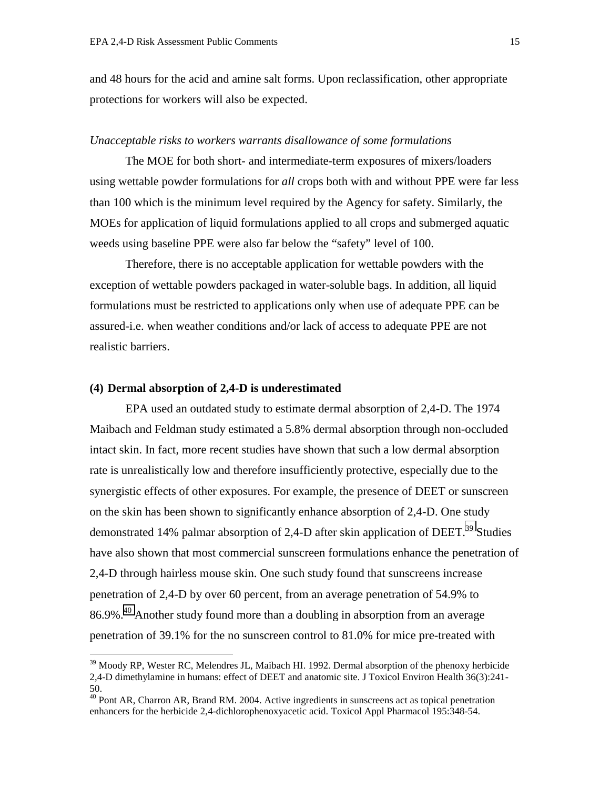<span id="page-14-0"></span>and 48 hours for the acid and amine salt forms. Upon reclassification, other appropriate protections for workers will also be expected.

#### *Unacceptable risks to workers warrants disallowance of some formulations*

The MOE for both short- and intermediate-term exposures of mixers/loaders using wettable powder formulations for *all* crops both with and without PPE were far less than 100 which is the minimum level required by the Agency for safety. Similarly, the MOEs for application of liquid formulations applied to all crops and submerged aquatic weeds using baseline PPE were also far below the "safety" level of 100.

Therefore, there is no acceptable application for wettable powders with the exception of wettable powders packaged in water-soluble bags. In addition, all liquid formulations must be restricted to applications only when use of adequate PPE can be assured-i.e. when weather conditions and/or lack of access to adequate PPE are not realistic barriers.

## **(4) Dermal absorption of 2,4-D is underestimated**

 $\overline{a}$ 

EPA used an outdated study to estimate dermal absorption of 2,4-D. The 1974 Maibach and Feldman study estimated a 5.8% dermal absorption through non-occluded intact skin. In fact, more recent studies have shown that such a low dermal absorption rate is unrealistically low and therefore insufficiently protective, especially due to the synergistic effects of other exposures. For example, the presence of DEET or sunscreen on the skin has been shown to significantly enhance absorption of 2,4-D. One study demonstrated 14% palmar absorption of 2,4-D after skin application of DEET.<sup>39</sup> Studies have also shown that most commercial sunscreen formulations enhance the penetration of 2,4-D through hairless mouse skin. One such study found that sunscreens increase penetration of 2,4-D by over 60 percent, from an average penetration of 54.9% to 86.9%.40 Another study found more than a doubling in absorption from an average penetration of 39.1% for the no sunscreen control to 81.0% for mice pre-treated with

<sup>&</sup>lt;sup>39</sup> Moody RP, Wester RC, Melendres JL, Maibach HI. 1992. Dermal absorption of the phenoxy herbicide 2,4-D dimethylamine in humans: effect of DEET and anatomic site. J Toxicol Environ Health 36(3):241- 50.

<sup>&</sup>lt;sup>40</sup> Pont AR, Charron AR, Brand RM. 2004. Active ingredients in sunscreens act as topical penetration enhancers for the herbicide 2,4-dichlorophenoxyacetic acid. Toxicol Appl Pharmacol 195:348-54.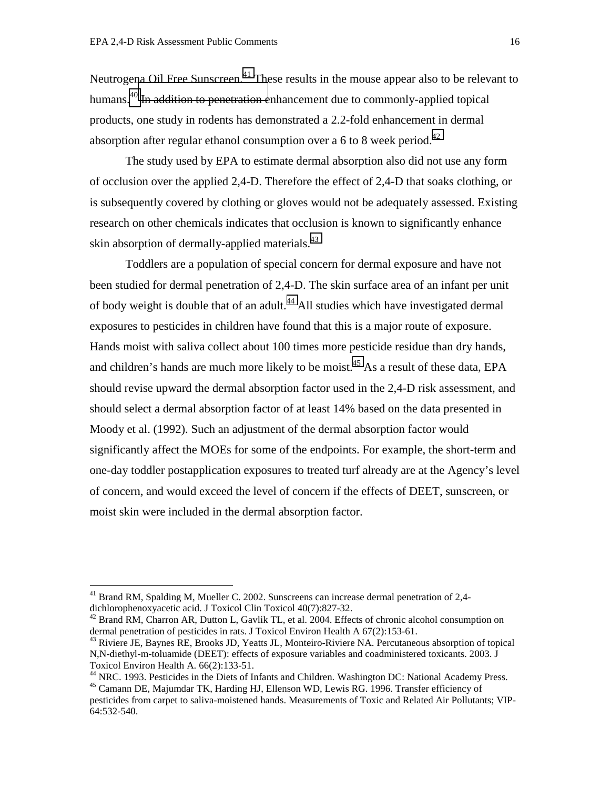Neutrogena Oil Free Sunscreen.<sup>41</sup> These results in the mouse appear also to be relevant to humans.<sup>40</sup> In addition to penetration enhancement due to commonly-applied topical products, one study in rodents has demonstrated a 2.2-fold enhancement in dermal absorption after regular ethanol consumption over a 6 to 8 week period.<sup>42</sup>

 The study used by EPA to estimate dermal absorption also did not use any form of occlusion over the applied 2,4-D. Therefore the effect of 2,4-D that soaks clothing, or is subsequently covered by clothing or gloves would not be adequately assessed. Existing research on other chemicals indicates that occlusion is known to significantly enhance skin absorption of dermally-applied materials.<sup>43</sup>

 Toddlers are a population of special concern for dermal exposure and have not been studied for dermal penetration of 2,4-D. The skin surface area of an infant per unit of body weight is double that of an adult.<sup>44</sup> All studies which have investigated dermal exposures to pesticides in children have found that this is a major route of exposure. Hands moist with saliva collect about 100 times more pesticide residue than dry hands, and children's hands are much more likely to be moist.<sup>45</sup> As a result of these data, EPA should revise upward the dermal absorption factor used in the 2,4-D risk assessment, and should select a dermal absorption factor of at least 14% based on the data presented in Moody et al. (1992). Such an adjustment of the dermal absorption factor would significantly affect the MOEs for some of the endpoints. For example, the short-term and one-day toddler postapplication exposures to treated turf already are at the Agency's level of concern, and would exceed the level of concern if the effects of DEET, sunscreen, or moist skin were included in the dermal absorption factor.

 $41$  Brand RM, Spalding M, Mueller C. 2002. Sunscreens can increase dermal penetration of 2,4dichlorophenoxyacetic acid. J Toxicol Clin Toxicol 40(7):827-32.

<sup>&</sup>lt;sup>42</sup> Brand RM, Charron AR, Dutton L, Gavlik TL, et al. 2004. Effects of chronic alcohol consumption on dermal penetration of pesticides in rats. J Toxicol Environ Health A 67(2):153-61.

<sup>&</sup>lt;sup>43</sup> Riviere JE, Baynes RE, Brooks JD, Yeatts JL, Monteiro-Riviere NA. Percutaneous absorption of topical N,N-diethyl-m-toluamide (DEET): effects of exposure variables and coadministered toxicants. 2003. J Toxicol Environ Health A. 66(2):133-51.

<sup>&</sup>lt;sup>44</sup> NRC. 1993. Pesticides in the Diets of Infants and Children. Washington DC: National Academy Press.

<sup>45</sup> Camann DE, Majumdar TK, Harding HJ, Ellenson WD, Lewis RG. 1996. Transfer efficiency of pesticides from carpet to saliva-moistened hands. Measurements of Toxic and Related Air Pollutants; VIP-64:532-540.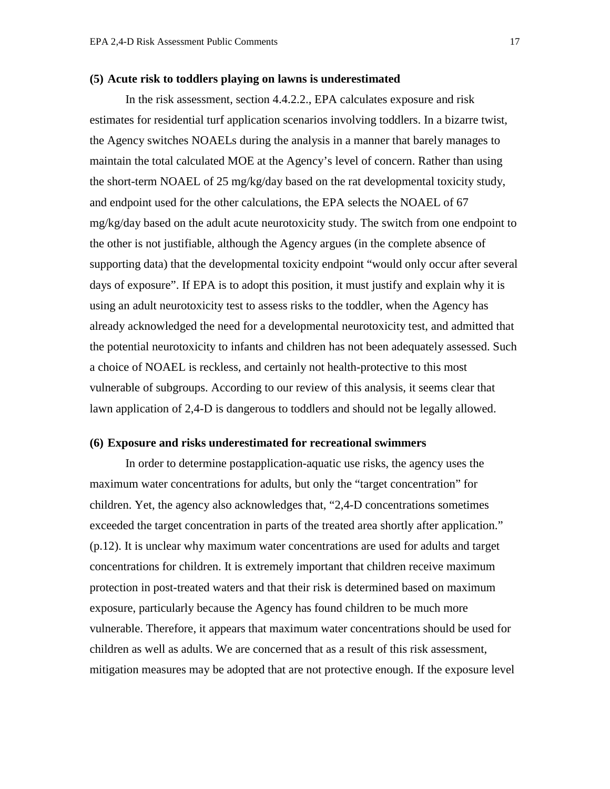#### **(5) Acute risk to toddlers playing on lawns is underestimated**

In the risk assessment, section 4.4.2.2., EPA calculates exposure and risk estimates for residential turf application scenarios involving toddlers. In a bizarre twist, the Agency switches NOAELs during the analysis in a manner that barely manages to maintain the total calculated MOE at the Agency's level of concern. Rather than using the short-term NOAEL of 25 mg/kg/day based on the rat developmental toxicity study, and endpoint used for the other calculations, the EPA selects the NOAEL of 67 mg/kg/day based on the adult acute neurotoxicity study. The switch from one endpoint to the other is not justifiable, although the Agency argues (in the complete absence of supporting data) that the developmental toxicity endpoint "would only occur after several days of exposure". If EPA is to adopt this position, it must justify and explain why it is using an adult neurotoxicity test to assess risks to the toddler, when the Agency has already acknowledged the need for a developmental neurotoxicity test, and admitted that the potential neurotoxicity to infants and children has not been adequately assessed. Such a choice of NOAEL is reckless, and certainly not health-protective to this most vulnerable of subgroups. According to our review of this analysis, it seems clear that lawn application of 2,4-D is dangerous to toddlers and should not be legally allowed.

#### **(6) Exposure and risks underestimated for recreational swimmers**

In order to determine postapplication-aquatic use risks, the agency uses the maximum water concentrations for adults, but only the "target concentration" for children. Yet, the agency also acknowledges that, "2,4-D concentrations sometimes exceeded the target concentration in parts of the treated area shortly after application." (p.12). It is unclear why maximum water concentrations are used for adults and target concentrations for children. It is extremely important that children receive maximum protection in post-treated waters and that their risk is determined based on maximum exposure, particularly because the Agency has found children to be much more vulnerable. Therefore, it appears that maximum water concentrations should be used for children as well as adults. We are concerned that as a result of this risk assessment, mitigation measures may be adopted that are not protective enough. If the exposure level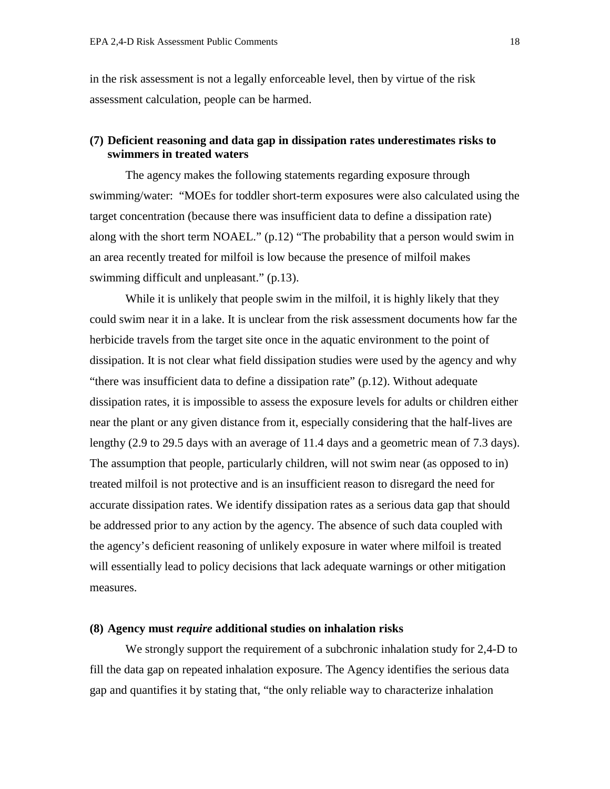in the risk assessment is not a legally enforceable level, then by virtue of the risk assessment calculation, people can be harmed.

# **(7) Deficient reasoning and data gap in dissipation rates underestimates risks to swimmers in treated waters**

The agency makes the following statements regarding exposure through swimming/water: "MOEs for toddler short-term exposures were also calculated using the target concentration (because there was insufficient data to define a dissipation rate) along with the short term NOAEL." (p.12) "The probability that a person would swim in an area recently treated for milfoil is low because the presence of milfoil makes swimming difficult and unpleasant." (p.13).

While it is unlikely that people swim in the milfoil, it is highly likely that they could swim near it in a lake. It is unclear from the risk assessment documents how far the herbicide travels from the target site once in the aquatic environment to the point of dissipation. It is not clear what field dissipation studies were used by the agency and why "there was insufficient data to define a dissipation rate" (p.12). Without adequate dissipation rates, it is impossible to assess the exposure levels for adults or children either near the plant or any given distance from it, especially considering that the half-lives are lengthy (2.9 to 29.5 days with an average of 11.4 days and a geometric mean of 7.3 days). The assumption that people, particularly children, will not swim near (as opposed to in) treated milfoil is not protective and is an insufficient reason to disregard the need for accurate dissipation rates. We identify dissipation rates as a serious data gap that should be addressed prior to any action by the agency. The absence of such data coupled with the agency's deficient reasoning of unlikely exposure in water where milfoil is treated will essentially lead to policy decisions that lack adequate warnings or other mitigation measures.

#### **(8) Agency must** *require* **additional studies on inhalation risks**

We strongly support the requirement of a subchronic inhalation study for 2,4-D to fill the data gap on repeated inhalation exposure. The Agency identifies the serious data gap and quantifies it by stating that, "the only reliable way to characterize inhalation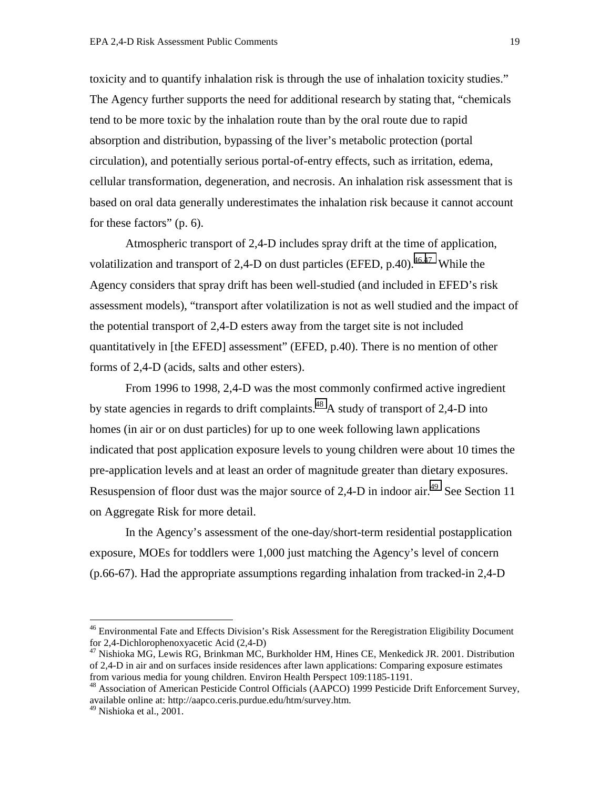toxicity and to quantify inhalation risk is through the use of inhalation toxicity studies." The Agency further supports the need for additional research by stating that, "chemicals tend to be more toxic by the inhalation route than by the oral route due to rapid absorption and distribution, bypassing of the liver's metabolic protection (portal circulation), and potentially serious portal-of-entry effects, such as irritation, edema, cellular transformation, degeneration, and necrosis. An inhalation risk assessment that is based on oral data generally underestimates the inhalation risk because it cannot account for these factors" (p. 6).

Atmospheric transport of 2,4-D includes spray drift at the time of application, volatilization and transport of 2,4-D on dust particles (EFED, p.40).<sup>46,47</sup> While the Agency considers that spray drift has been well-studied (and included in EFED's risk assessment models), "transport after volatilization is not as well studied and the impact of the potential transport of 2,4-D esters away from the target site is not included quantitatively in [the EFED] assessment" (EFED, p.40). There is no mention of other forms of 2,4-D (acids, salts and other esters).

From 1996 to 1998, 2,4-D was the most commonly confirmed active ingredient by state agencies in regards to drift complaints.<sup>48</sup> A study of transport of 2,4-D into homes (in air or on dust particles) for up to one week following lawn applications indicated that post application exposure levels to young children were about 10 times the pre-application levels and at least an order of magnitude greater than dietary exposures. Resuspension of floor dust was the major source of 2,4-D in indoor air.<sup>49</sup> See Section 11 on Aggregate Risk for more detail.

In the Agency's assessment of the one-day/short-term residential postapplication exposure, MOEs for toddlers were 1,000 just matching the Agency's level of concern (p.66-67). Had the appropriate assumptions regarding inhalation from tracked-in 2,4-D

<sup>&</sup>lt;sup>46</sup> Environmental Fate and Effects Division's Risk Assessment for the Reregistration Eligibility Document for 2,4-Dichlorophenoxyacetic Acid (2,4-D)

<sup>&</sup>lt;sup>47</sup> Nishioka MG, Lewis RG, Brinkman MC, Burkholder HM, Hines CE, Menkedick JR. 2001. Distribution of 2,4-D in air and on surfaces inside residences after lawn applications: Comparing exposure estimates from various media for young children. Environ Health Perspect 109:1185-1191.

<sup>&</sup>lt;sup>48</sup> Association of American Pesticide Control Officials (AAPCO) 1999 Pesticide Drift Enforcement Survey, available online at: http://aapco.ceris.purdue.edu/htm/survey.htm.

 $49$  Nishioka et al., 2001.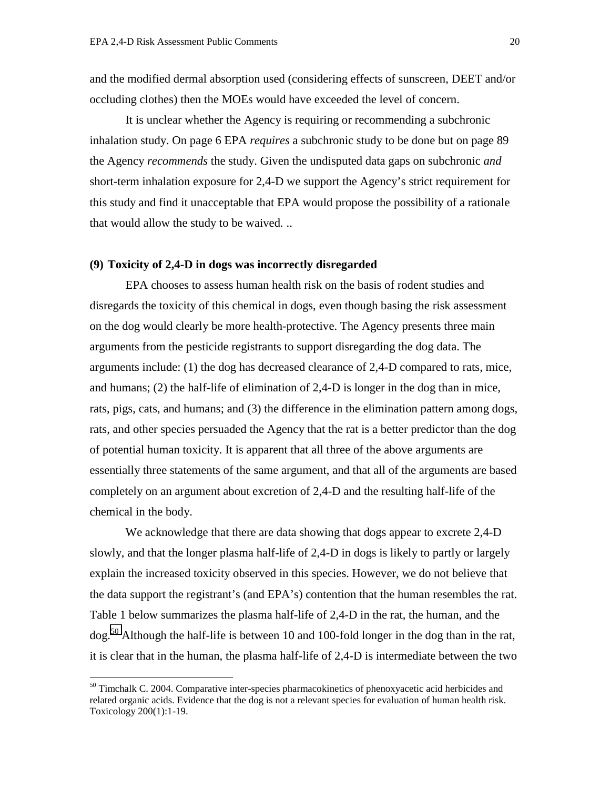and the modified dermal absorption used (considering effects of sunscreen, DEET and/or occluding clothes) then the MOEs would have exceeded the level of concern.

It is unclear whether the Agency is requiring or recommending a subchronic inhalation study. On page 6 EPA *requires* a subchronic study to be done but on page 89 the Agency *recommends* the study. Given the undisputed data gaps on subchronic *and* short-term inhalation exposure for 2,4-D we support the Agency's strict requirement for this study and find it unacceptable that EPA would propose the possibility of a rationale that would allow the study to be waived*.* ..

#### **(9) Toxicity of 2,4-D in dogs was incorrectly disregarded**

EPA chooses to assess human health risk on the basis of rodent studies and disregards the toxicity of this chemical in dogs, even though basing the risk assessment on the dog would clearly be more health-protective. The Agency presents three main arguments from the pesticide registrants to support disregarding the dog data. The arguments include: (1) the dog has decreased clearance of 2,4-D compared to rats, mice, and humans; (2) the half-life of elimination of 2,4-D is longer in the dog than in mice, rats, pigs, cats, and humans; and (3) the difference in the elimination pattern among dogs, rats, and other species persuaded the Agency that the rat is a better predictor than the dog of potential human toxicity. It is apparent that all three of the above arguments are essentially three statements of the same argument, and that all of the arguments are based completely on an argument about excretion of 2,4-D and the resulting half-life of the chemical in the body.

We acknowledge that there are data showing that dogs appear to excrete 2,4-D slowly, and that the longer plasma half-life of 2,4-D in dogs is likely to partly or largely explain the increased toxicity observed in this species. However, we do not believe that the data support the registrant's (and EPA's) contention that the human resembles the rat. Table 1 below summarizes the plasma half-life of 2,4-D in the rat, the human, and the dog.<sup>50</sup> Although the half-life is between 10 and 100-fold longer in the dog than in the rat, it is clear that in the human, the plasma half-life of 2,4-D is intermediate between the two

<sup>&</sup>lt;sup>50</sup> Timchalk C. 2004. Comparative inter-species pharmacokinetics of phenoxyacetic acid herbicides and related organic acids. Evidence that the dog is not a relevant species for evaluation of human health risk. Toxicology 200(1):1-19.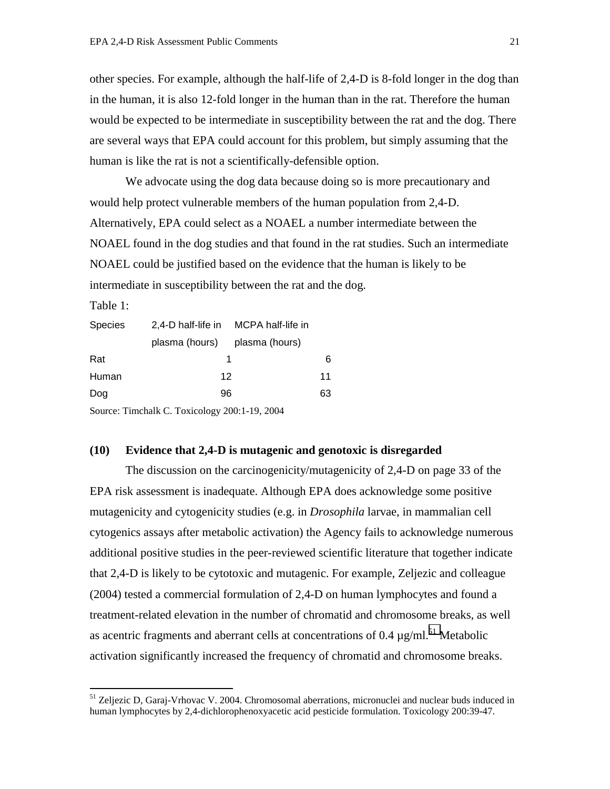other species. For example, although the half-life of 2,4-D is 8-fold longer in the dog than in the human, it is also 12-fold longer in the human than in the rat. Therefore the human would be expected to be intermediate in susceptibility between the rat and the dog. There are several ways that EPA could account for this problem, but simply assuming that the human is like the rat is not a scientifically-defensible option.

We advocate using the dog data because doing so is more precautionary and would help protect vulnerable members of the human population from 2,4-D. Alternatively, EPA could select as a NOAEL a number intermediate between the NOAEL found in the dog studies and that found in the rat studies. Such an intermediate NOAEL could be justified based on the evidence that the human is likely to be intermediate in susceptibility between the rat and the dog.

Table 1:

 $\overline{a}$ 

| <b>Species</b> | 2,4-D half-life in MCPA half-life in          |    |  |
|----------------|-----------------------------------------------|----|--|
|                | plasma (hours) plasma (hours)                 |    |  |
| Rat            |                                               | 6  |  |
| Human          | 12                                            | 11 |  |
| Dog            | 96                                            | 63 |  |
|                | Source: Timchalk C. Toxicology 200:1-19, 2004 |    |  |

## **(10) Evidence that 2,4-D is mutagenic and genotoxic is disregarded**

The discussion on the carcinogenicity/mutagenicity of 2,4-D on page 33 of the EPA risk assessment is inadequate. Although EPA does acknowledge some positive mutagenicity and cytogenicity studies (e.g. in *Drosophila* larvae, in mammalian cell cytogenics assays after metabolic activation) the Agency fails to acknowledge numerous additional positive studies in the peer-reviewed scientific literature that together indicate that 2,4-D is likely to be cytotoxic and mutagenic. For example, Zeljezic and colleague (2004) tested a commercial formulation of 2,4-D on human lymphocytes and found a treatment-related elevation in the number of chromatid and chromosome breaks, as well as acentric fragments and aberrant cells at concentrations of  $0.4 \mu$ g/ml.<sup>51</sup> Metabolic activation significantly increased the frequency of chromatid and chromosome breaks.

<sup>&</sup>lt;sup>51</sup> Zeljezic D, Garaj-Vrhovac V. 2004. Chromosomal aberrations, micronuclei and nuclear buds induced in human lymphocytes by 2,4-dichlorophenoxyacetic acid pesticide formulation. Toxicology 200:39-47.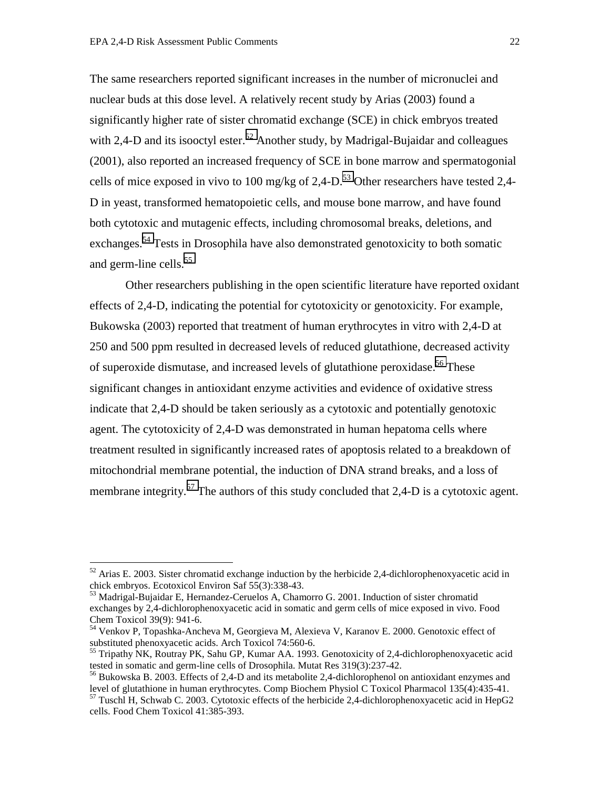$\overline{a}$ 

The same researchers reported significant increases in the number of micronuclei and nuclear buds at this dose level. A relatively recent study by Arias (2003) found a significantly higher rate of sister chromatid exchange (SCE) in chick embryos treated with 2,4-D and its isooctyl ester.<sup>52</sup> Another study, by Madrigal-Bujaidar and colleagues (2001), also reported an increased frequency of SCE in bone marrow and spermatogonial cells of mice exposed in vivo to 100 mg/kg of  $2,4$ -D.<sup>53</sup> Other researchers have tested 2,4-D in yeast, transformed hematopoietic cells, and mouse bone marrow, and have found both cytotoxic and mutagenic effects, including chromosomal breaks, deletions, and exchanges.54 Tests in Drosophila have also demonstrated genotoxicity to both somatic and germ-line cells.<sup>55</sup>

 Other researchers publishing in the open scientific literature have reported oxidant effects of 2,4-D, indicating the potential for cytotoxicity or genotoxicity. For example, Bukowska (2003) reported that treatment of human erythrocytes in vitro with 2,4-D at 250 and 500 ppm resulted in decreased levels of reduced glutathione, decreased activity of superoxide dismutase, and increased levels of glutathione peroxidase.<sup>56</sup> These significant changes in antioxidant enzyme activities and evidence of oxidative stress indicate that 2,4-D should be taken seriously as a cytotoxic and potentially genotoxic agent. The cytotoxicity of 2,4-D was demonstrated in human hepatoma cells where treatment resulted in significantly increased rates of apoptosis related to a breakdown of mitochondrial membrane potential, the induction of DNA strand breaks, and a loss of membrane integrity.<sup>57</sup> The authors of this study concluded that 2,4-D is a cytotoxic agent.

 $52$  Arias E. 2003. Sister chromatid exchange induction by the herbicide 2,4-dichlorophenoxyacetic acid in chick embryos. Ecotoxicol Environ Saf 55(3):338-43.

 $53$  Madrigal-Bujaidar E, Hernandez-Ceruelos A, Chamorro G. 2001. Induction of sister chromatid exchanges by 2,4-dichlorophenoxyacetic acid in somatic and germ cells of mice exposed in vivo. Food Chem Toxicol 39(9): 941-6.

<sup>&</sup>lt;sup>54</sup> Venkov P, Topashka-Ancheva M, Georgieva M, Alexieva V, Karanov E. 2000. Genotoxic effect of substituted phenoxyacetic acids. Arch Toxicol 74:560-6.

<sup>&</sup>lt;sup>55</sup> Tripathy NK, Routray PK, Sahu GP, Kumar AA. 1993. Genotoxicity of 2,4-dichlorophenoxyacetic acid tested in somatic and germ-line cells of Drosophila. Mutat Res 319(3):237-42.

<sup>56</sup> Bukowska B. 2003. Effects of 2,4-D and its metabolite 2,4-dichlorophenol on antioxidant enzymes and level of glutathione in human erythrocytes. Comp Biochem Physiol C Toxicol Pharmacol 135(4):435-41.

 $57$  Tuschl H, Schwab C. 2003. Cytotoxic effects of the herbicide 2,4-dichlorophenoxyacetic acid in HepG2 cells. Food Chem Toxicol 41:385-393.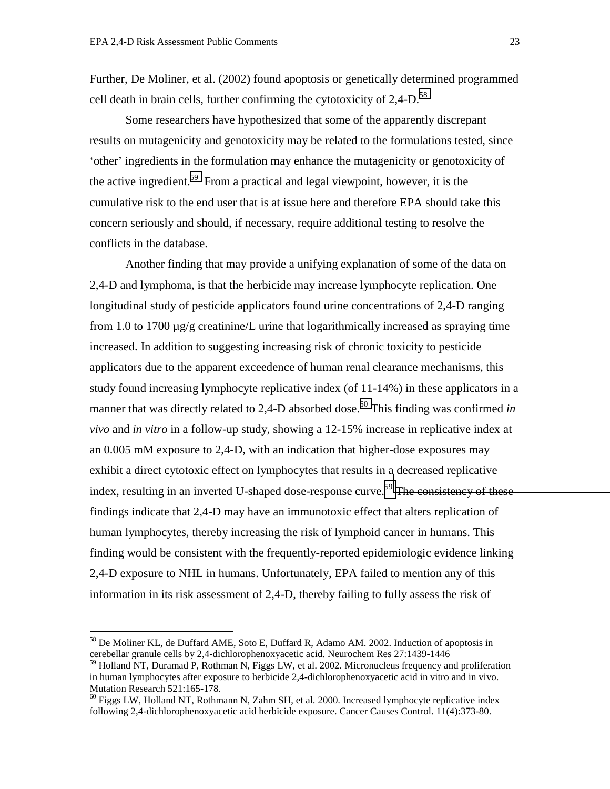Further, De Moliner, et al. (2002) found apoptosis or genetically determined programmed cell death in brain cells, further confirming the cytotoxicity of  $2,4$ -D.<sup>58</sup>

 Some researchers have hypothesized that some of the apparently discrepant results on mutagenicity and genotoxicity may be related to the formulations tested, since 'other' ingredients in the formulation may enhance the mutagenicity or genotoxicity of the active ingredient.<sup>59</sup> From a practical and legal viewpoint, however, it is the cumulative risk to the end user that is at issue here and therefore EPA should take this concern seriously and should, if necessary, require additional testing to resolve the conflicts in the database.

 Another finding that may provide a unifying explanation of some of the data on 2,4-D and lymphoma, is that the herbicide may increase lymphocyte replication. One longitudinal study of pesticide applicators found urine concentrations of 2,4-D ranging from 1.0 to 1700  $\mu$ g/g creatinine/L urine that logarithmically increased as spraying time increased. In addition to suggesting increasing risk of chronic toxicity to pesticide applicators due to the apparent exceedence of human renal clearance mechanisms, this study found increasing lymphocyte replicative index (of 11-14%) in these applicators in a manner that was directly related to 2,4-D absorbed dose.<sup>60</sup> This finding was confirmed *in vivo* and *in vitro* in a follow-up study, showing a 12-15% increase in replicative index at an 0.005 mM exposure to 2,4-D, with an indication that higher-dose exposures may exhibit a direct cytotoxic effect on lymphocytes that results in a decreased replicative index, resulting in an inverted U-shaped dose-response curve.<sup>59</sup> The consistency of these findings indicate that 2,4-D may have an immunotoxic effect that alters replication of human lymphocytes, thereby increasing the risk of lymphoid cancer in humans. This finding would be consistent with the frequently-reported epidemiologic evidence linking 2,4-D exposure to NHL in humans. Unfortunately, EPA failed to mention any of this information in its risk assessment of 2,4-D, thereby failing to fully assess the risk of

<sup>&</sup>lt;sup>58</sup> De Moliner KL, de Duffard AME, Soto E, Duffard R, Adamo AM. 2002. Induction of apoptosis in cerebellar granule cells by 2,4-dichlorophenoxyacetic acid. Neurochem Res 27:1439-1446

<sup>59</sup> Holland NT, Duramad P, Rothman N, Figgs LW, et al. 2002. Micronucleus frequency and proliferation in human lymphocytes after exposure to herbicide 2,4-dichlorophenoxyacetic acid in vitro and in vivo. Mutation Research 521:165-178.

<sup>&</sup>lt;sup>60</sup> Figgs LW, Holland NT, Rothmann N, Zahm SH, et al. 2000. Increased lymphocyte replicative index following 2,4-dichlorophenoxyacetic acid herbicide exposure. Cancer Causes Control. 11(4):373-80.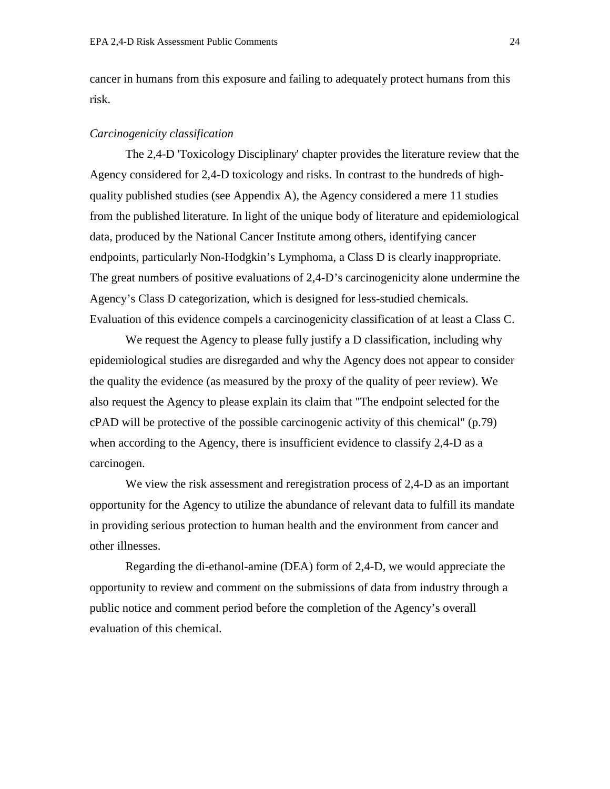cancer in humans from this exposure and failing to adequately protect humans from this risk.

#### *Carcinogenicity classification*

The 2,4-D 'Toxicology Disciplinary' chapter provides the literature review that the Agency considered for 2,4-D toxicology and risks. In contrast to the hundreds of highquality published studies (see Appendix A), the Agency considered a mere 11 studies from the published literature. In light of the unique body of literature and epidemiological data, produced by the National Cancer Institute among others, identifying cancer endpoints, particularly Non-Hodgkin's Lymphoma, a Class D is clearly inappropriate. The great numbers of positive evaluations of 2,4-D's carcinogenicity alone undermine the Agency's Class D categorization, which is designed for less-studied chemicals. Evaluation of this evidence compels a carcinogenicity classification of at least a Class C.

We request the Agency to please fully justify a D classification, including why epidemiological studies are disregarded and why the Agency does not appear to consider the quality the evidence (as measured by the proxy of the quality of peer review). We also request the Agency to please explain its claim that "The endpoint selected for the cPAD will be protective of the possible carcinogenic activity of this chemical" (p.79) when according to the Agency, there is insufficient evidence to classify 2,4-D as a carcinogen.

We view the risk assessment and reregistration process of 2,4-D as an important opportunity for the Agency to utilize the abundance of relevant data to fulfill its mandate in providing serious protection to human health and the environment from cancer and other illnesses.

Regarding the di-ethanol-amine (DEA) form of 2,4-D, we would appreciate the opportunity to review and comment on the submissions of data from industry through a public notice and comment period before the completion of the Agency's overall evaluation of this chemical.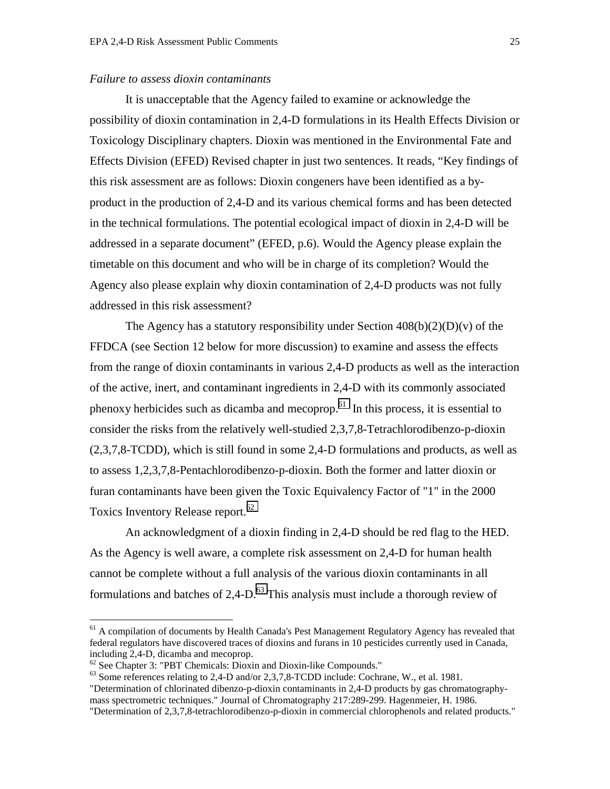## *Failure to assess dioxin contaminants*

It is unacceptable that the Agency failed to examine or acknowledge the possibility of dioxin contamination in 2,4-D formulations in its Health Effects Division or Toxicology Disciplinary chapters. Dioxin was mentioned in the Environmental Fate and Effects Division (EFED) Revised chapter in just two sentences. It reads, "Key findings of this risk assessment are as follows: Dioxin congeners have been identified as a byproduct in the production of 2,4-D and its various chemical forms and has been detected in the technical formulations. The potential ecological impact of dioxin in 2,4-D will be addressed in a separate document" (EFED, p.6). Would the Agency please explain the timetable on this document and who will be in charge of its completion? Would the Agency also please explain why dioxin contamination of 2,4-D products was not fully addressed in this risk assessment?

The Agency has a statutory responsibility under Section  $408(b)(2)(D)(v)$  of the FFDCA (see Section 12 below for more discussion) to examine and assess the effects from the range of dioxin contaminants in various 2,4-D products as well as the interaction of the active, inert, and contaminant ingredients in 2,4-D with its commonly associated phenoxy herbicides such as dicamba and mecoprop.61 In this process, it is essential to consider the risks from the relatively well-studied 2,3,7,8-Tetrachlorodibenzo-p-dioxin (2,3,7,8-TCDD), which is still found in some 2,4-D formulations and products, as well as to assess 1,2,3,7,8-Pentachlorodibenzo-p-dioxin. Both the former and latter dioxin or furan contaminants have been given the Toxic Equivalency Factor of "1" in the 2000 Toxics Inventory Release report.<sup>62</sup>

An acknowledgment of a dioxin finding in 2,4-D should be red flag to the HED. As the Agency is well aware, a complete risk assessment on 2,4-D for human health cannot be complete without a full analysis of the various dioxin contaminants in all formulations and batches of  $2.4 \text{-} D$ .<sup>63</sup> This analysis must include a thorough review of

 $61$  A compilation of documents by Health Canada's Pest Management Regulatory Agency has revealed that federal regulators have discovered traces of dioxins and furans in 10 pesticides currently used in Canada, including 2,4-D, dicamba and mecoprop.

 $62$  See Chapter 3: "PBT Chemicals: Dioxin and Dioxin-like Compounds."

<sup>&</sup>lt;sup>63</sup> Some references relating to 2,4-D and/or 2,3,7,8-TCDD include: Cochrane, W., et al. 1981.

<sup>&</sup>quot;Determination of chlorinated dibenzo-p-dioxin contaminants in 2,4-D products by gas chromatographymass spectrometric techniques." Journal of Chromatography 217:289-299. Hagenmeier, H. 1986.

<sup>&</sup>quot;Determination of 2,3,7,8-tetrachlorodibenzo-p-dioxin in commercial chlorophenols and related products."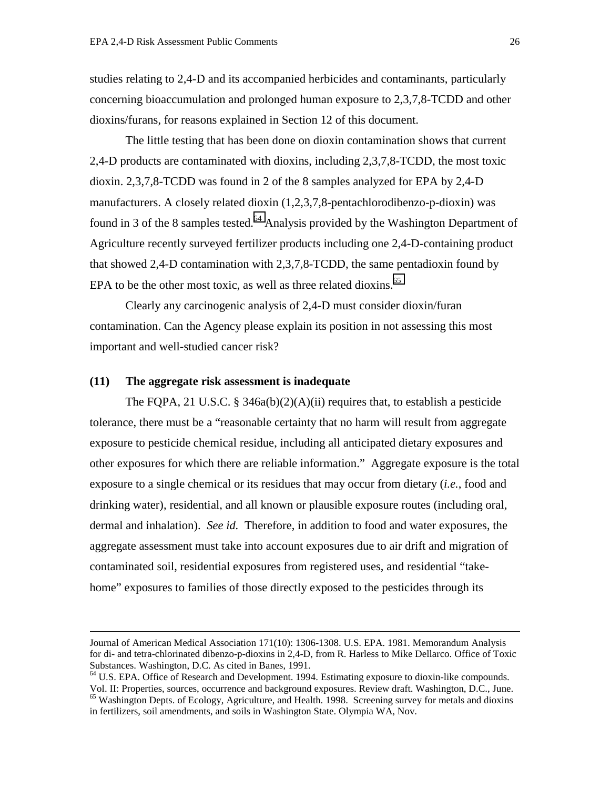studies relating to 2,4-D and its accompanied herbicides and contaminants, particularly concerning bioaccumulation and prolonged human exposure to 2,3,7,8-TCDD and other dioxins/furans, for reasons explained in Section 12 of this document.

The little testing that has been done on dioxin contamination shows that current 2,4-D products are contaminated with dioxins, including 2,3,7,8-TCDD, the most toxic dioxin. 2,3,7,8-TCDD was found in 2 of the 8 samples analyzed for EPA by 2,4-D manufacturers. A closely related dioxin (1,2,3,7,8-pentachlorodibenzo-p-dioxin) was found in 3 of the 8 samples tested.<sup>64</sup> Analysis provided by the Washington Department of Agriculture recently surveyed fertilizer products including one 2,4-D-containing product that showed 2,4-D contamination with 2,3,7,8-TCDD, the same pentadioxin found by EPA to be the other most toxic, as well as three related dioxins.<sup>65</sup>

Clearly any carcinogenic analysis of 2,4-D must consider dioxin/furan contamination. Can the Agency please explain its position in not assessing this most important and well-studied cancer risk?

#### **(11) The aggregate risk assessment is inadequate**

The FQPA, 21 U.S.C. § 346a(b)(2)(A)(ii) requires that, to establish a pesticide tolerance, there must be a "reasonable certainty that no harm will result from aggregate exposure to pesticide chemical residue, including all anticipated dietary exposures and other exposures for which there are reliable information." Aggregate exposure is the total exposure to a single chemical or its residues that may occur from dietary (*i.e.*, food and drinking water), residential, and all known or plausible exposure routes (including oral, dermal and inhalation). *See id.* Therefore, in addition to food and water exposures, the aggregate assessment must take into account exposures due to air drift and migration of contaminated soil, residential exposures from registered uses, and residential "takehome" exposures to families of those directly exposed to the pesticides through its

Journal of American Medical Association 171(10): 1306-1308. U.S. EPA. 1981. Memorandum Analysis for di- and tetra-chlorinated dibenzo-p-dioxins in 2,4-D, from R. Harless to Mike Dellarco. Office of Toxic Substances. Washington, D.C. As cited in Banes, 1991.

<sup>&</sup>lt;sup>64</sup> U.S. EPA. Office of Research and Development. 1994. Estimating exposure to dioxin-like compounds. Vol. II: Properties, sources, occurrence and background exposures. Review draft. Washington, D.C., June.

<sup>&</sup>lt;sup>65</sup> Washington Depts. of Ecology, Agriculture, and Health. 1998. Screening survey for metals and dioxins in fertilizers, soil amendments, and soils in Washington State. Olympia WA, Nov.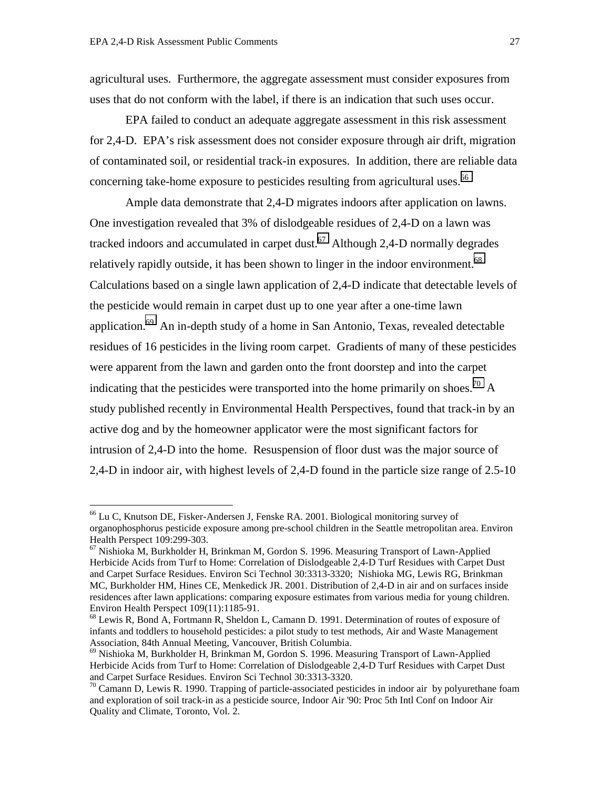$\overline{a}$ 

agricultural uses. Furthermore, the aggregate assessment must consider exposures from uses that do not conform with the label, if there is an indication that such uses occur.

EPA failed to conduct an adequate aggregate assessment in this risk assessment for 2,4-D. EPA's risk assessment does not consider exposure through air drift, migration of contaminated soil, or residential track-in exposures. In addition, there are reliable data concerning take-home exposure to pesticides resulting from agricultural uses.<sup>66</sup>

Ample data demonstrate that 2,4-D migrates indoors after application on lawns. One investigation revealed that 3% of dislodgeable residues of 2,4-D on a lawn was tracked indoors and accumulated in carpet dust.<sup>67</sup> Although 2,4-D normally degrades relatively rapidly outside, it has been shown to linger in the indoor environment.<sup>68</sup> Calculations based on a single lawn application of 2,4-D indicate that detectable levels of the pesticide would remain in carpet dust up to one year after a one-time lawn application.69 An in-depth study of a home in San Antonio, Texas, revealed detectable residues of 16 pesticides in the living room carpet. Gradients of many of these pesticides were apparent from the lawn and garden onto the front doorstep and into the carpet indicating that the pesticides were transported into the home primarily on shoes.<sup>70</sup> A study published recently in Environmental Health Perspectives, found that track-in by an active dog and by the homeowner applicator were the most significant factors for intrusion of 2,4-D into the home. Resuspension of floor dust was the major source of 2,4-D in indoor air, with highest levels of 2,4-D found in the particle size range of 2.5-10

<sup>66</sup> Lu C, Knutson DE, Fisker-Andersen J, Fenske RA. 2001. Biological monitoring survey of organophosphorus pesticide exposure among pre-school children in the Seattle metropolitan area. Environ Health Perspect 109:299-303.

 $67$  Nishioka M, Burkholder H, Brinkman M, Gordon S. 1996. Measuring Transport of Lawn-Applied Herbicide Acids from Turf to Home: Correlation of Dislodgeable 2,4-D Turf Residues with Carpet Dust and Carpet Surface Residues. Environ Sci Technol 30:3313-3320; Nishioka MG, Lewis RG, Brinkman MC, Burkholder HM, Hines CE, Menkedick JR. 2001. Distribution of 2,4-D in air and on surfaces inside residences after lawn applications: comparing exposure estimates from various media for young children. Environ Health Perspect 109(11):1185-91.

<sup>&</sup>lt;sup>68</sup> Lewis R, Bond A, Fortmann R, Sheldon L, Camann D. 1991. Determination of routes of exposure of infants and toddlers to household pesticides: a pilot study to test methods, Air and Waste Management Association, 84th Annual Meeting, Vancouver, British Columbia.

<sup>69</sup> Nishioka M, Burkholder H, Brinkman M, Gordon S. 1996. Measuring Transport of Lawn-Applied Herbicide Acids from Turf to Home: Correlation of Dislodgeable 2,4-D Turf Residues with Carpet Dust and Carpet Surface Residues. Environ Sci Technol 30:3313-3320.

 $70$  Camann D, Lewis R. 1990. Trapping of particle-associated pesticides in indoor air by polyurethane foam and exploration of soil track-in as a pesticide source, Indoor Air '90: Proc 5th Intl Conf on Indoor Air Quality and Climate, Toronto, Vol. 2.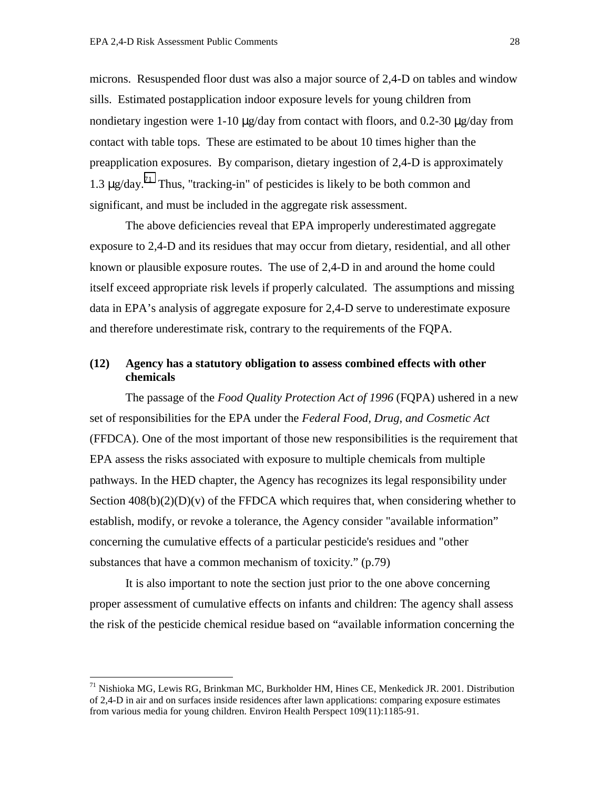microns. Resuspended floor dust was also a major source of 2,4-D on tables and window sills. Estimated postapplication indoor exposure levels for young children from nondietary ingestion were 1-10  $\mu$ g/day from contact with floors, and 0.2-30  $\mu$ g/day from contact with table tops. These are estimated to be about 10 times higher than the preapplication exposures. By comparison, dietary ingestion of 2,4-D is approximately 1.3  $\mu$ g/day.<sup>71</sup> Thus, "tracking-in" of pesticides is likely to be both common and significant, and must be included in the aggregate risk assessment.

The above deficiencies reveal that EPA improperly underestimated aggregate exposure to 2,4-D and its residues that may occur from dietary, residential, and all other known or plausible exposure routes. The use of 2,4-D in and around the home could itself exceed appropriate risk levels if properly calculated. The assumptions and missing data in EPA's analysis of aggregate exposure for 2,4-D serve to underestimate exposure and therefore underestimate risk, contrary to the requirements of the FQPA.

# **(12) Agency has a statutory obligation to assess combined effects with other chemicals**

The passage of the *Food Quality Protection Act of 1996* (FQPA) ushered in a new set of responsibilities for the EPA under the *Federal Food, Drug, and Cosmetic Act* (FFDCA). One of the most important of those new responsibilities is the requirement that EPA assess the risks associated with exposure to multiple chemicals from multiple pathways. In the HED chapter, the Agency has recognizes its legal responsibility under Section  $408(b)(2)(D)(v)$  of the FFDCA which requires that, when considering whether to establish, modify, or revoke a tolerance, the Agency consider "available information" concerning the cumulative effects of a particular pesticide's residues and "other substances that have a common mechanism of toxicity." (p.79)

It is also important to note the section just prior to the one above concerning proper assessment of cumulative effects on infants and children: The agency shall assess the risk of the pesticide chemical residue based on "available information concerning the

<sup>71</sup> Nishioka MG, Lewis RG, Brinkman MC, Burkholder HM, Hines CE, Menkedick JR. 2001. Distribution of 2,4-D in air and on surfaces inside residences after lawn applications: comparing exposure estimates from various media for young children. Environ Health Perspect 109(11):1185-91.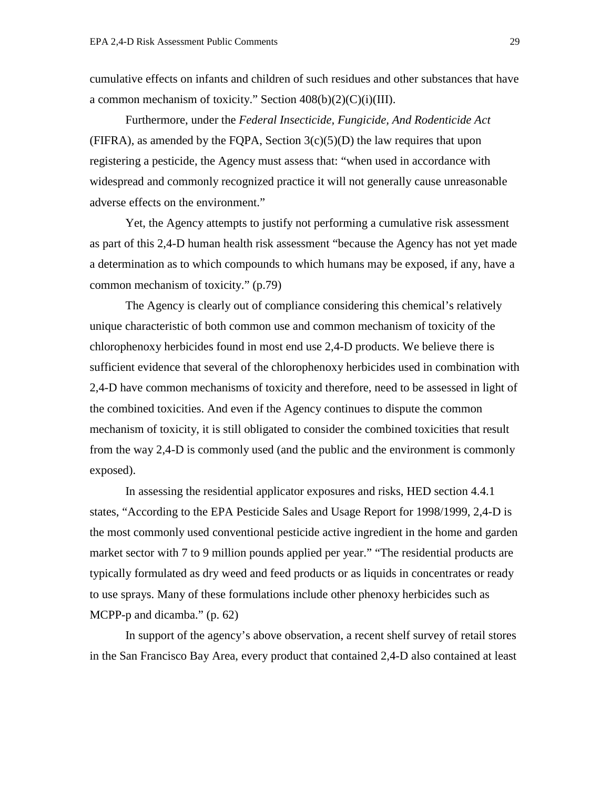cumulative effects on infants and children of such residues and other substances that have a common mechanism of toxicity." Section  $408(b)(2)(C)(i)(III)$ .

Furthermore, under the *Federal Insecticide, Fungicide, And Rodenticide Act*  (FIFRA), as amended by the FQPA, Section  $3(c)(5)(D)$  the law requires that upon registering a pesticide, the Agency must assess that: "when used in accordance with widespread and commonly recognized practice it will not generally cause unreasonable adverse effects on the environment."

Yet, the Agency attempts to justify not performing a cumulative risk assessment as part of this 2,4-D human health risk assessment "because the Agency has not yet made a determination as to which compounds to which humans may be exposed, if any, have a common mechanism of toxicity." (p.79)

The Agency is clearly out of compliance considering this chemical's relatively unique characteristic of both common use and common mechanism of toxicity of the chlorophenoxy herbicides found in most end use 2,4-D products. We believe there is sufficient evidence that several of the chlorophenoxy herbicides used in combination with 2,4-D have common mechanisms of toxicity and therefore, need to be assessed in light of the combined toxicities. And even if the Agency continues to dispute the common mechanism of toxicity, it is still obligated to consider the combined toxicities that result from the way 2,4-D is commonly used (and the public and the environment is commonly exposed).

In assessing the residential applicator exposures and risks, HED section 4.4.1 states, "According to the EPA Pesticide Sales and Usage Report for 1998/1999, 2,4-D is the most commonly used conventional pesticide active ingredient in the home and garden market sector with 7 to 9 million pounds applied per year." "The residential products are typically formulated as dry weed and feed products or as liquids in concentrates or ready to use sprays. Many of these formulations include other phenoxy herbicides such as MCPP-p and dicamba." (p. 62)

In support of the agency's above observation, a recent shelf survey of retail stores in the San Francisco Bay Area, every product that contained 2,4-D also contained at least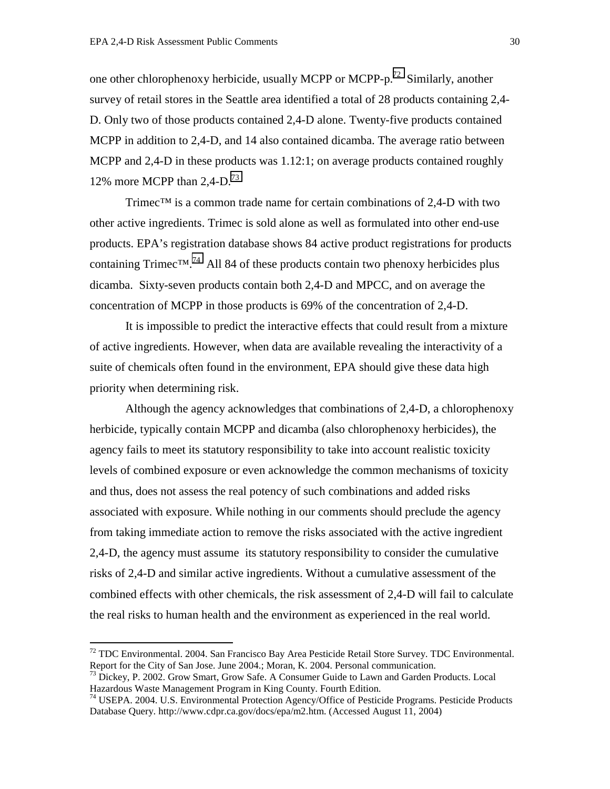one other chlorophenoxy herbicide, usually MCPP or MCPP-p.<sup>72</sup> Similarly, another survey of retail stores in the Seattle area identified a total of 28 products containing 2,4- D. Only two of those products contained 2,4-D alone. Twenty-five products contained MCPP in addition to 2,4-D, and 14 also contained dicamba. The average ratio between MCPP and 2,4-D in these products was 1.12:1; on average products contained roughly 12% more MCPP than  $2,4$ -D.<sup>73</sup>

Trimec<sup>™</sup> is a common trade name for certain combinations of 2,4-D with two other active ingredients. Trimec is sold alone as well as formulated into other end-use products. EPA's registration database shows 84 active product registrations for products containing Trimec<sup>™.74</sup> All 84 of these products contain two phenoxy herbicides plus dicamba. Sixty-seven products contain both 2,4-D and MPCC, and on average the concentration of MCPP in those products is 69% of the concentration of 2,4-D.

It is impossible to predict the interactive effects that could result from a mixture of active ingredients. However, when data are available revealing the interactivity of a suite of chemicals often found in the environment, EPA should give these data high priority when determining risk.

Although the agency acknowledges that combinations of 2,4-D, a chlorophenoxy herbicide, typically contain MCPP and dicamba (also chlorophenoxy herbicides), the agency fails to meet its statutory responsibility to take into account realistic toxicity levels of combined exposure or even acknowledge the common mechanisms of toxicity and thus, does not assess the real potency of such combinations and added risks associated with exposure. While nothing in our comments should preclude the agency from taking immediate action to remove the risks associated with the active ingredient 2,4-D, the agency must assume its statutory responsibility to consider the cumulative risks of 2,4-D and similar active ingredients. Without a cumulative assessment of the combined effects with other chemicals, the risk assessment of 2,4-D will fail to calculate the real risks to human health and the environment as experienced in the real world.

 $72$  TDC Environmental. 2004. San Francisco Bay Area Pesticide Retail Store Survey. TDC Environmental. Report for the City of San Jose. June 2004.; Moran, K. 2004. Personal communication.

<sup>&</sup>lt;sup>73</sup> Dickey, P. 2002. Grow Smart, Grow Safe. A Consumer Guide to Lawn and Garden Products. Local Hazardous Waste Management Program in King County. Fourth Edition.

<sup>74</sup> USEPA. 2004. U.S. Environmental Protection Agency/Office of Pesticide Programs. Pesticide Products Database Query. http://www.cdpr.ca.gov/docs/epa/m2.htm. (Accessed August 11, 2004)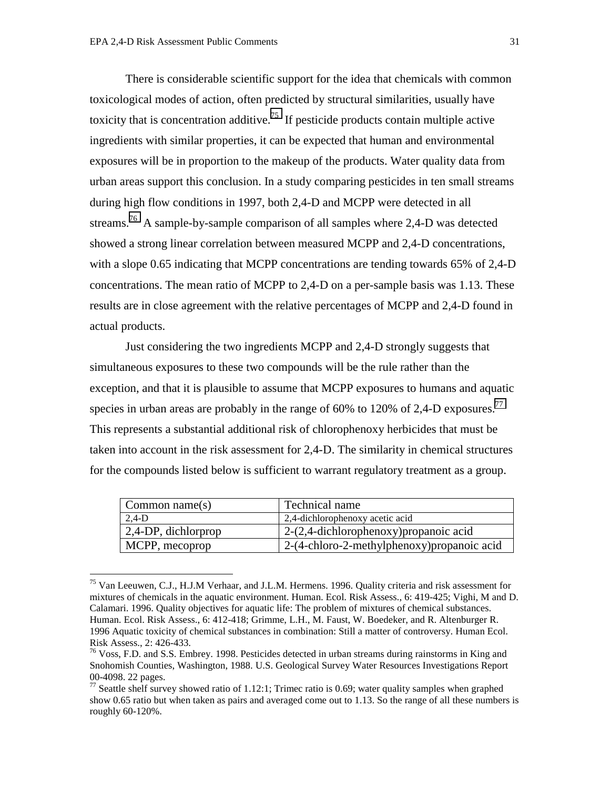$\overline{a}$ 

 There is considerable scientific support for the idea that chemicals with common toxicological modes of action, often predicted by structural similarities, usually have toxicity that is concentration additive.<sup>75</sup> If pesticide products contain multiple active ingredients with similar properties, it can be expected that human and environmental exposures will be in proportion to the makeup of the products. Water quality data from urban areas support this conclusion. In a study comparing pesticides in ten small streams during high flow conditions in 1997, both 2,4-D and MCPP were detected in all streams.76 A sample-by-sample comparison of all samples where 2,4-D was detected showed a strong linear correlation between measured MCPP and 2,4-D concentrations, with a slope 0.65 indicating that MCPP concentrations are tending towards 65% of 2,4-D concentrations. The mean ratio of MCPP to 2,4-D on a per-sample basis was 1.13. These results are in close agreement with the relative percentages of MCPP and 2,4-D found in actual products.

 Just considering the two ingredients MCPP and 2,4-D strongly suggests that simultaneous exposures to these two compounds will be the rule rather than the exception, and that it is plausible to assume that MCPP exposures to humans and aquatic species in urban areas are probably in the range of 60% to 120% of 2,4-D exposures.<sup>77</sup> This represents a substantial additional risk of chlorophenoxy herbicides that must be taken into account in the risk assessment for 2,4-D. The similarity in chemical structures for the compounds listed below is sufficient to warrant regulatory treatment as a group.

| Common name $(s)$   | Technical name                              |
|---------------------|---------------------------------------------|
| $2,4-D$             | 2,4-dichlorophenoxy acetic acid             |
| 2,4-DP, dichlorprop | $2-(2,4$ -dichlorophenoxy) propanoic acid   |
| MCPP, mecoprop      | 2-(4-chloro-2-methylphenoxy) propanoic acid |

<sup>75</sup> Van Leeuwen, C.J., H.J.M Verhaar, and J.L.M. Hermens. 1996. Quality criteria and risk assessment for mixtures of chemicals in the aquatic environment. Human. Ecol. Risk Assess., 6: 419-425; Vighi, M and D. Calamari. 1996. Quality objectives for aquatic life: The problem of mixtures of chemical substances. Human. Ecol. Risk Assess., 6: 412-418; Grimme, L.H., M. Faust, W. Boedeker, and R. Altenburger R. 1996 Aquatic toxicity of chemical substances in combination: Still a matter of controversy. Human Ecol. Risk Assess., 2: 426-433.

 $^{76}$  Voss, F.D. and S.S. Embrey. 1998. Pesticides detected in urban streams during rainstorms in King and Snohomish Counties, Washington, 1988. U.S. Geological Survey Water Resources Investigations Report 00-4098. 22 pages.

<sup>&</sup>lt;sup>77</sup> Seattle shelf survey showed ratio of 1.12:1; Trimec ratio is 0.69; water quality samples when graphed show 0.65 ratio but when taken as pairs and averaged come out to 1.13. So the range of all these numbers is roughly 60-120%.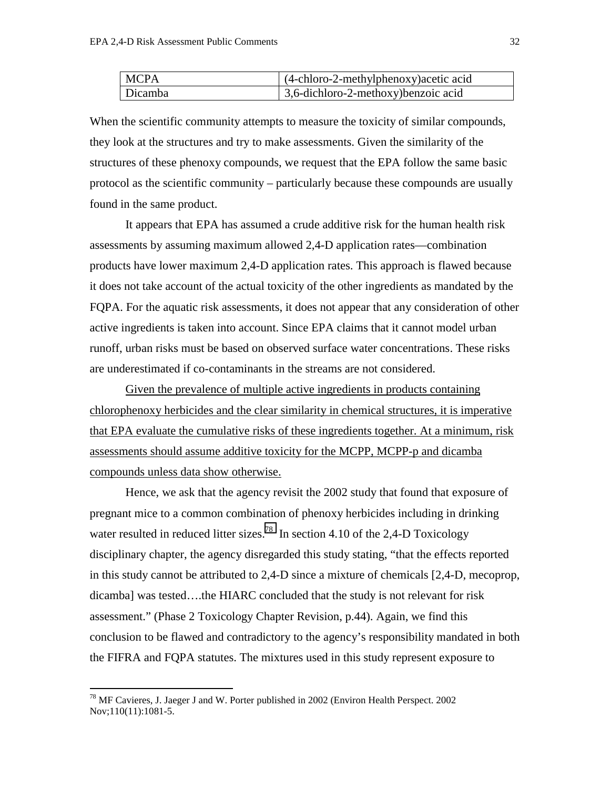| <b>MCPA</b>    | $\int (4-chloro-2-methylphenoxy) acetic acid$ |
|----------------|-----------------------------------------------|
| <b>Dicamba</b> | $\vert$ 3,6-dichloro-2-methoxy) benzoic acid  |

When the scientific community attempts to measure the toxicity of similar compounds, they look at the structures and try to make assessments. Given the similarity of the structures of these phenoxy compounds, we request that the EPA follow the same basic protocol as the scientific community – particularly because these compounds are usually found in the same product.

It appears that EPA has assumed a crude additive risk for the human health risk assessments by assuming maximum allowed 2,4-D application rates—combination products have lower maximum 2,4-D application rates. This approach is flawed because it does not take account of the actual toxicity of the other ingredients as mandated by the FQPA. For the aquatic risk assessments, it does not appear that any consideration of other active ingredients is taken into account. Since EPA claims that it cannot model urban runoff, urban risks must be based on observed surface water concentrations. These risks are underestimated if co-contaminants in the streams are not considered.

Given the prevalence of multiple active ingredients in products containing chlorophenoxy herbicides and the clear similarity in chemical structures, it is imperative that EPA evaluate the cumulative risks of these ingredients together. At a minimum, risk assessments should assume additive toxicity for the MCPP, MCPP-p and dicamba compounds unless data show otherwise.

Hence, we ask that the agency revisit the 2002 study that found that exposure of pregnant mice to a common combination of phenoxy herbicides including in drinking water resulted in reduced litter sizes.<sup>78</sup> In section 4.10 of the 2,4-D Toxicology disciplinary chapter, the agency disregarded this study stating, "that the effects reported in this study cannot be attributed to 2,4-D since a mixture of chemicals [2,4-D, mecoprop, dicamba] was tested….the HIARC concluded that the study is not relevant for risk assessment." (Phase 2 Toxicology Chapter Revision, p.44). Again, we find this conclusion to be flawed and contradictory to the agency's responsibility mandated in both the FIFRA and FQPA statutes. The mixtures used in this study represent exposure to

 $^{78}$  MF Cavieres, J. Jaeger J and W. Porter published in 2002 (Environ Health Perspect. 2002) Nov;110(11):1081-5.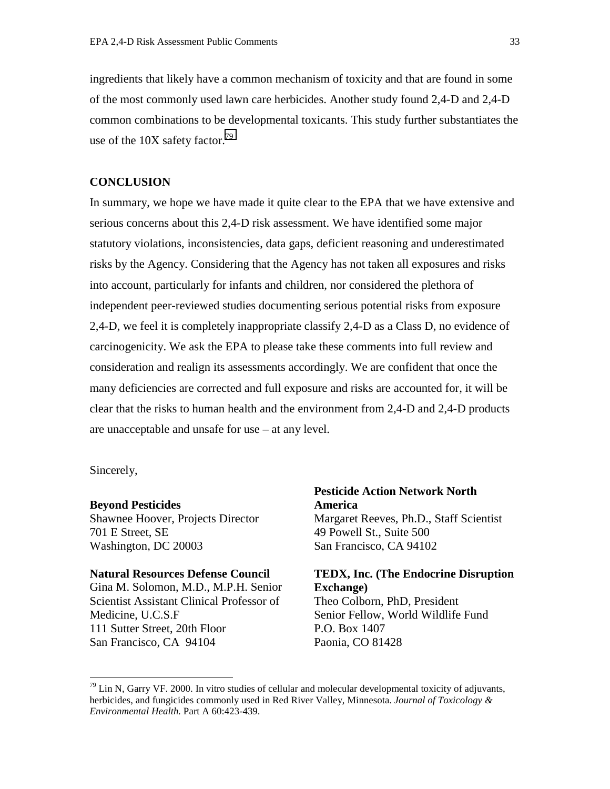ingredients that likely have a common mechanism of toxicity and that are found in some of the most commonly used lawn care herbicides. Another study found 2,4-D and 2,4-D common combinations to be developmental toxicants. This study further substantiates the use of the 10X safety factor.<sup>79</sup>

## **CONCLUSION**

In summary, we hope we have made it quite clear to the EPA that we have extensive and serious concerns about this 2,4-D risk assessment. We have identified some major statutory violations, inconsistencies, data gaps, deficient reasoning and underestimated risks by the Agency. Considering that the Agency has not taken all exposures and risks into account, particularly for infants and children, nor considered the plethora of independent peer-reviewed studies documenting serious potential risks from exposure 2,4-D, we feel it is completely inappropriate classify 2,4-D as a Class D, no evidence of carcinogenicity. We ask the EPA to please take these comments into full review and consideration and realign its assessments accordingly. We are confident that once the many deficiencies are corrected and full exposure and risks are accounted for, it will be clear that the risks to human health and the environment from 2,4-D and 2,4-D products are unacceptable and unsafe for use – at any level.

Sincerely,

 $\overline{a}$ 

#### **Beyond Pesticides**

Shawnee Hoover, Projects Director 701 E Street, SE Washington, DC 20003

#### **Natural Resources Defense Council**

Gina M. Solomon, M.D., M.P.H. Senior Scientist Assistant Clinical Professor of Medicine, U.C.S.F 111 Sutter Street, 20th Floor San Francisco, CA 94104

**Pesticide Action Network North America**  Margaret Reeves, Ph.D., Staff Scientist 49 Powell St., Suite 500 San Francisco, CA 94102

# **TEDX, Inc. (The Endocrine Disruption Exchange)**

Theo Colborn, PhD, President Senior Fellow, World Wildlife Fund P.O. Box 1407 Paonia, CO 81428

 $79$  Lin N, Garry VF. 2000. In vitro studies of cellular and molecular developmental toxicity of adjuvants, herbicides, and fungicides commonly used in Red River Valley, Minnesota. *Journal of Toxicology & Environmental Health.* Part A 60:423-439.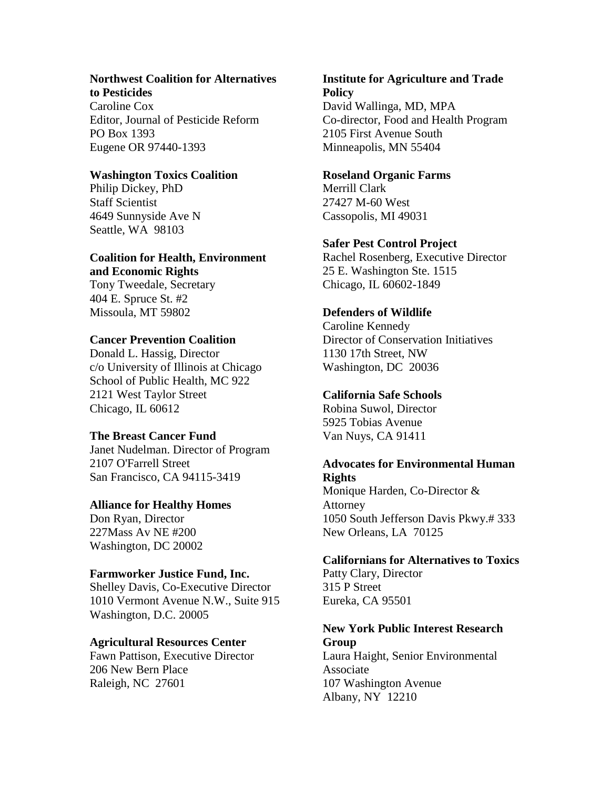#### **Northwest Coalition for Alternatives to Pesticides**

Caroline Cox Editor, Journal of Pesticide Reform PO Box 1393 Eugene OR 97440-1393

# **Washington Toxics Coalition**

Philip Dickey, PhD Staff Scientist 4649 Sunnyside Ave N Seattle, WA 98103

# **Coalition for Health, Environment and Economic Rights**

Tony Tweedale, Secretary 404 E. Spruce St. #2 Missoula, MT 59802

# **Cancer Prevention Coalition**

Donald L. Hassig, Director c/o University of Illinois at Chicago School of Public Health, MC 922 2121 West Taylor Street Chicago, IL 60612

# **The Breast Cancer Fund**

Janet Nudelman. Director of Program 2107 O'Farrell Street San Francisco, CA 94115-3419

# **Alliance for Healthy Homes**

Don Ryan, Director 227Mass Av NE #200 Washington, DC 20002

# **Farmworker Justice Fund, Inc.**

Shelley Davis, Co-Executive Director 1010 Vermont Avenue N.W., Suite 915 Washington, D.C. 20005

# **Agricultural Resources Center**

Fawn Pattison, Executive Director 206 New Bern Place Raleigh, NC 27601

# **Institute for Agriculture and Trade Policy**  David Wallinga, MD, MPA

Co-director, Food and Health Program 2105 First Avenue South Minneapolis, MN 55404

# **Roseland Organic Farms**

Merrill Clark 27427 M-60 West Cassopolis, MI 49031

# **Safer Pest Control Project**

Rachel Rosenberg, Executive Director 25 E. Washington Ste. 1515 Chicago, IL 60602-1849

# **Defenders of Wildlife**

Caroline Kennedy Director of Conservation Initiatives 1130 17th Street, NW Washington, DC 20036

# **California Safe Schools**

Robina Suwol, Director 5925 Tobias Avenue Van Nuys, CA 91411

# **Advocates for Environmental Human Rights**

Monique Harden, Co-Director & Attorney 1050 South Jefferson Davis Pkwy.# 333 New Orleans, LA 70125

# **Californians for Alternatives to Toxics**

Patty Clary, Director 315 P Street Eureka, CA 95501

# **New York Public Interest Research Group**

Laura Haight, Senior Environmental Associate 107 Washington Avenue Albany, NY 12210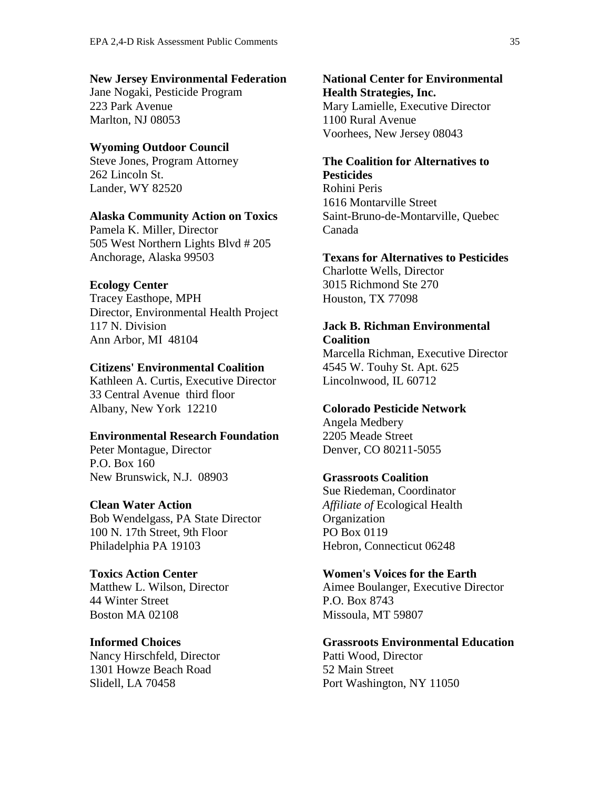#### **New Jersey Environmental Federation**

Jane Nogaki, Pesticide Program 223 Park Avenue Marlton, NJ 08053

# **Wyoming Outdoor Council**

Steve Jones, Program Attorney 262 Lincoln St. Lander, WY 82520

## **Alaska Community Action on Toxics**

Pamela K. Miller, Director 505 West Northern Lights Blvd # 205 Anchorage, Alaska 99503

#### **Ecology Center**

Tracey Easthope, MPH Director, Environmental Health Project 117 N. Division Ann Arbor, MI 48104

# **Citizens' Environmental Coalition**

Kathleen A. Curtis, Executive Director 33 Central Avenue third floor Albany, New York 12210

#### **Environmental Research Foundation**

Peter Montague, Director P.O. Box 160 New Brunswick, N.J. 08903

#### **Clean Water Action**

Bob Wendelgass, PA State Director 100 N. 17th Street, 9th Floor Philadelphia PA 19103

#### **Toxics Action Center**

Matthew L. Wilson, Director 44 Winter Street Boston MA 02108

#### **Informed Choices**

Nancy Hirschfeld, Director 1301 Howze Beach Road Slidell, LA 70458

**National Center for Environmental Health Strategies, Inc.**  Mary Lamielle, Executive Director 1100 Rural Avenue Voorhees, New Jersey 08043

## **The Coalition for Alternatives to Pesticides**

Rohini Peris 1616 Montarville Street Saint-Bruno-de-Montarville, Quebec Canada

#### **Texans for Alternatives to Pesticides**

Charlotte Wells, Director 3015 Richmond Ste 270 Houston, TX 77098

# **Jack B. Richman Environmental**

**Coalition**  Marcella Richman, Executive Director 4545 W. Touhy St. Apt. 625 Lincolnwood, IL 60712

## **Colorado Pesticide Network**

Angela Medbery 2205 Meade Street Denver, CO 80211-5055

## **Grassroots Coalition**

Sue Riedeman, Coordinator *Affiliate of* Ecological Health **Organization** PO Box 0119 Hebron, Connecticut 06248

#### **Women's Voices for the Earth**

Aimee Boulanger, Executive Director P.O. Box 8743 Missoula, MT 59807

## **Grassroots Environmental Education**  Patti Wood, Director

52 Main Street Port Washington, NY 11050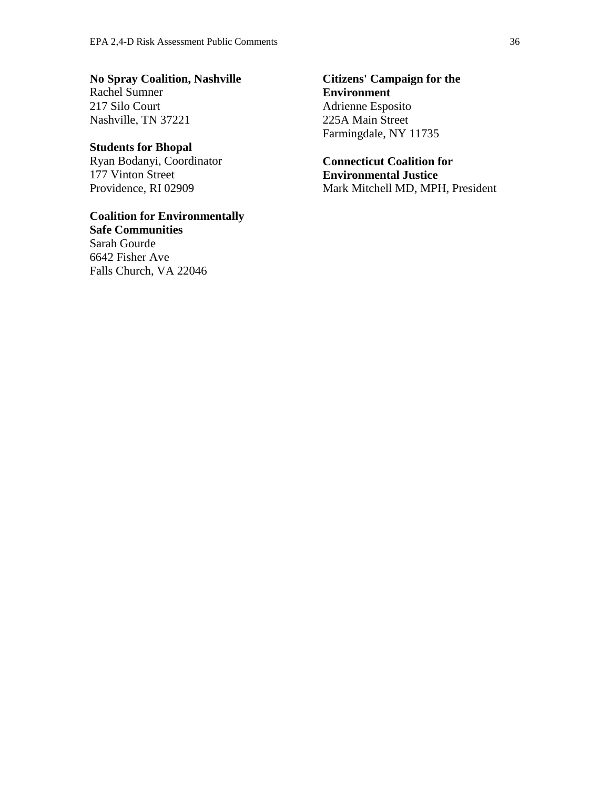**No Spray Coalition, Nashville**  Rachel Sumner 217 Silo Court Nashville, TN 37221

# **Students for Bhopal** Ryan Bodanyi, Coordinator

177 Vinton Street Providence, RI 02909

**Coalition for Environmentally Safe Communities**  Sarah Gourde 6642 Fisher Ave Falls Church, VA 22046

**Citizens' Campaign for the Environment**  Adrienne Esposito 225A Main Street Farmingdale, NY 11735

**Connecticut Coalition for Environmental Justice**  Mark Mitchell MD, MPH, President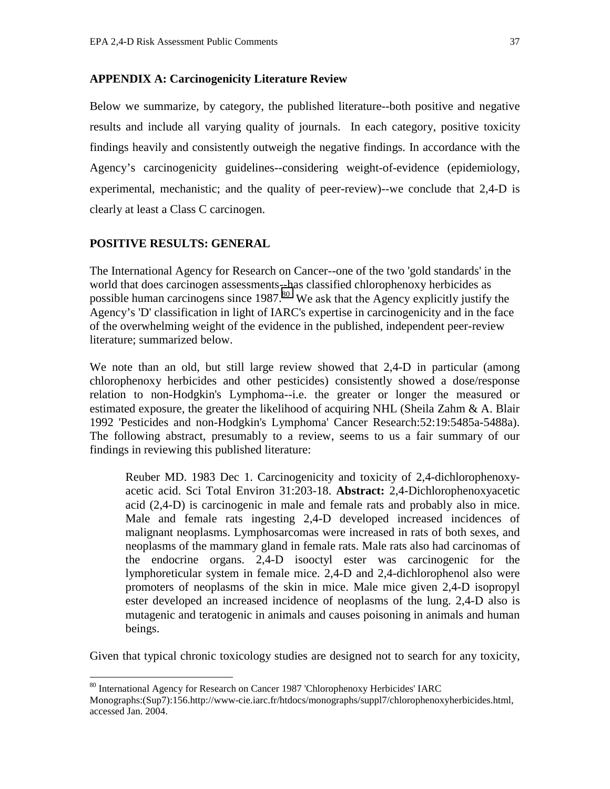# **APPENDIX A: Carcinogenicity Literature Review**

Below we summarize, by category, the published literature--both positive and negative results and include all varying quality of journals. In each category, positive toxicity findings heavily and consistently outweigh the negative findings. In accordance with the Agency's carcinogenicity guidelines--considering weight-of-evidence (epidemiology, experimental, mechanistic; and the quality of peer-review)--we conclude that 2,4-D is clearly at least a Class C carcinogen.

# **POSITIVE RESULTS: GENERAL**

 $\overline{a}$ 

The International Agency for Research on Cancer--one of the two 'gold standards' in the world that does carcinogen assessments--has classified chlorophenoxy herbicides as possible human carcinogens since 1987.<sup>80</sup> We ask that the Agency explicitly justify the Agency's 'D' classification in light of IARC's expertise in carcinogenicity and in the face of the overwhelming weight of the evidence in the published, independent peer-review literature; summarized below.

We note than an old, but still large review showed that 2,4-D in particular (among chlorophenoxy herbicides and other pesticides) consistently showed a dose/response relation to non-Hodgkin's Lymphoma--i.e. the greater or longer the measured or estimated exposure, the greater the likelihood of acquiring NHL (Sheila Zahm  $\&\,A$ . Blair 1992 'Pesticides and non-Hodgkin's Lymphoma' Cancer Research:52:19:5485a-5488a). The following abstract, presumably to a review, seems to us a fair summary of our findings in reviewing this published literature:

Reuber MD. 1983 Dec 1. Carcinogenicity and toxicity of 2,4-dichlorophenoxyacetic acid. Sci Total Environ 31:203-18. **Abstract:** 2,4-Dichlorophenoxyacetic acid (2,4-D) is carcinogenic in male and female rats and probably also in mice. Male and female rats ingesting 2,4-D developed increased incidences of malignant neoplasms. Lymphosarcomas were increased in rats of both sexes, and neoplasms of the mammary gland in female rats. Male rats also had carcinomas of the endocrine organs. 2,4-D isooctyl ester was carcinogenic for the lymphoreticular system in female mice. 2,4-D and 2,4-dichlorophenol also were promoters of neoplasms of the skin in mice. Male mice given 2,4-D isopropyl ester developed an increased incidence of neoplasms of the lung. 2,4-D also is mutagenic and teratogenic in animals and causes poisoning in animals and human beings.

Given that typical chronic toxicology studies are designed not to search for any toxicity,

<sup>80</sup> International Agency for Research on Cancer 1987 'Chlorophenoxy Herbicides' IARC

Monographs:(Sup7):156.http://www-cie.iarc.fr/htdocs/monographs/suppl7/chlorophenoxyherbicides.html, accessed Jan. 2004.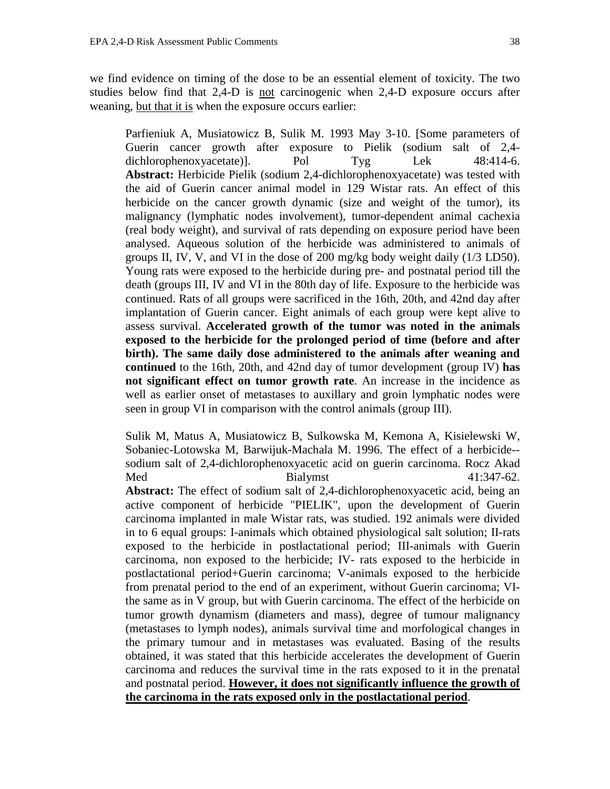we find evidence on timing of the dose to be an essential element of toxicity. The two studies below find that 2,4-D is not carcinogenic when 2,4-D exposure occurs after weaning, but that it is when the exposure occurs earlier:

Parfieniuk A, Musiatowicz B, Sulik M. 1993 May 3-10. [Some parameters of Guerin cancer growth after exposure to Pielik (sodium salt of 2,4 dichlorophenoxyacetate)]. Pol Tyg Lek 48:414-6. **Abstract:** Herbicide Pielik (sodium 2,4-dichlorophenoxyacetate) was tested with the aid of Guerin cancer animal model in 129 Wistar rats. An effect of this herbicide on the cancer growth dynamic (size and weight of the tumor), its malignancy (lymphatic nodes involvement), tumor-dependent animal cachexia (real body weight), and survival of rats depending on exposure period have been analysed. Aqueous solution of the herbicide was administered to animals of groups II, IV, V, and VI in the dose of 200 mg/kg body weight daily (1/3 LD50). Young rats were exposed to the herbicide during pre- and postnatal period till the death (groups III, IV and VI in the 80th day of life. Exposure to the herbicide was continued. Rats of all groups were sacrificed in the 16th, 20th, and 42nd day after implantation of Guerin cancer. Eight animals of each group were kept alive to assess survival. **Accelerated growth of the tumor was noted in the animals exposed to the herbicide for the prolonged period of time (before and after birth). The same daily dose administered to the animals after weaning and continued** to the 16th, 20th, and 42nd day of tumor development (group IV) **has not significant effect on tumor growth rate**. An increase in the incidence as well as earlier onset of metastases to auxillary and groin lymphatic nodes were seen in group VI in comparison with the control animals (group III).

Sulik M, Matus A, Musiatowicz B, Sulkowska M, Kemona A, Kisielewski W, Sobaniec-Lotowska M, Barwijuk-Machala M. 1996. The effect of a herbicide- sodium salt of 2,4-dichlorophenoxyacetic acid on guerin carcinoma. Rocz Akad Med Bialymst 41:347-62. **Abstract:** The effect of sodium salt of 2,4-dichlorophenoxyacetic acid, being an active component of herbicide "PIELIK", upon the development of Guerin carcinoma implanted in male Wistar rats, was studied. 192 animals were divided in to 6 equal groups: I-animals which obtained physiological salt solution; II-rats exposed to the herbicide in postlactational period; III-animals with Guerin carcinoma, non exposed to the herbicide; IV- rats exposed to the herbicide in postlactational period+Guerin carcinoma; V-animals exposed to the herbicide from prenatal period to the end of an experiment, without Guerin carcinoma; VIthe same as in V group, but with Guerin carcinoma. The effect of the herbicide on tumor growth dynamism (diameters and mass), degree of tumour malignancy (metastases to lymph nodes), animals survival time and morfological changes in the primary tumour and in metastases was evaluated. Basing of the results obtained, it was stated that this herbicide accelerates the development of Guerin carcinoma and reduces the survival time in the rats exposed to it in the prenatal and postnatal period. **However, it does not significantly influence the growth of the carcinoma in the rats exposed only in the postlactational period**.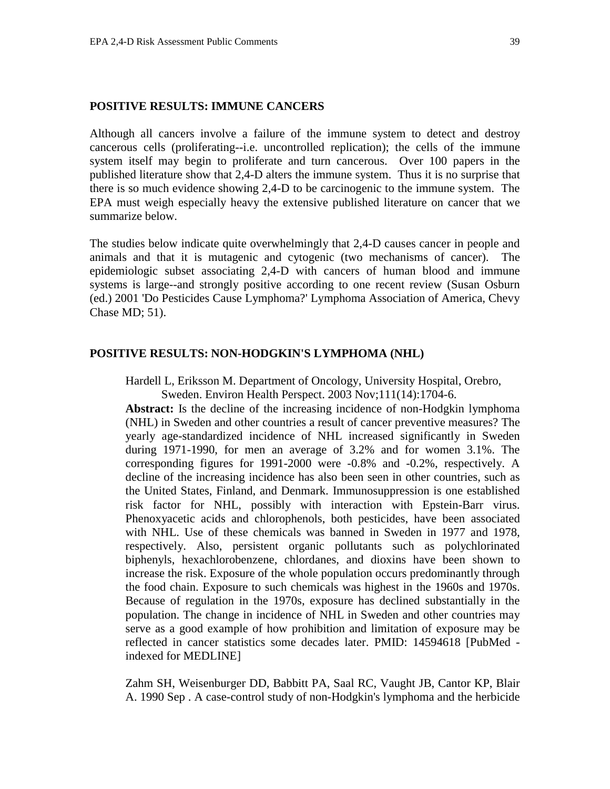## **POSITIVE RESULTS: IMMUNE CANCERS**

Although all cancers involve a failure of the immune system to detect and destroy cancerous cells (proliferating--i.e. uncontrolled replication); the cells of the immune system itself may begin to proliferate and turn cancerous. Over 100 papers in the published literature show that 2,4-D alters the immune system. Thus it is no surprise that there is so much evidence showing 2,4-D to be carcinogenic to the immune system. The EPA must weigh especially heavy the extensive published literature on cancer that we summarize below.

The studies below indicate quite overwhelmingly that 2,4-D causes cancer in people and animals and that it is mutagenic and cytogenic (two mechanisms of cancer). The epidemiologic subset associating 2,4-D with cancers of human blood and immune systems is large--and strongly positive according to one recent review (Susan Osburn (ed.) 2001 'Do Pesticides Cause Lymphoma?' Lymphoma Association of America, Chevy Chase MD; 51).

### **POSITIVE RESULTS: NON-HODGKIN'S LYMPHOMA (NHL)**

Hardell L, Eriksson M. Department of Oncology, University Hospital, Orebro,

Sweden. Environ Health Perspect. 2003 Nov;111(14):1704-6.

Abstract: Is the decline of the increasing incidence of non-Hodgkin lymphoma (NHL) in Sweden and other countries a result of cancer preventive measures? The yearly age-standardized incidence of NHL increased significantly in Sweden during 1971-1990, for men an average of 3.2% and for women 3.1%. The corresponding figures for 1991-2000 were -0.8% and -0.2%, respectively. A decline of the increasing incidence has also been seen in other countries, such as the United States, Finland, and Denmark. Immunosuppression is one established risk factor for NHL, possibly with interaction with Epstein-Barr virus. Phenoxyacetic acids and chlorophenols, both pesticides, have been associated with NHL. Use of these chemicals was banned in Sweden in 1977 and 1978, respectively. Also, persistent organic pollutants such as polychlorinated biphenyls, hexachlorobenzene, chlordanes, and dioxins have been shown to increase the risk. Exposure of the whole population occurs predominantly through the food chain. Exposure to such chemicals was highest in the 1960s and 1970s. Because of regulation in the 1970s, exposure has declined substantially in the population. The change in incidence of NHL in Sweden and other countries may serve as a good example of how prohibition and limitation of exposure may be reflected in cancer statistics some decades later. PMID: 14594618 [PubMed indexed for MEDLINE]

Zahm SH, Weisenburger DD, Babbitt PA, Saal RC, Vaught JB, Cantor KP, Blair A. 1990 Sep . A case-control study of non-Hodgkin's lymphoma and the herbicide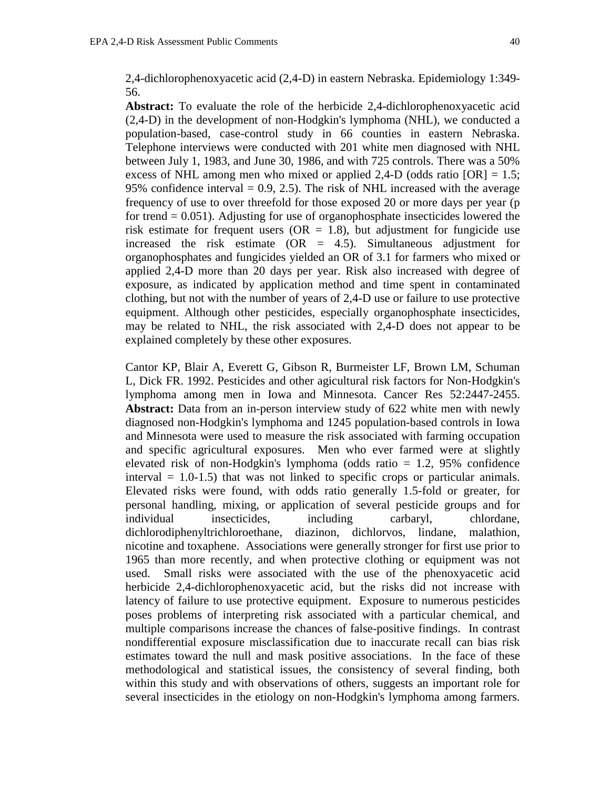2,4-dichlorophenoxyacetic acid (2,4-D) in eastern Nebraska. Epidemiology 1:349- 56.

**Abstract:** To evaluate the role of the herbicide 2,4-dichlorophenoxyacetic acid (2,4-D) in the development of non-Hodgkin's lymphoma (NHL), we conducted a population-based, case-control study in 66 counties in eastern Nebraska. Telephone interviews were conducted with 201 white men diagnosed with NHL between July 1, 1983, and June 30, 1986, and with 725 controls. There was a 50% excess of NHL among men who mixed or applied 2,4-D (odds ratio  $[OR] = 1.5$ ; 95% confidence interval  $= 0.9, 2.5$ . The risk of NHL increased with the average frequency of use to over threefold for those exposed 20 or more days per year (p for trend  $= 0.051$ ). Adjusting for use of organophosphate insecticides lowered the risk estimate for frequent users ( $OR = 1.8$ ), but adjustment for fungicide use increased the risk estimate  $(OR = 4.5)$ . Simultaneous adjustment for organophosphates and fungicides yielded an OR of 3.1 for farmers who mixed or applied 2,4-D more than 20 days per year. Risk also increased with degree of exposure, as indicated by application method and time spent in contaminated clothing, but not with the number of years of 2,4-D use or failure to use protective equipment. Although other pesticides, especially organophosphate insecticides, may be related to NHL, the risk associated with 2,4-D does not appear to be explained completely by these other exposures.

Cantor KP, Blair A, Everett G, Gibson R, Burmeister LF, Brown LM, Schuman L, Dick FR. 1992. Pesticides and other agicultural risk factors for Non-Hodgkin's lymphoma among men in Iowa and Minnesota. Cancer Res 52:2447-2455. Abstract: Data from an in-person interview study of 622 white men with newly diagnosed non-Hodgkin's lymphoma and 1245 population-based controls in Iowa and Minnesota were used to measure the risk associated with farming occupation and specific agricultural exposures. Men who ever farmed were at slightly elevated risk of non-Hodgkin's lymphoma (odds ratio  $= 1.2, 95\%$  confidence interval  $= 1.0 - 1.5$ ) that was not linked to specific crops or particular animals. Elevated risks were found, with odds ratio generally 1.5-fold or greater, for personal handling, mixing, or application of several pesticide groups and for individual insecticides, including carbaryl, chlordane, dichlorodiphenyltrichloroethane, diazinon, dichlorvos, lindane, malathion, nicotine and toxaphene. Associations were generally stronger for first use prior to 1965 than more recently, and when protective clothing or equipment was not used. Small risks were associated with the use of the phenoxyacetic acid herbicide 2,4-dichlorophenoxyacetic acid, but the risks did not increase with latency of failure to use protective equipment. Exposure to numerous pesticides poses problems of interpreting risk associated with a particular chemical, and multiple comparisons increase the chances of false-positive findings. In contrast nondifferential exposure misclassification due to inaccurate recall can bias risk estimates toward the null and mask positive associations. In the face of these methodological and statistical issues, the consistency of several finding, both within this study and with observations of others, suggests an important role for several insecticides in the etiology on non-Hodgkin's lymphoma among farmers.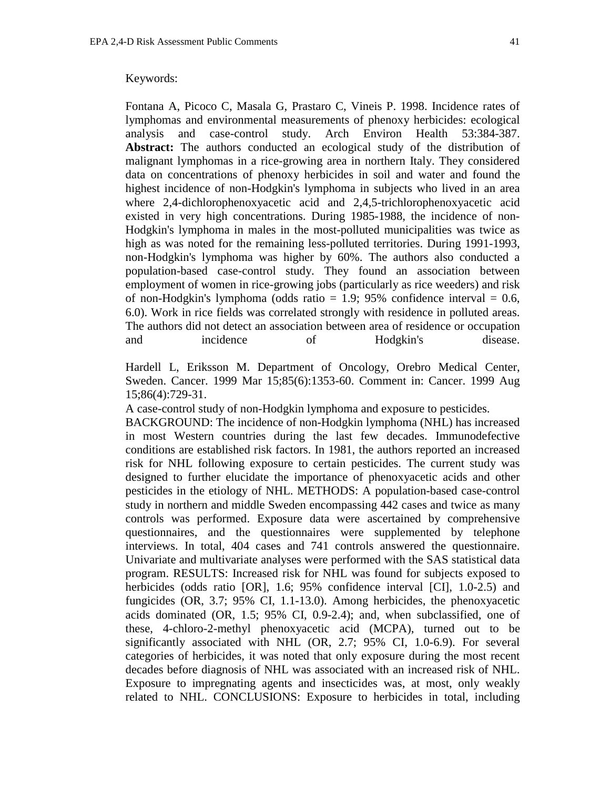#### Keywords:

Fontana A, Picoco C, Masala G, Prastaro C, Vineis P. 1998. Incidence rates of lymphomas and environmental measurements of phenoxy herbicides: ecological analysis and case-control study. Arch Environ Health 53:384-387. Abstract: The authors conducted an ecological study of the distribution of malignant lymphomas in a rice-growing area in northern Italy. They considered data on concentrations of phenoxy herbicides in soil and water and found the highest incidence of non-Hodgkin's lymphoma in subjects who lived in an area where 2,4-dichlorophenoxyacetic acid and 2,4,5-trichlorophenoxyacetic acid existed in very high concentrations. During 1985-1988, the incidence of non-Hodgkin's lymphoma in males in the most-polluted municipalities was twice as high as was noted for the remaining less-polluted territories. During 1991-1993, non-Hodgkin's lymphoma was higher by 60%. The authors also conducted a population-based case-control study. They found an association between employment of women in rice-growing jobs (particularly as rice weeders) and risk of non-Hodgkin's lymphoma (odds ratio = 1.9; 95% confidence interval = 0.6, 6.0). Work in rice fields was correlated strongly with residence in polluted areas. The authors did not detect an association between area of residence or occupation and incidence of Hodgkin's disease.

Hardell L, Eriksson M. Department of Oncology, Orebro Medical Center, Sweden. Cancer. 1999 Mar 15;85(6):1353-60. Comment in: Cancer. 1999 Aug 15;86(4):729-31.

A case-control study of non-Hodgkin lymphoma and exposure to pesticides.

BACKGROUND: The incidence of non-Hodgkin lymphoma (NHL) has increased in most Western countries during the last few decades. Immunodefective conditions are established risk factors. In 1981, the authors reported an increased risk for NHL following exposure to certain pesticides. The current study was designed to further elucidate the importance of phenoxyacetic acids and other pesticides in the etiology of NHL. METHODS: A population-based case-control study in northern and middle Sweden encompassing 442 cases and twice as many controls was performed. Exposure data were ascertained by comprehensive questionnaires, and the questionnaires were supplemented by telephone interviews. In total, 404 cases and 741 controls answered the questionnaire. Univariate and multivariate analyses were performed with the SAS statistical data program. RESULTS: Increased risk for NHL was found for subjects exposed to herbicides (odds ratio [OR], 1.6; 95% confidence interval [CI], 1.0-2.5) and fungicides (OR, 3.7; 95% CI, 1.1-13.0). Among herbicides, the phenoxyacetic acids dominated (OR, 1.5; 95% CI, 0.9-2.4); and, when subclassified, one of these, 4-chloro-2-methyl phenoxyacetic acid (MCPA), turned out to be significantly associated with NHL (OR, 2.7; 95% CI, 1.0-6.9). For several categories of herbicides, it was noted that only exposure during the most recent decades before diagnosis of NHL was associated with an increased risk of NHL. Exposure to impregnating agents and insecticides was, at most, only weakly related to NHL. CONCLUSIONS: Exposure to herbicides in total, including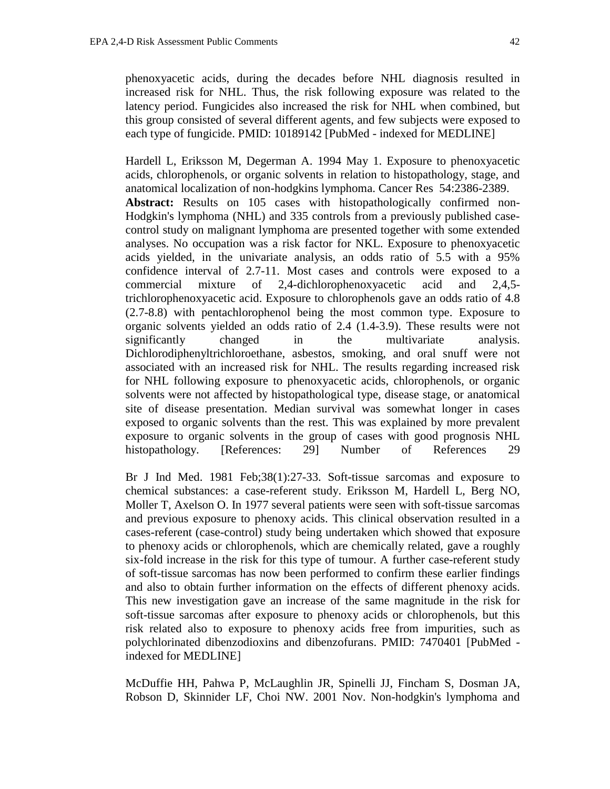phenoxyacetic acids, during the decades before NHL diagnosis resulted in increased risk for NHL. Thus, the risk following exposure was related to the latency period. Fungicides also increased the risk for NHL when combined, but this group consisted of several different agents, and few subjects were exposed to each type of fungicide. PMID: 10189142 [PubMed - indexed for MEDLINE]

Hardell L, Eriksson M, Degerman A. 1994 May 1. Exposure to phenoxyacetic acids, chlorophenols, or organic solvents in relation to histopathology, stage, and anatomical localization of non-hodgkins lymphoma. Cancer Res 54:2386-2389. **Abstract:** Results on 105 cases with histopathologically confirmed non-Hodgkin's lymphoma (NHL) and 335 controls from a previously published casecontrol study on malignant lymphoma are presented together with some extended analyses. No occupation was a risk factor for NKL. Exposure to phenoxyacetic acids yielded, in the univariate analysis, an odds ratio of 5.5 with a 95% confidence interval of 2.7-11. Most cases and controls were exposed to a commercial mixture of 2,4-dichlorophenoxyacetic acid and 2,4,5 trichlorophenoxyacetic acid. Exposure to chlorophenols gave an odds ratio of 4.8 (2.7-8.8) with pentachlorophenol being the most common type. Exposure to organic solvents yielded an odds ratio of 2.4 (1.4-3.9). These results were not significantly changed in the multivariate analysis. Dichlorodiphenyltrichloroethane, asbestos, smoking, and oral snuff were not associated with an increased risk for NHL. The results regarding increased risk for NHL following exposure to phenoxyacetic acids, chlorophenols, or organic solvents were not affected by histopathological type, disease stage, or anatomical site of disease presentation. Median survival was somewhat longer in cases exposed to organic solvents than the rest. This was explained by more prevalent exposure to organic solvents in the group of cases with good prognosis NHL histopathology. [References: 29] Number of References 29

Br J Ind Med. 1981 Feb;38(1):27-33. Soft-tissue sarcomas and exposure to chemical substances: a case-referent study. Eriksson M, Hardell L, Berg NO, Moller T, Axelson O. In 1977 several patients were seen with soft-tissue sarcomas and previous exposure to phenoxy acids. This clinical observation resulted in a cases-referent (case-control) study being undertaken which showed that exposure to phenoxy acids or chlorophenols, which are chemically related, gave a roughly six-fold increase in the risk for this type of tumour. A further case-referent study of soft-tissue sarcomas has now been performed to confirm these earlier findings and also to obtain further information on the effects of different phenoxy acids. This new investigation gave an increase of the same magnitude in the risk for soft-tissue sarcomas after exposure to phenoxy acids or chlorophenols, but this risk related also to exposure to phenoxy acids free from impurities, such as polychlorinated dibenzodioxins and dibenzofurans. PMID: 7470401 [PubMed indexed for MEDLINE]

McDuffie HH, Pahwa P, McLaughlin JR, Spinelli JJ, Fincham S, Dosman JA, Robson D, Skinnider LF, Choi NW. 2001 Nov. Non-hodgkin's lymphoma and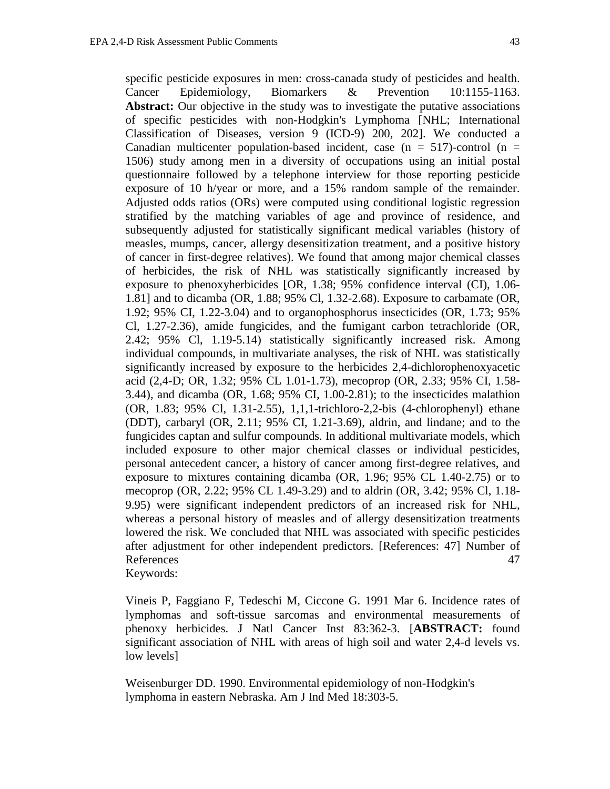specific pesticide exposures in men: cross-canada study of pesticides and health. Cancer Epidemiology, Biomarkers & Prevention 10:1155-1163. Abstract: Our objective in the study was to investigate the putative associations of specific pesticides with non-Hodgkin's Lymphoma [NHL; International Classification of Diseases, version 9 (ICD-9) 200, 202]. We conducted a Canadian multicenter population-based incident, case ( $n = 517$ )-control ( $n =$ 1506) study among men in a diversity of occupations using an initial postal questionnaire followed by a telephone interview for those reporting pesticide exposure of 10 h/year or more, and a 15% random sample of the remainder. Adjusted odds ratios (ORs) were computed using conditional logistic regression stratified by the matching variables of age and province of residence, and subsequently adjusted for statistically significant medical variables (history of measles, mumps, cancer, allergy desensitization treatment, and a positive history of cancer in first-degree relatives). We found that among major chemical classes of herbicides, the risk of NHL was statistically significantly increased by exposure to phenoxyherbicides [OR, 1.38; 95% confidence interval (CI), 1.06- 1.81] and to dicamba (OR, 1.88; 95% Cl, 1.32-2.68). Exposure to carbamate (OR, 1.92; 95% CI, 1.22-3.04) and to organophosphorus insecticides (OR, 1.73; 95% Cl, 1.27-2.36), amide fungicides, and the fumigant carbon tetrachloride (OR, 2.42; 95% Cl, 1.19-5.14) statistically significantly increased risk. Among individual compounds, in multivariate analyses, the risk of NHL was statistically significantly increased by exposure to the herbicides 2,4-dichlorophenoxyacetic acid (2,4-D; OR, 1.32; 95% CL 1.01-1.73), mecoprop (OR, 2.33; 95% CI, 1.58- 3.44), and dicamba (OR, 1.68; 95% CI, 1.00-2.81); to the insecticides malathion (OR, 1.83; 95% Cl, 1.31-2.55), 1,1,1-trichloro-2,2-bis (4-chlorophenyl) ethane (DDT), carbaryl (OR, 2.11; 95% CI, 1.21-3.69), aldrin, and lindane; and to the fungicides captan and sulfur compounds. In additional multivariate models, which included exposure to other major chemical classes or individual pesticides, personal antecedent cancer, a history of cancer among first-degree relatives, and exposure to mixtures containing dicamba (OR, 1.96; 95% CL 1.40-2.75) or to mecoprop (OR, 2.22; 95% CL 1.49-3.29) and to aldrin (OR, 3.42; 95% Cl, 1.18- 9.95) were significant independent predictors of an increased risk for NHL, whereas a personal history of measles and of allergy desensitization treatments lowered the risk. We concluded that NHL was associated with specific pesticides after adjustment for other independent predictors. [References: 47] Number of References 47 Keywords:

Vineis P, Faggiano F, Tedeschi M, Ciccone G. 1991 Mar 6. Incidence rates of lymphomas and soft-tissue sarcomas and environmental measurements of phenoxy herbicides. J Natl Cancer Inst 83:362-3. [**ABSTRACT:** found significant association of NHL with areas of high soil and water 2,4-d levels vs. low levels]

Weisenburger DD. 1990. Environmental epidemiology of non-Hodgkin's lymphoma in eastern Nebraska. Am J Ind Med 18:303-5.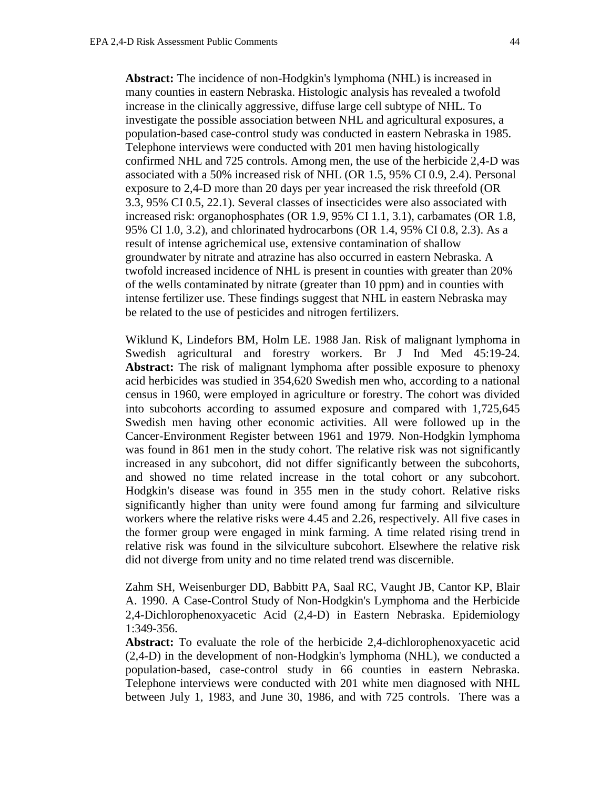**Abstract:** The incidence of non-Hodgkin's lymphoma (NHL) is increased in many counties in eastern Nebraska. Histologic analysis has revealed a twofold increase in the clinically aggressive, diffuse large cell subtype of NHL. To investigate the possible association between NHL and agricultural exposures, a population-based case-control study was conducted in eastern Nebraska in 1985. Telephone interviews were conducted with 201 men having histologically confirmed NHL and 725 controls. Among men, the use of the herbicide 2,4-D was associated with a 50% increased risk of NHL (OR 1.5, 95% CI 0.9, 2.4). Personal exposure to 2,4-D more than 20 days per year increased the risk threefold (OR 3.3, 95% CI 0.5, 22.1). Several classes of insecticides were also associated with increased risk: organophosphates (OR 1.9, 95% CI 1.1, 3.1), carbamates (OR 1.8, 95% CI 1.0, 3.2), and chlorinated hydrocarbons (OR 1.4, 95% CI 0.8, 2.3). As a result of intense agrichemical use, extensive contamination of shallow groundwater by nitrate and atrazine has also occurred in eastern Nebraska. A twofold increased incidence of NHL is present in counties with greater than 20% of the wells contaminated by nitrate (greater than 10 ppm) and in counties with intense fertilizer use. These findings suggest that NHL in eastern Nebraska may be related to the use of pesticides and nitrogen fertilizers.

Wiklund K, Lindefors BM, Holm LE. 1988 Jan. Risk of malignant lymphoma in Swedish agricultural and forestry workers. Br J Ind Med 45:19-24. Abstract: The risk of malignant lymphoma after possible exposure to phenoxy acid herbicides was studied in 354,620 Swedish men who, according to a national census in 1960, were employed in agriculture or forestry. The cohort was divided into subcohorts according to assumed exposure and compared with 1,725,645 Swedish men having other economic activities. All were followed up in the Cancer-Environment Register between 1961 and 1979. Non-Hodgkin lymphoma was found in 861 men in the study cohort. The relative risk was not significantly increased in any subcohort, did not differ significantly between the subcohorts, and showed no time related increase in the total cohort or any subcohort. Hodgkin's disease was found in 355 men in the study cohort. Relative risks significantly higher than unity were found among fur farming and silviculture workers where the relative risks were 4.45 and 2.26, respectively. All five cases in the former group were engaged in mink farming. A time related rising trend in relative risk was found in the silviculture subcohort. Elsewhere the relative risk did not diverge from unity and no time related trend was discernible.

Zahm SH, Weisenburger DD, Babbitt PA, Saal RC, Vaught JB, Cantor KP, Blair A. 1990. A Case-Control Study of Non-Hodgkin's Lymphoma and the Herbicide 2,4-Dichlorophenoxyacetic Acid (2,4-D) in Eastern Nebraska. Epidemiology 1:349-356.

**Abstract:** To evaluate the role of the herbicide 2,4-dichlorophenoxyacetic acid (2,4-D) in the development of non-Hodgkin's lymphoma (NHL), we conducted a population-based, case-control study in 66 counties in eastern Nebraska. Telephone interviews were conducted with 201 white men diagnosed with NHL between July 1, 1983, and June 30, 1986, and with 725 controls. There was a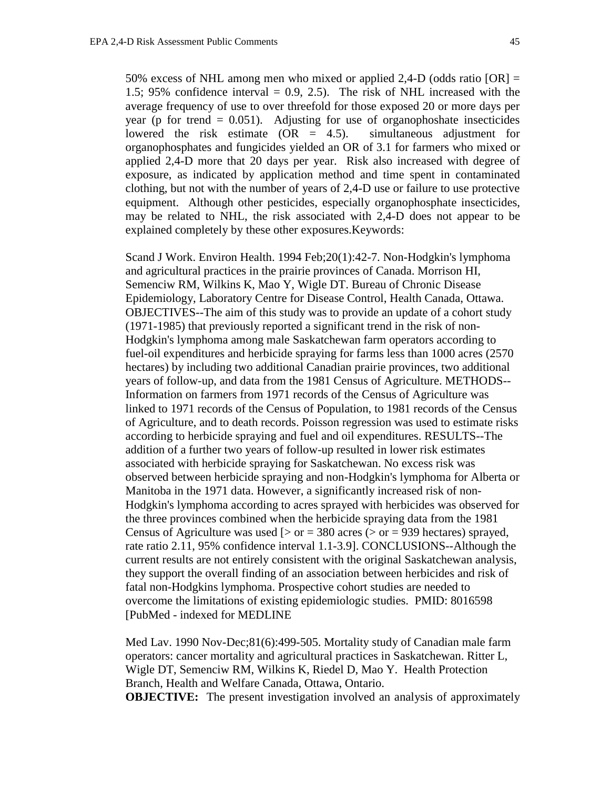50% excess of NHL among men who mixed or applied 2,4-D (odds ratio  $[OR] =$ 1.5; 95% confidence interval  $= 0.9, 2.5$ ). The risk of NHL increased with the average frequency of use to over threefold for those exposed 20 or more days per year (p for trend  $= 0.051$ ). Adjusting for use of organophoshate insecticides lowered the risk estimate (OR = 4.5). simultaneous adjustment for organophosphates and fungicides yielded an OR of 3.1 for farmers who mixed or applied 2,4-D more that 20 days per year. Risk also increased with degree of exposure, as indicated by application method and time spent in contaminated clothing, but not with the number of years of 2,4-D use or failure to use protective equipment. Although other pesticides, especially organophosphate insecticides, may be related to NHL, the risk associated with 2,4-D does not appear to be explained completely by these other exposures.Keywords:

Scand J Work. Environ Health. 1994 Feb;20(1):42-7. Non-Hodgkin's lymphoma and agricultural practices in the prairie provinces of Canada. Morrison HI, Semenciw RM, Wilkins K, Mao Y, Wigle DT. Bureau of Chronic Disease Epidemiology, Laboratory Centre for Disease Control, Health Canada, Ottawa. OBJECTIVES--The aim of this study was to provide an update of a cohort study (1971-1985) that previously reported a significant trend in the risk of non-Hodgkin's lymphoma among male Saskatchewan farm operators according to fuel-oil expenditures and herbicide spraying for farms less than 1000 acres (2570 hectares) by including two additional Canadian prairie provinces, two additional years of follow-up, and data from the 1981 Census of Agriculture. METHODS-- Information on farmers from 1971 records of the Census of Agriculture was linked to 1971 records of the Census of Population, to 1981 records of the Census of Agriculture, and to death records. Poisson regression was used to estimate risks according to herbicide spraying and fuel and oil expenditures. RESULTS--The addition of a further two years of follow-up resulted in lower risk estimates associated with herbicide spraying for Saskatchewan. No excess risk was observed between herbicide spraying and non-Hodgkin's lymphoma for Alberta or Manitoba in the 1971 data. However, a significantly increased risk of non-Hodgkin's lymphoma according to acres sprayed with herbicides was observed for the three provinces combined when the herbicide spraying data from the 1981 Census of Agriculture was used  $\lceil$  > or = 380 acres (> or = 939 hectares) sprayed, rate ratio 2.11, 95% confidence interval 1.1-3.9]. CONCLUSIONS--Although the current results are not entirely consistent with the original Saskatchewan analysis, they support the overall finding of an association between herbicides and risk of fatal non-Hodgkins lymphoma. Prospective cohort studies are needed to overcome the limitations of existing epidemiologic studies. PMID: 8016598 [PubMed - indexed for MEDLINE

Med Lav. 1990 Nov-Dec;81(6):499-505. Mortality study of Canadian male farm operators: cancer mortality and agricultural practices in Saskatchewan. Ritter L, Wigle DT, Semenciw RM, Wilkins K, Riedel D, Mao Y. Health Protection Branch, Health and Welfare Canada, Ottawa, Ontario. **OBJECTIVE:** The present investigation involved an analysis of approximately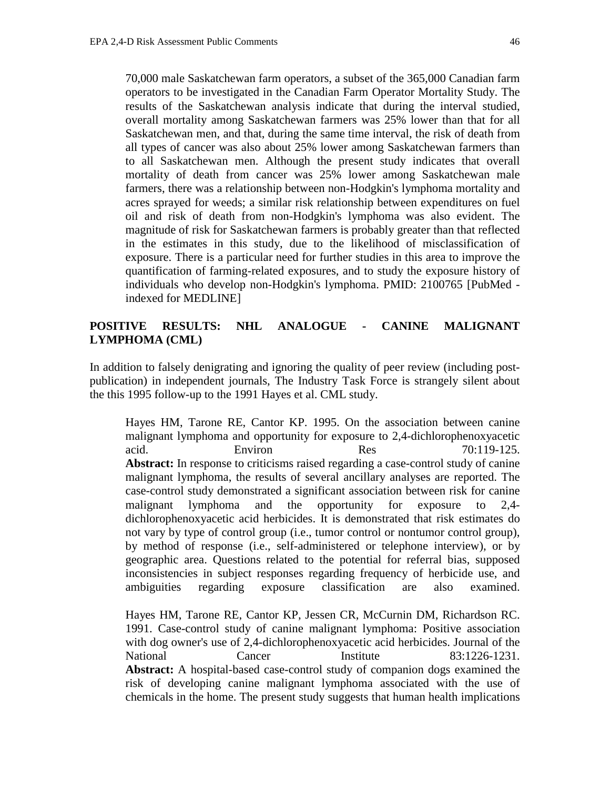70,000 male Saskatchewan farm operators, a subset of the 365,000 Canadian farm operators to be investigated in the Canadian Farm Operator Mortality Study. The results of the Saskatchewan analysis indicate that during the interval studied, overall mortality among Saskatchewan farmers was 25% lower than that for all Saskatchewan men, and that, during the same time interval, the risk of death from all types of cancer was also about 25% lower among Saskatchewan farmers than to all Saskatchewan men. Although the present study indicates that overall mortality of death from cancer was 25% lower among Saskatchewan male farmers, there was a relationship between non-Hodgkin's lymphoma mortality and acres sprayed for weeds; a similar risk relationship between expenditures on fuel oil and risk of death from non-Hodgkin's lymphoma was also evident. The magnitude of risk for Saskatchewan farmers is probably greater than that reflected in the estimates in this study, due to the likelihood of misclassification of exposure. There is a particular need for further studies in this area to improve the quantification of farming-related exposures, and to study the exposure history of individuals who develop non-Hodgkin's lymphoma. PMID: 2100765 [PubMed indexed for MEDLINE]

# **POSITIVE RESULTS: NHL ANALOGUE - CANINE MALIGNANT LYMPHOMA (CML)**

In addition to falsely denigrating and ignoring the quality of peer review (including postpublication) in independent journals, The Industry Task Force is strangely silent about the this 1995 follow-up to the 1991 Hayes et al. CML study.

Hayes HM, Tarone RE, Cantor KP. 1995. On the association between canine malignant lymphoma and opportunity for exposure to 2,4-dichlorophenoxyacetic acid. Environ Res 70:119-125. **Abstract:** In response to criticisms raised regarding a case-control study of canine malignant lymphoma, the results of several ancillary analyses are reported. The case-control study demonstrated a significant association between risk for canine malignant lymphoma and the opportunity for exposure to 2,4 dichlorophenoxyacetic acid herbicides. It is demonstrated that risk estimates do not vary by type of control group (i.e., tumor control or nontumor control group), by method of response (i.e., self-administered or telephone interview), or by geographic area. Questions related to the potential for referral bias, supposed inconsistencies in subject responses regarding frequency of herbicide use, and ambiguities regarding exposure classification are also examined.

Hayes HM, Tarone RE, Cantor KP, Jessen CR, McCurnin DM, Richardson RC. 1991. Case-control study of canine malignant lymphoma: Positive association with dog owner's use of 2,4-dichlorophenoxyacetic acid herbicides. Journal of the National Cancer Institute 83:1226-1231. **Abstract:** A hospital-based case-control study of companion dogs examined the risk of developing canine malignant lymphoma associated with the use of chemicals in the home. The present study suggests that human health implications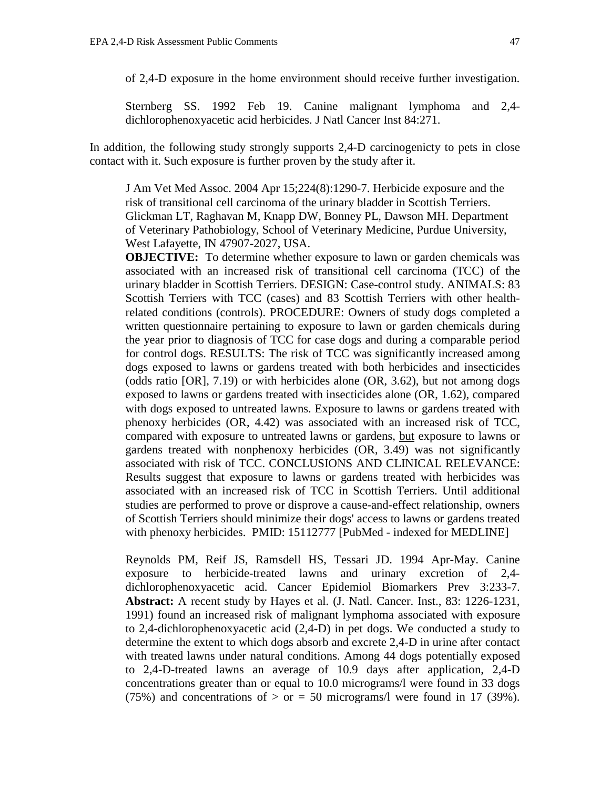of 2,4-D exposure in the home environment should receive further investigation.

Sternberg SS. 1992 Feb 19. Canine malignant lymphoma and 2,4 dichlorophenoxyacetic acid herbicides. J Natl Cancer Inst 84:271.

In addition, the following study strongly supports 2,4-D carcinogenicty to pets in close contact with it. Such exposure is further proven by the study after it.

J Am Vet Med Assoc. 2004 Apr 15;224(8):1290-7. Herbicide exposure and the risk of transitional cell carcinoma of the urinary bladder in Scottish Terriers. Glickman LT, Raghavan M, Knapp DW, Bonney PL, Dawson MH. Department of Veterinary Pathobiology, School of Veterinary Medicine, Purdue University, West Lafayette, IN 47907-2027, USA.

**OBJECTIVE:** To determine whether exposure to lawn or garden chemicals was associated with an increased risk of transitional cell carcinoma (TCC) of the urinary bladder in Scottish Terriers. DESIGN: Case-control study. ANIMALS: 83 Scottish Terriers with TCC (cases) and 83 Scottish Terriers with other healthrelated conditions (controls). PROCEDURE: Owners of study dogs completed a written questionnaire pertaining to exposure to lawn or garden chemicals during the year prior to diagnosis of TCC for case dogs and during a comparable period for control dogs. RESULTS: The risk of TCC was significantly increased among dogs exposed to lawns or gardens treated with both herbicides and insecticides (odds ratio [OR], 7.19) or with herbicides alone (OR, 3.62), but not among dogs exposed to lawns or gardens treated with insecticides alone (OR, 1.62), compared with dogs exposed to untreated lawns. Exposure to lawns or gardens treated with phenoxy herbicides (OR, 4.42) was associated with an increased risk of TCC, compared with exposure to untreated lawns or gardens, but exposure to lawns or gardens treated with nonphenoxy herbicides (OR, 3.49) was not significantly associated with risk of TCC. CONCLUSIONS AND CLINICAL RELEVANCE: Results suggest that exposure to lawns or gardens treated with herbicides was associated with an increased risk of TCC in Scottish Terriers. Until additional studies are performed to prove or disprove a cause-and-effect relationship, owners of Scottish Terriers should minimize their dogs' access to lawns or gardens treated with phenoxy herbicides. PMID: 15112777 [PubMed - indexed for MEDLINE]

Reynolds PM, Reif JS, Ramsdell HS, Tessari JD. 1994 Apr-May. Canine exposure to herbicide-treated lawns and urinary excretion of 2,4 dichlorophenoxyacetic acid. Cancer Epidemiol Biomarkers Prev 3:233-7. **Abstract:** A recent study by Hayes et al. (J. Natl. Cancer. Inst., 83: 1226-1231, 1991) found an increased risk of malignant lymphoma associated with exposure to 2,4-dichlorophenoxyacetic acid (2,4-D) in pet dogs. We conducted a study to determine the extent to which dogs absorb and excrete 2,4-D in urine after contact with treated lawns under natural conditions. Among 44 dogs potentially exposed to 2,4-D-treated lawns an average of 10.9 days after application, 2,4-D concentrations greater than or equal to 10.0 micrograms/l were found in 33 dogs (75%) and concentrations of  $>$  or = 50 micrograms/l were found in 17 (39%).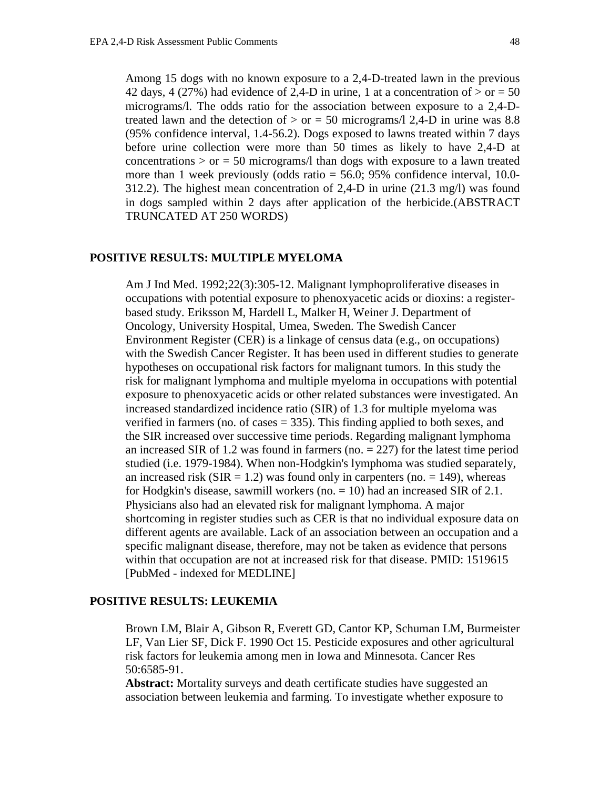Among 15 dogs with no known exposure to a 2,4-D-treated lawn in the previous 42 days, 4 (27%) had evidence of 2,4-D in urine, 1 at a concentration of  $>$  or  $=$  50 micrograms/l. The odds ratio for the association between exposure to a 2,4-Dtreated lawn and the detection of  $>$  or = 50 micrograms/l 2,4-D in urine was 8.8 (95% confidence interval, 1.4-56.2). Dogs exposed to lawns treated within 7 days before urine collection were more than 50 times as likely to have 2,4-D at concentrations  $>$  or  $=$  50 micrograms/l than dogs with exposure to a lawn treated more than 1 week previously (odds ratio = 56.0; 95% confidence interval, 10.0- 312.2). The highest mean concentration of 2,4-D in urine (21.3 mg/l) was found in dogs sampled within 2 days after application of the herbicide.(ABSTRACT TRUNCATED AT 250 WORDS)

## **POSITIVE RESULTS: MULTIPLE MYELOMA**

Am J Ind Med. 1992;22(3):305-12. Malignant lymphoproliferative diseases in occupations with potential exposure to phenoxyacetic acids or dioxins: a registerbased study. Eriksson M, Hardell L, Malker H, Weiner J. Department of Oncology, University Hospital, Umea, Sweden. The Swedish Cancer Environment Register (CER) is a linkage of census data (e.g., on occupations) with the Swedish Cancer Register. It has been used in different studies to generate hypotheses on occupational risk factors for malignant tumors. In this study the risk for malignant lymphoma and multiple myeloma in occupations with potential exposure to phenoxyacetic acids or other related substances were investigated. An increased standardized incidence ratio (SIR) of 1.3 for multiple myeloma was verified in farmers (no. of cases  $= 335$ ). This finding applied to both sexes, and the SIR increased over successive time periods. Regarding malignant lymphoma an increased SIR of 1.2 was found in farmers (no.  $= 227$ ) for the latest time period studied (i.e. 1979-1984). When non-Hodgkin's lymphoma was studied separately, an increased risk ( $SIR = 1.2$ ) was found only in carpenters (no. = 149), whereas for Hodgkin's disease, sawmill workers (no.  $= 10$ ) had an increased SIR of 2.1. Physicians also had an elevated risk for malignant lymphoma. A major shortcoming in register studies such as CER is that no individual exposure data on different agents are available. Lack of an association between an occupation and a specific malignant disease, therefore, may not be taken as evidence that persons within that occupation are not at increased risk for that disease. PMID: 1519615 [PubMed - indexed for MEDLINE]

#### **POSITIVE RESULTS: LEUKEMIA**

Brown LM, Blair A, Gibson R, Everett GD, Cantor KP, Schuman LM, Burmeister LF, Van Lier SF, Dick F. 1990 Oct 15. Pesticide exposures and other agricultural risk factors for leukemia among men in Iowa and Minnesota. Cancer Res 50:6585-91.

**Abstract:** Mortality surveys and death certificate studies have suggested an association between leukemia and farming. To investigate whether exposure to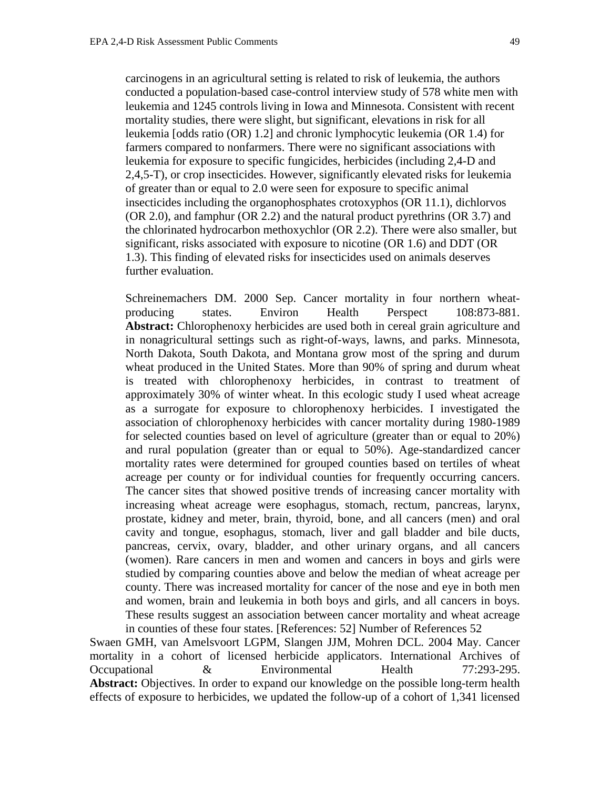carcinogens in an agricultural setting is related to risk of leukemia, the authors conducted a population-based case-control interview study of 578 white men with leukemia and 1245 controls living in Iowa and Minnesota. Consistent with recent mortality studies, there were slight, but significant, elevations in risk for all leukemia [odds ratio (OR) 1.2] and chronic lymphocytic leukemia (OR 1.4) for farmers compared to nonfarmers. There were no significant associations with leukemia for exposure to specific fungicides, herbicides (including 2,4-D and 2,4,5-T), or crop insecticides. However, significantly elevated risks for leukemia of greater than or equal to 2.0 were seen for exposure to specific animal insecticides including the organophosphates crotoxyphos (OR 11.1), dichlorvos (OR 2.0), and famphur (OR 2.2) and the natural product pyrethrins (OR 3.7) and the chlorinated hydrocarbon methoxychlor (OR 2.2). There were also smaller, but significant, risks associated with exposure to nicotine (OR 1.6) and DDT (OR 1.3). This finding of elevated risks for insecticides used on animals deserves further evaluation.

Schreinemachers DM. 2000 Sep. Cancer mortality in four northern wheatproducing states. Environ Health Perspect 108:873-881. **Abstract:** Chlorophenoxy herbicides are used both in cereal grain agriculture and in nonagricultural settings such as right-of-ways, lawns, and parks. Minnesota, North Dakota, South Dakota, and Montana grow most of the spring and durum wheat produced in the United States. More than 90% of spring and durum wheat is treated with chlorophenoxy herbicides, in contrast to treatment of approximately 30% of winter wheat. In this ecologic study I used wheat acreage as a surrogate for exposure to chlorophenoxy herbicides. I investigated the association of chlorophenoxy herbicides with cancer mortality during 1980-1989 for selected counties based on level of agriculture (greater than or equal to 20%) and rural population (greater than or equal to 50%). Age-standardized cancer mortality rates were determined for grouped counties based on tertiles of wheat acreage per county or for individual counties for frequently occurring cancers. The cancer sites that showed positive trends of increasing cancer mortality with increasing wheat acreage were esophagus, stomach, rectum, pancreas, larynx, prostate, kidney and meter, brain, thyroid, bone, and all cancers (men) and oral cavity and tongue, esophagus, stomach, liver and gall bladder and bile ducts, pancreas, cervix, ovary, bladder, and other urinary organs, and all cancers (women). Rare cancers in men and women and cancers in boys and girls were studied by comparing counties above and below the median of wheat acreage per county. There was increased mortality for cancer of the nose and eye in both men and women, brain and leukemia in both boys and girls, and all cancers in boys. These results suggest an association between cancer mortality and wheat acreage in counties of these four states. [References: 52] Number of References 52

Swaen GMH, van Amelsvoort LGPM, Slangen JJM, Mohren DCL. 2004 May. Cancer mortality in a cohort of licensed herbicide applicators. International Archives of Occupational & Environmental Health 77:293-295. **Abstract:** Objectives. In order to expand our knowledge on the possible long-term health effects of exposure to herbicides, we updated the follow-up of a cohort of 1,341 licensed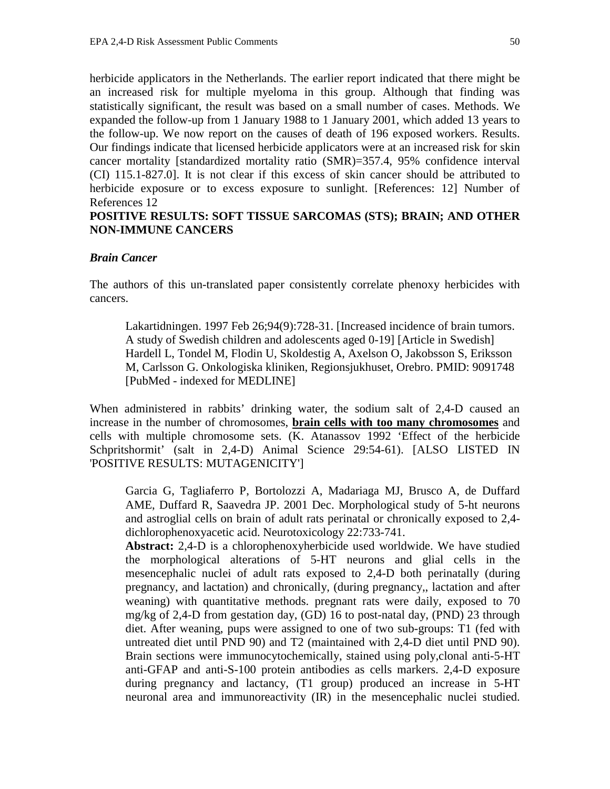herbicide applicators in the Netherlands. The earlier report indicated that there might be an increased risk for multiple myeloma in this group. Although that finding was statistically significant, the result was based on a small number of cases. Methods. We expanded the follow-up from 1 January 1988 to 1 January 2001, which added 13 years to the follow-up. We now report on the causes of death of 196 exposed workers. Results. Our findings indicate that licensed herbicide applicators were at an increased risk for skin cancer mortality [standardized mortality ratio (SMR)=357.4, 95% confidence interval (CI) 115.1-827.0]. It is not clear if this excess of skin cancer should be attributed to herbicide exposure or to excess exposure to sunlight. [References: 12] Number of References 12

# **POSITIVE RESULTS: SOFT TISSUE SARCOMAS (STS); BRAIN; AND OTHER NON-IMMUNE CANCERS**

### *Brain Cancer*

The authors of this un-translated paper consistently correlate phenoxy herbicides with cancers.

Lakartidningen. 1997 Feb 26;94(9):728-31. [Increased incidence of brain tumors. A study of Swedish children and adolescents aged 0-19] [Article in Swedish] Hardell L, Tondel M, Flodin U, Skoldestig A, Axelson O, Jakobsson S, Eriksson M, Carlsson G. Onkologiska kliniken, Regionsjukhuset, Orebro. PMID: 9091748 [PubMed - indexed for MEDLINE]

When administered in rabbits' drinking water, the sodium salt of 2,4-D caused an increase in the number of chromosomes, **brain cells with too many chromosomes** and cells with multiple chromosome sets. (K. Atanassov 1992 'Effect of the herbicide Schpritshormit' (salt in 2,4-D) Animal Science 29:54-61). [ALSO LISTED IN 'POSITIVE RESULTS: MUTAGENICITY']

Garcia G, Tagliaferro P, Bortolozzi A, Madariaga MJ, Brusco A, de Duffard AME, Duffard R, Saavedra JP. 2001 Dec. Morphological study of 5-ht neurons and astroglial cells on brain of adult rats perinatal or chronically exposed to 2,4 dichlorophenoxyacetic acid. Neurotoxicology 22:733-741.

**Abstract:** 2,4-D is a chlorophenoxyherbicide used worldwide. We have studied the morphological alterations of 5-HT neurons and glial cells in the mesencephalic nuclei of adult rats exposed to 2,4-D both perinatally (during pregnancy, and lactation) and chronically, (during pregnancy,, lactation and after weaning) with quantitative methods. pregnant rats were daily, exposed to 70 mg/kg of 2,4-D from gestation day, (GD) 16 to post-natal day, (PND) 23 through diet. After weaning, pups were assigned to one of two sub-groups: T1 (fed with untreated diet until PND 90) and T2 (maintained with 2,4-D diet until PND 90). Brain sections were immunocytochemically, stained using poly,clonal anti-5-HT anti-GFAP and anti-S-100 protein antibodies as cells markers. 2,4-D exposure during pregnancy and lactancy, (T1 group) produced an increase in 5-HT neuronal area and immunoreactivity (IR) in the mesencephalic nuclei studied.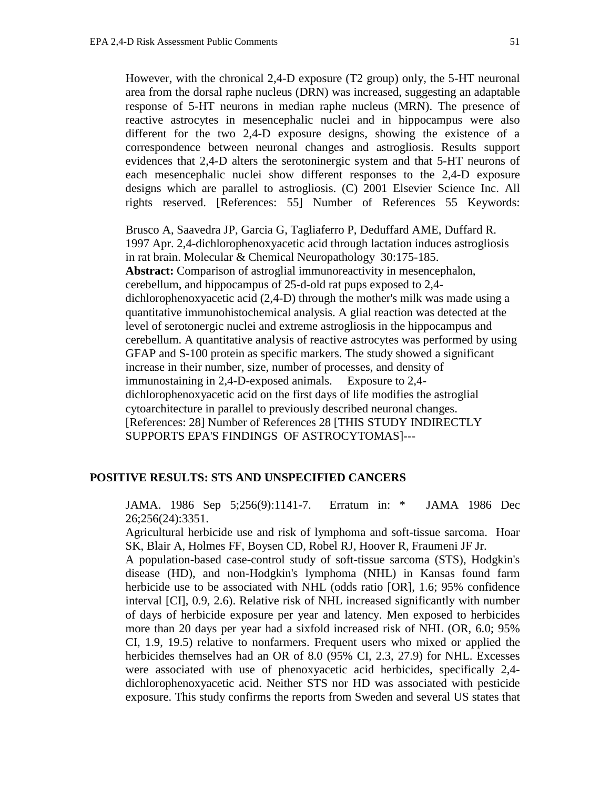However, with the chronical 2,4-D exposure (T2 group) only, the 5-HT neuronal area from the dorsal raphe nucleus (DRN) was increased, suggesting an adaptable response of 5-HT neurons in median raphe nucleus (MRN). The presence of reactive astrocytes in mesencephalic nuclei and in hippocampus were also different for the two 2,4-D exposure designs, showing the existence of a correspondence between neuronal changes and astrogliosis. Results support evidences that 2,4-D alters the serotoninergic system and that 5-HT neurons of each mesencephalic nuclei show different responses to the 2,4-D exposure designs which are parallel to astrogliosis. (C) 2001 Elsevier Science Inc. All rights reserved. [References: 55] Number of References 55 Keywords:

Brusco A, Saavedra JP, Garcia G, Tagliaferro P, Deduffard AME, Duffard R. 1997 Apr. 2,4-dichlorophenoxyacetic acid through lactation induces astrogliosis in rat brain. Molecular & Chemical Neuropathology 30:175-185. **Abstract:** Comparison of astroglial immunoreactivity in mesencephalon, cerebellum, and hippocampus of 25-d-old rat pups exposed to 2,4 dichlorophenoxyacetic acid (2,4-D) through the mother's milk was made using a quantitative immunohistochemical analysis. A glial reaction was detected at the level of serotonergic nuclei and extreme astrogliosis in the hippocampus and cerebellum. A quantitative analysis of reactive astrocytes was performed by using GFAP and S-100 protein as specific markers. The study showed a significant increase in their number, size, number of processes, and density of immunostaining in 2,4-D-exposed animals. Exposure to 2,4 dichlorophenoxyacetic acid on the first days of life modifies the astroglial cytoarchitecture in parallel to previously described neuronal changes. [References: 28] Number of References 28 [THIS STUDY INDIRECTLY SUPPORTS EPA'S FINDINGS OF ASTROCYTOMAS]---

## **POSITIVE RESULTS: STS AND UNSPECIFIED CANCERS**

JAMA. 1986 Sep 5;256(9):1141-7. Erratum in: \* JAMA 1986 Dec 26;256(24):3351.

Agricultural herbicide use and risk of lymphoma and soft-tissue sarcoma. Hoar SK, Blair A, Holmes FF, Boysen CD, Robel RJ, Hoover R, Fraumeni JF Jr.

A population-based case-control study of soft-tissue sarcoma (STS), Hodgkin's disease (HD), and non-Hodgkin's lymphoma (NHL) in Kansas found farm herbicide use to be associated with NHL (odds ratio [OR], 1.6; 95% confidence interval [CI], 0.9, 2.6). Relative risk of NHL increased significantly with number of days of herbicide exposure per year and latency. Men exposed to herbicides more than 20 days per year had a sixfold increased risk of NHL (OR, 6.0; 95% CI, 1.9, 19.5) relative to nonfarmers. Frequent users who mixed or applied the herbicides themselves had an OR of 8.0 (95% CI, 2.3, 27.9) for NHL. Excesses were associated with use of phenoxyacetic acid herbicides, specifically 2,4 dichlorophenoxyacetic acid. Neither STS nor HD was associated with pesticide exposure. This study confirms the reports from Sweden and several US states that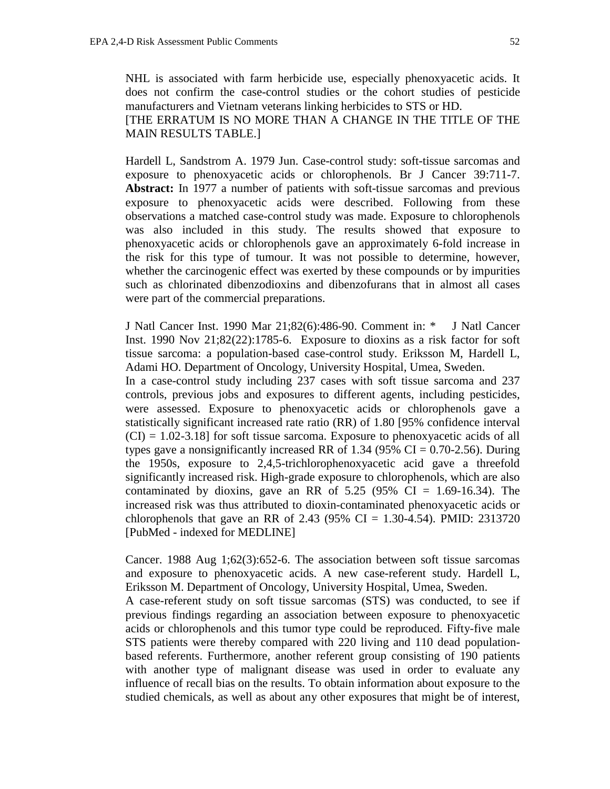NHL is associated with farm herbicide use, especially phenoxyacetic acids. It does not confirm the case-control studies or the cohort studies of pesticide manufacturers and Vietnam veterans linking herbicides to STS or HD. [THE ERRATUM IS NO MORE THAN A CHANGE IN THE TITLE OF THE MAIN RESULTS TABLE.]

Hardell L, Sandstrom A. 1979 Jun. Case-control study: soft-tissue sarcomas and exposure to phenoxyacetic acids or chlorophenols. Br J Cancer 39:711-7. **Abstract:** In 1977 a number of patients with soft-tissue sarcomas and previous exposure to phenoxyacetic acids were described. Following from these observations a matched case-control study was made. Exposure to chlorophenols was also included in this study. The results showed that exposure to phenoxyacetic acids or chlorophenols gave an approximately 6-fold increase in the risk for this type of tumour. It was not possible to determine, however, whether the carcinogenic effect was exerted by these compounds or by impurities such as chlorinated dibenzodioxins and dibenzofurans that in almost all cases were part of the commercial preparations.

J Natl Cancer Inst. 1990 Mar 21;82(6):486-90. Comment in: \* J Natl Cancer Inst. 1990 Nov 21;82(22):1785-6. Exposure to dioxins as a risk factor for soft tissue sarcoma: a population-based case-control study. Eriksson M, Hardell L, Adami HO. Department of Oncology, University Hospital, Umea, Sweden.

In a case-control study including 237 cases with soft tissue sarcoma and 237 controls, previous jobs and exposures to different agents, including pesticides, were assessed. Exposure to phenoxyacetic acids or chlorophenols gave a statistically significant increased rate ratio (RR) of 1.80 [95% confidence interval  $(CI) = 1.02-3.18$  for soft tissue sarcoma. Exposure to phenoxyacetic acids of all types gave a nonsignificantly increased RR of 1.34 (95% CI =  $0.70$ -2.56). During the 1950s, exposure to 2,4,5-trichlorophenoxyacetic acid gave a threefold significantly increased risk. High-grade exposure to chlorophenols, which are also contaminated by dioxins, gave an RR of  $5.25$  (95% CI = 1.69-16.34). The increased risk was thus attributed to dioxin-contaminated phenoxyacetic acids or chlorophenols that gave an RR of 2.43 (95% CI = 1.30-4.54). PMID: 2313720 [PubMed - indexed for MEDLINE]

Cancer. 1988 Aug 1;62(3):652-6. The association between soft tissue sarcomas and exposure to phenoxyacetic acids. A new case-referent study. Hardell L, Eriksson M. Department of Oncology, University Hospital, Umea, Sweden.

A case-referent study on soft tissue sarcomas (STS) was conducted, to see if previous findings regarding an association between exposure to phenoxyacetic acids or chlorophenols and this tumor type could be reproduced. Fifty-five male STS patients were thereby compared with 220 living and 110 dead populationbased referents. Furthermore, another referent group consisting of 190 patients with another type of malignant disease was used in order to evaluate any influence of recall bias on the results. To obtain information about exposure to the studied chemicals, as well as about any other exposures that might be of interest,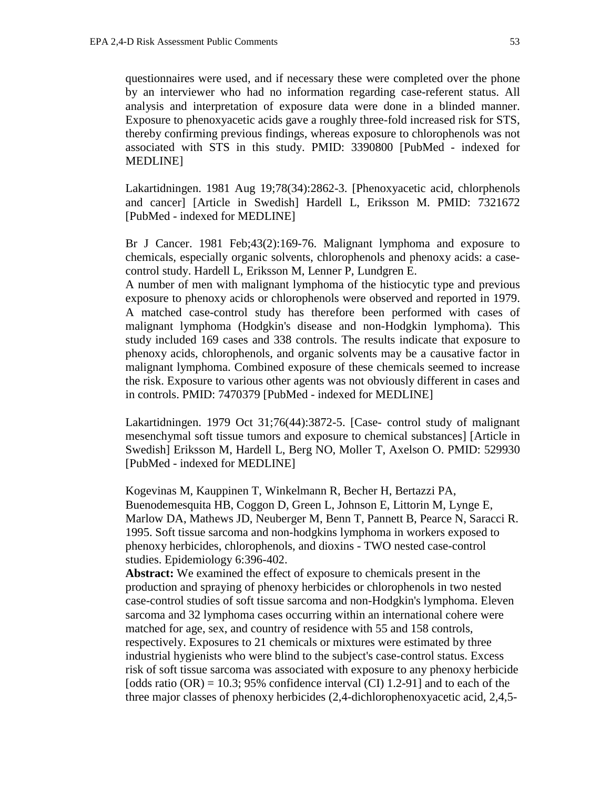questionnaires were used, and if necessary these were completed over the phone by an interviewer who had no information regarding case-referent status. All analysis and interpretation of exposure data were done in a blinded manner. Exposure to phenoxyacetic acids gave a roughly three-fold increased risk for STS, thereby confirming previous findings, whereas exposure to chlorophenols was not associated with STS in this study. PMID: 3390800 [PubMed - indexed for MEDLINE]

Lakartidningen. 1981 Aug 19;78(34):2862-3. [Phenoxyacetic acid, chlorphenols and cancer] [Article in Swedish] Hardell L, Eriksson M. PMID: 7321672 [PubMed - indexed for MEDLINE]

Br J Cancer. 1981 Feb;43(2):169-76. Malignant lymphoma and exposure to chemicals, especially organic solvents, chlorophenols and phenoxy acids: a casecontrol study. Hardell L, Eriksson M, Lenner P, Lundgren E.

A number of men with malignant lymphoma of the histiocytic type and previous exposure to phenoxy acids or chlorophenols were observed and reported in 1979. A matched case-control study has therefore been performed with cases of malignant lymphoma (Hodgkin's disease and non-Hodgkin lymphoma). This study included 169 cases and 338 controls. The results indicate that exposure to phenoxy acids, chlorophenols, and organic solvents may be a causative factor in malignant lymphoma. Combined exposure of these chemicals seemed to increase the risk. Exposure to various other agents was not obviously different in cases and in controls. PMID: 7470379 [PubMed - indexed for MEDLINE]

Lakartidningen. 1979 Oct 31;76(44):3872-5. [Case- control study of malignant mesenchymal soft tissue tumors and exposure to chemical substances] [Article in Swedish] Eriksson M, Hardell L, Berg NO, Moller T, Axelson O. PMID: 529930 [PubMed - indexed for MEDLINE]

Kogevinas M, Kauppinen T, Winkelmann R, Becher H, Bertazzi PA, Buenodemesquita HB, Coggon D, Green L, Johnson E, Littorin M, Lynge E, Marlow DA, Mathews JD, Neuberger M, Benn T, Pannett B, Pearce N, Saracci R. 1995. Soft tissue sarcoma and non-hodgkins lymphoma in workers exposed to phenoxy herbicides, chlorophenols, and dioxins - TWO nested case-control studies. Epidemiology 6:396-402.

**Abstract:** We examined the effect of exposure to chemicals present in the production and spraying of phenoxy herbicides or chlorophenols in two nested case-control studies of soft tissue sarcoma and non-Hodgkin's lymphoma. Eleven sarcoma and 32 lymphoma cases occurring within an international cohere were matched for age, sex, and country of residence with 55 and 158 controls, respectively. Exposures to 21 chemicals or mixtures were estimated by three industrial hygienists who were blind to the subject's case-control status. Excess risk of soft tissue sarcoma was associated with exposure to any phenoxy herbicide [odds ratio  $(OR) = 10.3$ ; 95% confidence interval  $(CI)$  1.2-91] and to each of the three major classes of phenoxy herbicides (2,4-dichlorophenoxyacetic acid, 2,4,5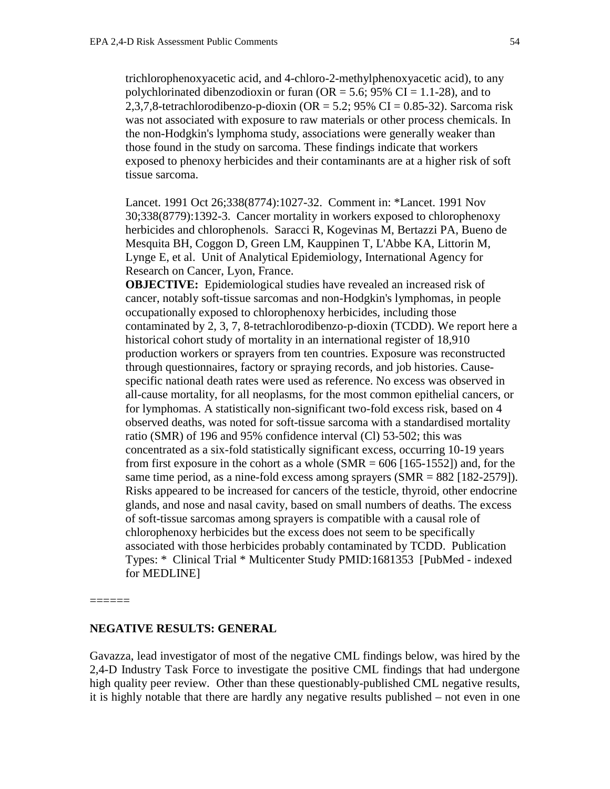trichlorophenoxyacetic acid, and 4-chloro-2-methylphenoxyacetic acid), to any polychlorinated dibenzodioxin or furan ( $OR = 5.6$ ; 95% CI = 1.1-28), and to 2,3,7,8-tetrachlorodibenzo-p-dioxin (OR = 5.2; 95% CI = 0.85-32). Sarcoma risk was not associated with exposure to raw materials or other process chemicals. In the non-Hodgkin's lymphoma study, associations were generally weaker than those found in the study on sarcoma. These findings indicate that workers exposed to phenoxy herbicides and their contaminants are at a higher risk of soft tissue sarcoma.

Lancet. 1991 Oct 26;338(8774):1027-32. Comment in: \*Lancet. 1991 Nov 30;338(8779):1392-3. Cancer mortality in workers exposed to chlorophenoxy herbicides and chlorophenols. Saracci R, Kogevinas M, Bertazzi PA, Bueno de Mesquita BH, Coggon D, Green LM, Kauppinen T, L'Abbe KA, Littorin M, Lynge E, et al. Unit of Analytical Epidemiology, International Agency for Research on Cancer, Lyon, France.

**OBJECTIVE:** Epidemiological studies have revealed an increased risk of cancer, notably soft-tissue sarcomas and non-Hodgkin's lymphomas, in people occupationally exposed to chlorophenoxy herbicides, including those contaminated by 2, 3, 7, 8-tetrachlorodibenzo-p-dioxin (TCDD). We report here a historical cohort study of mortality in an international register of 18,910 production workers or sprayers from ten countries. Exposure was reconstructed through questionnaires, factory or spraying records, and job histories. Causespecific national death rates were used as reference. No excess was observed in all-cause mortality, for all neoplasms, for the most common epithelial cancers, or for lymphomas. A statistically non-significant two-fold excess risk, based on 4 observed deaths, was noted for soft-tissue sarcoma with a standardised mortality ratio (SMR) of 196 and 95% confidence interval (Cl) 53-502; this was concentrated as a six-fold statistically significant excess, occurring 10-19 years from first exposure in the cohort as a whole  $(SMR = 606$  [165-1552]) and, for the same time period, as a nine-fold excess among sprayers  $(SMR = 882 \mid 182-2579$ ). Risks appeared to be increased for cancers of the testicle, thyroid, other endocrine glands, and nose and nasal cavity, based on small numbers of deaths. The excess of soft-tissue sarcomas among sprayers is compatible with a causal role of chlorophenoxy herbicides but the excess does not seem to be specifically associated with those herbicides probably contaminated by TCDD. Publication Types: \* Clinical Trial \* Multicenter Study PMID:1681353 [PubMed - indexed for MEDLINE]

======

#### **NEGATIVE RESULTS: GENERAL**

Gavazza, lead investigator of most of the negative CML findings below, was hired by the 2,4-D Industry Task Force to investigate the positive CML findings that had undergone high quality peer review. Other than these questionably-published CML negative results, it is highly notable that there are hardly any negative results published – not even in one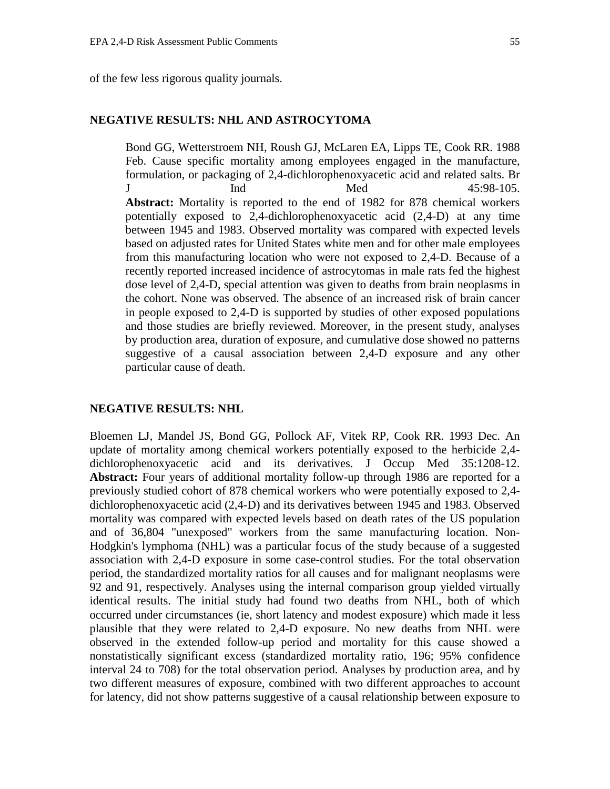of the few less rigorous quality journals.

# **NEGATIVE RESULTS: NHL AND ASTROCYTOMA**

Bond GG, Wetterstroem NH, Roush GJ, McLaren EA, Lipps TE, Cook RR. 1988 Feb. Cause specific mortality among employees engaged in the manufacture, formulation, or packaging of 2,4-dichlorophenoxyacetic acid and related salts. Br J Ind Med 45:98-105. **Abstract:** Mortality is reported to the end of 1982 for 878 chemical workers potentially exposed to 2,4-dichlorophenoxyacetic acid (2,4-D) at any time between 1945 and 1983. Observed mortality was compared with expected levels based on adjusted rates for United States white men and for other male employees from this manufacturing location who were not exposed to 2,4-D. Because of a recently reported increased incidence of astrocytomas in male rats fed the highest dose level of 2,4-D, special attention was given to deaths from brain neoplasms in the cohort. None was observed. The absence of an increased risk of brain cancer in people exposed to 2,4-D is supported by studies of other exposed populations and those studies are briefly reviewed. Moreover, in the present study, analyses by production area, duration of exposure, and cumulative dose showed no patterns suggestive of a causal association between 2,4-D exposure and any other particular cause of death.

### **NEGATIVE RESULTS: NHL**

Bloemen LJ, Mandel JS, Bond GG, Pollock AF, Vitek RP, Cook RR. 1993 Dec. An update of mortality among chemical workers potentially exposed to the herbicide 2,4 dichlorophenoxyacetic acid and its derivatives. J Occup Med 35:1208-12. **Abstract:** Four years of additional mortality follow-up through 1986 are reported for a previously studied cohort of 878 chemical workers who were potentially exposed to 2,4 dichlorophenoxyacetic acid (2,4-D) and its derivatives between 1945 and 1983. Observed mortality was compared with expected levels based on death rates of the US population and of 36,804 "unexposed" workers from the same manufacturing location. Non-Hodgkin's lymphoma (NHL) was a particular focus of the study because of a suggested association with 2,4-D exposure in some case-control studies. For the total observation period, the standardized mortality ratios for all causes and for malignant neoplasms were 92 and 91, respectively. Analyses using the internal comparison group yielded virtually identical results. The initial study had found two deaths from NHL, both of which occurred under circumstances (ie, short latency and modest exposure) which made it less plausible that they were related to 2,4-D exposure. No new deaths from NHL were observed in the extended follow-up period and mortality for this cause showed a nonstatistically significant excess (standardized mortality ratio, 196; 95% confidence interval 24 to 708) for the total observation period. Analyses by production area, and by two different measures of exposure, combined with two different approaches to account for latency, did not show patterns suggestive of a causal relationship between exposure to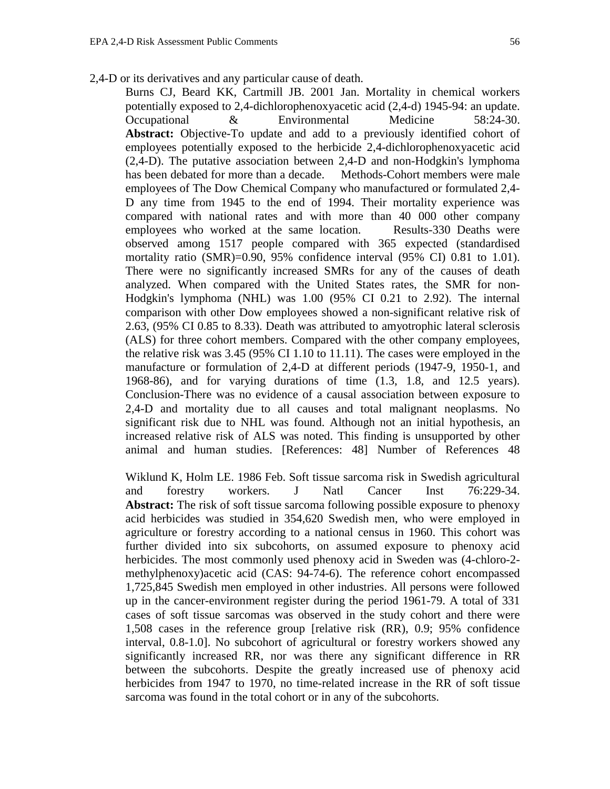2,4-D or its derivatives and any particular cause of death.

Burns CJ, Beard KK, Cartmill JB. 2001 Jan. Mortality in chemical workers potentially exposed to 2,4-dichlorophenoxyacetic acid (2,4-d) 1945-94: an update. Occupational & Environmental Medicine 58:24-30. Abstract: Objective-To update and add to a previously identified cohort of employees potentially exposed to the herbicide 2,4-dichlorophenoxyacetic acid (2,4-D). The putative association between 2,4-D and non-Hodgkin's lymphoma has been debated for more than a decade. Methods-Cohort members were male employees of The Dow Chemical Company who manufactured or formulated 2,4- D any time from 1945 to the end of 1994. Their mortality experience was compared with national rates and with more than 40 000 other company employees who worked at the same location. Results-330 Deaths were observed among 1517 people compared with 365 expected (standardised mortality ratio (SMR)=0.90, 95% confidence interval (95% CI) 0.81 to 1.01). There were no significantly increased SMRs for any of the causes of death analyzed. When compared with the United States rates, the SMR for non-Hodgkin's lymphoma (NHL) was 1.00 (95% CI 0.21 to 2.92). The internal comparison with other Dow employees showed a non-significant relative risk of 2.63, (95% CI 0.85 to 8.33). Death was attributed to amyotrophic lateral sclerosis (ALS) for three cohort members. Compared with the other company employees, the relative risk was 3.45 (95% CI 1.10 to 11.11). The cases were employed in the manufacture or formulation of 2,4-D at different periods (1947-9, 1950-1, and 1968-86), and for varying durations of time (1.3, 1.8, and 12.5 years). Conclusion-There was no evidence of a causal association between exposure to 2,4-D and mortality due to all causes and total malignant neoplasms. No significant risk due to NHL was found. Although not an initial hypothesis, an increased relative risk of ALS was noted. This finding is unsupported by other animal and human studies. [References: 48] Number of References 48

Wiklund K, Holm LE. 1986 Feb. Soft tissue sarcoma risk in Swedish agricultural and forestry workers. J Natl Cancer Inst 76:229-34. **Abstract:** The risk of soft tissue sarcoma following possible exposure to phenoxy acid herbicides was studied in 354,620 Swedish men, who were employed in agriculture or forestry according to a national census in 1960. This cohort was further divided into six subcohorts, on assumed exposure to phenoxy acid herbicides. The most commonly used phenoxy acid in Sweden was (4-chloro-2 methylphenoxy)acetic acid (CAS: 94-74-6). The reference cohort encompassed 1,725,845 Swedish men employed in other industries. All persons were followed up in the cancer-environment register during the period 1961-79. A total of 331 cases of soft tissue sarcomas was observed in the study cohort and there were 1,508 cases in the reference group [relative risk (RR), 0.9; 95% confidence interval, 0.8-1.0]. No subcohort of agricultural or forestry workers showed any significantly increased RR, nor was there any significant difference in RR between the subcohorts. Despite the greatly increased use of phenoxy acid herbicides from 1947 to 1970, no time-related increase in the RR of soft tissue sarcoma was found in the total cohort or in any of the subcohorts.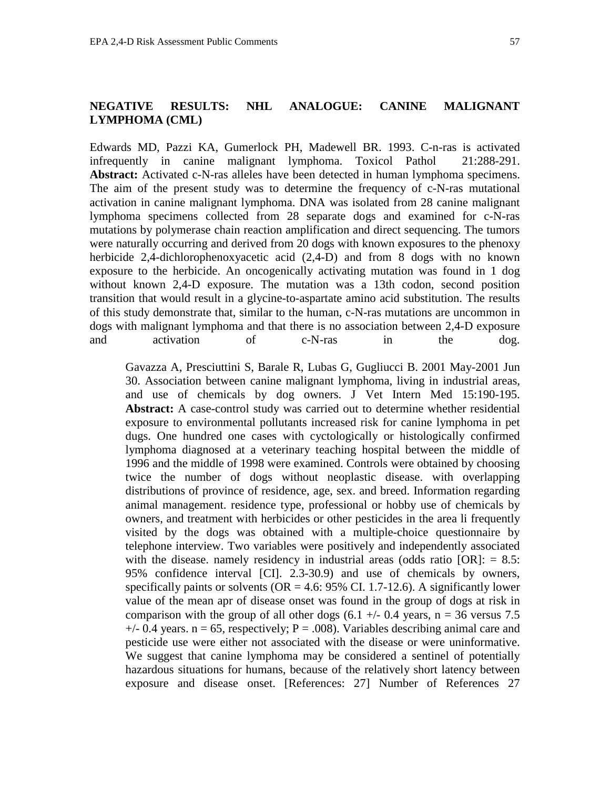## **NEGATIVE RESULTS: NHL ANALOGUE: CANINE MALIGNANT LYMPHOMA (CML)**

Edwards MD, Pazzi KA, Gumerlock PH, Madewell BR. 1993. C-n-ras is activated infrequently in canine malignant lymphoma. Toxicol Pathol 21:288-291. **Abstract:** Activated c-N-ras alleles have been detected in human lymphoma specimens. The aim of the present study was to determine the frequency of c-N-ras mutational activation in canine malignant lymphoma. DNA was isolated from 28 canine malignant lymphoma specimens collected from 28 separate dogs and examined for c-N-ras mutations by polymerase chain reaction amplification and direct sequencing. The tumors were naturally occurring and derived from 20 dogs with known exposures to the phenoxy herbicide 2,4-dichlorophenoxyacetic acid (2,4-D) and from 8 dogs with no known exposure to the herbicide. An oncogenically activating mutation was found in 1 dog without known 2,4-D exposure. The mutation was a 13th codon, second position transition that would result in a glycine-to-aspartate amino acid substitution. The results of this study demonstrate that, similar to the human, c-N-ras mutations are uncommon in dogs with malignant lymphoma and that there is no association between 2,4-D exposure and activation of c-N-ras in the dog.

Gavazza A, Presciuttini S, Barale R, Lubas G, Gugliucci B. 2001 May-2001 Jun 30. Association between canine malignant lymphoma, living in industrial areas, and use of chemicals by dog owners. J Vet Intern Med 15:190-195. **Abstract:** A case-control study was carried out to determine whether residential exposure to environmental pollutants increased risk for canine lymphoma in pet dugs. One hundred one cases with cyctologically or histologically confirmed lymphoma diagnosed at a veterinary teaching hospital between the middle of 1996 and the middle of 1998 were examined. Controls were obtained by choosing twice the number of dogs without neoplastic disease. with overlapping distributions of province of residence, age, sex. and breed. Information regarding animal management. residence type, professional or hobby use of chemicals by owners, and treatment with herbicides or other pesticides in the area li frequently visited by the dogs was obtained with a multiple-choice questionnaire by telephone interview. Two variables were positively and independently associated with the disease. namely residency in industrial areas (odds ratio  $[OR]$ : = 8.5: 95% confidence interval [CI]. 2.3-30.9) and use of chemicals by owners, specifically paints or solvents ( $OR = 4.6$ : 95% CI. 1.7-12.6). A significantly lower value of the mean apr of disease onset was found in the group of dogs at risk in comparison with the group of all other dogs  $(6.1 +/- 0.4$  years, n = 36 versus 7.5  $+/- 0.4$  years. n = 65, respectively; P = .008). Variables describing animal care and pesticide use were either not associated with the disease or were uninformative. We suggest that canine lymphoma may be considered a sentinel of potentially hazardous situations for humans, because of the relatively short latency between exposure and disease onset. [References: 27] Number of References 27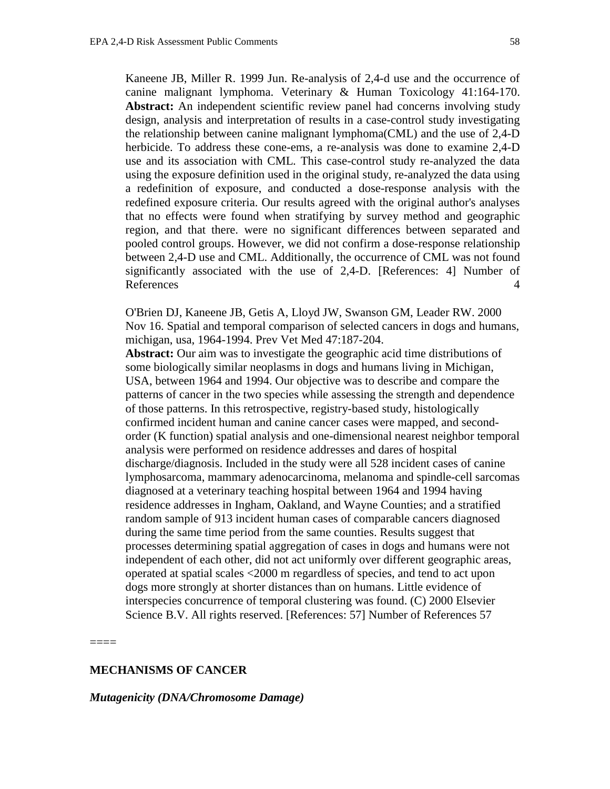Kaneene JB, Miller R. 1999 Jun. Re-analysis of 2,4-d use and the occurrence of canine malignant lymphoma. Veterinary & Human Toxicology 41:164-170. **Abstract:** An independent scientific review panel had concerns involving study design, analysis and interpretation of results in a case-control study investigating the relationship between canine malignant lymphoma(CML) and the use of 2,4-D herbicide. To address these cone-ems, a re-analysis was done to examine 2,4-D use and its association with CML. This case-control study re-analyzed the data using the exposure definition used in the original study, re-analyzed the data using a redefinition of exposure, and conducted a dose-response analysis with the redefined exposure criteria. Our results agreed with the original author's analyses that no effects were found when stratifying by survey method and geographic region, and that there. were no significant differences between separated and pooled control groups. However, we did not confirm a dose-response relationship between 2,4-D use and CML. Additionally, the occurrence of CML was not found significantly associated with the use of 2,4-D. [References: 4] Number of References 4

O'Brien DJ, Kaneene JB, Getis A, Lloyd JW, Swanson GM, Leader RW. 2000 Nov 16. Spatial and temporal comparison of selected cancers in dogs and humans, michigan, usa, 1964-1994. Prev Vet Med 47:187-204.

**Abstract:** Our aim was to investigate the geographic acid time distributions of some biologically similar neoplasms in dogs and humans living in Michigan, USA, between 1964 and 1994. Our objective was to describe and compare the patterns of cancer in the two species while assessing the strength and dependence of those patterns. In this retrospective, registry-based study, histologically confirmed incident human and canine cancer cases were mapped, and secondorder (K function) spatial analysis and one-dimensional nearest neighbor temporal analysis were performed on residence addresses and dares of hospital discharge/diagnosis. Included in the study were all 528 incident cases of canine lymphosarcoma, mammary adenocarcinoma, melanoma and spindle-cell sarcomas diagnosed at a veterinary teaching hospital between 1964 and 1994 having residence addresses in Ingham, Oakland, and Wayne Counties; and a stratified random sample of 913 incident human cases of comparable cancers diagnosed during the same time period from the same counties. Results suggest that processes determining spatial aggregation of cases in dogs and humans were not independent of each other, did not act uniformly over different geographic areas, operated at spatial scales <2000 m regardless of species, and tend to act upon dogs more strongly at shorter distances than on humans. Little evidence of interspecies concurrence of temporal clustering was found. (C) 2000 Elsevier Science B.V. All rights reserved. [References: 57] Number of References 57

====

## **MECHANISMS OF CANCER**

*Mutagenicity (DNA/Chromosome Damage)*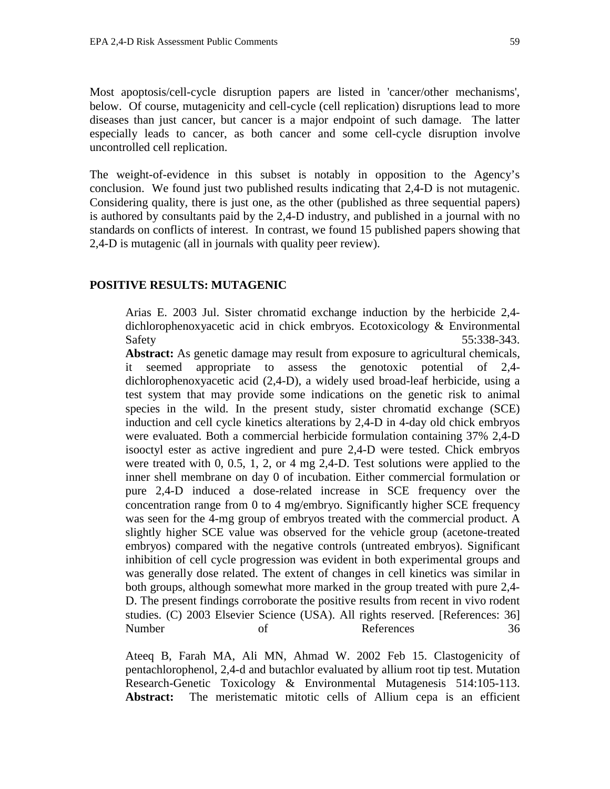Most apoptosis/cell-cycle disruption papers are listed in 'cancer/other mechanisms', below. Of course, mutagenicity and cell-cycle (cell replication) disruptions lead to more diseases than just cancer, but cancer is a major endpoint of such damage. The latter especially leads to cancer, as both cancer and some cell-cycle disruption involve uncontrolled cell replication.

The weight-of-evidence in this subset is notably in opposition to the Agency's conclusion. We found just two published results indicating that 2,4-D is not mutagenic. Considering quality, there is just one, as the other (published as three sequential papers) is authored by consultants paid by the 2,4-D industry, and published in a journal with no standards on conflicts of interest. In contrast, we found 15 published papers showing that 2,4-D is mutagenic (all in journals with quality peer review).

#### **POSITIVE RESULTS: MUTAGENIC**

Arias E. 2003 Jul. Sister chromatid exchange induction by the herbicide 2,4 dichlorophenoxyacetic acid in chick embryos. Ecotoxicology & Environmental Safety 55:338-343.

**Abstract:** As genetic damage may result from exposure to agricultural chemicals, it seemed appropriate to assess the genotoxic potential of 2,4 dichlorophenoxyacetic acid (2,4-D), a widely used broad-leaf herbicide, using a test system that may provide some indications on the genetic risk to animal species in the wild. In the present study, sister chromatid exchange (SCE) induction and cell cycle kinetics alterations by 2,4-D in 4-day old chick embryos were evaluated. Both a commercial herbicide formulation containing 37% 2,4-D isooctyl ester as active ingredient and pure 2,4-D were tested. Chick embryos were treated with 0, 0.5, 1, 2, or 4 mg 2,4-D. Test solutions were applied to the inner shell membrane on day 0 of incubation. Either commercial formulation or pure 2,4-D induced a dose-related increase in SCE frequency over the concentration range from 0 to 4 mg/embryo. Significantly higher SCE frequency was seen for the 4-mg group of embryos treated with the commercial product. A slightly higher SCE value was observed for the vehicle group (acetone-treated embryos) compared with the negative controls (untreated embryos). Significant inhibition of cell cycle progression was evident in both experimental groups and was generally dose related. The extent of changes in cell kinetics was similar in both groups, although somewhat more marked in the group treated with pure 2,4- D. The present findings corroborate the positive results from recent in vivo rodent studies. (C) 2003 Elsevier Science (USA). All rights reserved. [References: 36] Number of References 36

Ateeq B, Farah MA, Ali MN, Ahmad W. 2002 Feb 15. Clastogenicity of pentachlorophenol, 2,4-d and butachlor evaluated by allium root tip test. Mutation Research-Genetic Toxicology & Environmental Mutagenesis 514:105-113. **Abstract:** The meristematic mitotic cells of Allium cepa is an efficient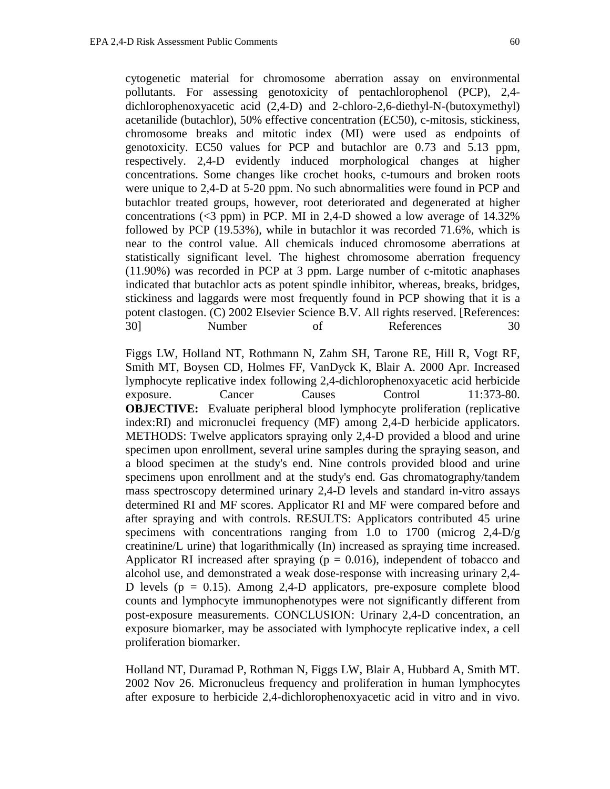cytogenetic material for chromosome aberration assay on environmental pollutants. For assessing genotoxicity of pentachlorophenol (PCP), 2,4 dichlorophenoxyacetic acid (2,4-D) and 2-chloro-2,6-diethyl-N-(butoxymethyl) acetanilide (butachlor), 50% effective concentration (EC50), c-mitosis, stickiness, chromosome breaks and mitotic index (MI) were used as endpoints of genotoxicity. EC50 values for PCP and butachlor are 0.73 and 5.13 ppm, respectively. 2,4-D evidently induced morphological changes at higher concentrations. Some changes like crochet hooks, c-tumours and broken roots were unique to 2,4-D at 5-20 ppm. No such abnormalities were found in PCP and butachlor treated groups, however, root deteriorated and degenerated at higher concentrations  $(\leq 3$  ppm) in PCP. MI in 2,4-D showed a low average of 14.32% followed by PCP (19.53%), while in butachlor it was recorded 71.6%, which is near to the control value. All chemicals induced chromosome aberrations at statistically significant level. The highest chromosome aberration frequency (11.90%) was recorded in PCP at 3 ppm. Large number of c-mitotic anaphases indicated that butachlor acts as potent spindle inhibitor, whereas, breaks, bridges, stickiness and laggards were most frequently found in PCP showing that it is a potent clastogen. (C) 2002 Elsevier Science B.V. All rights reserved. [References: 30] Number of References 30

Figgs LW, Holland NT, Rothmann N, Zahm SH, Tarone RE, Hill R, Vogt RF, Smith MT, Boysen CD, Holmes FF, VanDyck K, Blair A. 2000 Apr. Increased lymphocyte replicative index following 2,4-dichlorophenoxyacetic acid herbicide exposure. Cancer Causes Control 11:373-80. **OBJECTIVE:** Evaluate peripheral blood lymphocyte proliferation (replicative index:RI) and micronuclei frequency (MF) among 2,4-D herbicide applicators. METHODS: Twelve applicators spraying only 2,4-D provided a blood and urine specimen upon enrollment, several urine samples during the spraying season, and a blood specimen at the study's end. Nine controls provided blood and urine specimens upon enrollment and at the study's end. Gas chromatography/tandem mass spectroscopy determined urinary 2,4-D levels and standard in-vitro assays determined RI and MF scores. Applicator RI and MF were compared before and after spraying and with controls. RESULTS: Applicators contributed 45 urine specimens with concentrations ranging from 1.0 to 1700 (microg 2,4-D/g creatinine/L urine) that logarithmically (In) increased as spraying time increased. Applicator RI increased after spraying ( $p = 0.016$ ), independent of tobacco and alcohol use, and demonstrated a weak dose-response with increasing urinary 2,4- D levels ( $p = 0.15$ ). Among 2,4-D applicators, pre-exposure complete blood counts and lymphocyte immunophenotypes were not significantly different from post-exposure measurements. CONCLUSION: Urinary 2,4-D concentration, an exposure biomarker, may be associated with lymphocyte replicative index, a cell proliferation biomarker.

Holland NT, Duramad P, Rothman N, Figgs LW, Blair A, Hubbard A, Smith MT. 2002 Nov 26. Micronucleus frequency and proliferation in human lymphocytes after exposure to herbicide 2,4-dichlorophenoxyacetic acid in vitro and in vivo.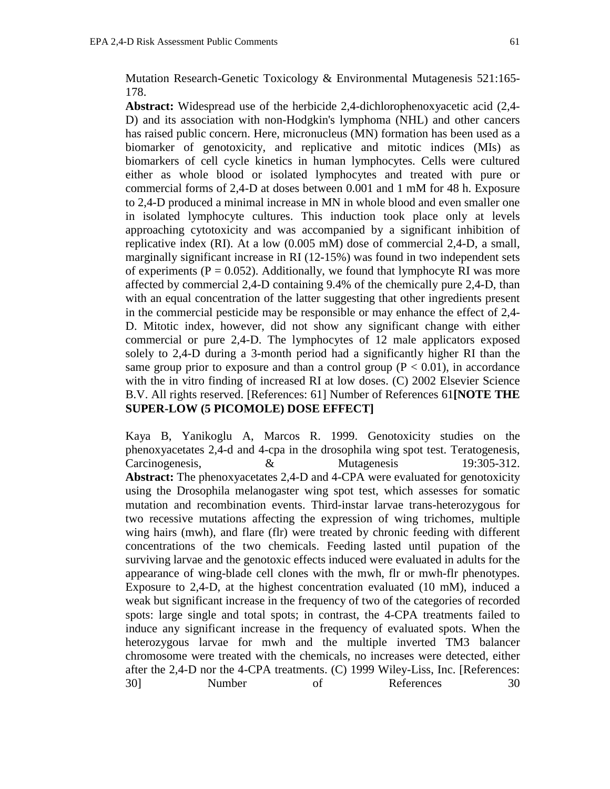Mutation Research-Genetic Toxicology & Environmental Mutagenesis 521:165- 178.

**Abstract:** Widespread use of the herbicide 2,4-dichlorophenoxyacetic acid (2,4- D) and its association with non-Hodgkin's lymphoma (NHL) and other cancers has raised public concern. Here, micronucleus (MN) formation has been used as a biomarker of genotoxicity, and replicative and mitotic indices (MIs) as biomarkers of cell cycle kinetics in human lymphocytes. Cells were cultured either as whole blood or isolated lymphocytes and treated with pure or commercial forms of 2,4-D at doses between 0.001 and 1 mM for 48 h. Exposure to 2,4-D produced a minimal increase in MN in whole blood and even smaller one in isolated lymphocyte cultures. This induction took place only at levels approaching cytotoxicity and was accompanied by a significant inhibition of replicative index (RI). At a low (0.005 mM) dose of commercial 2,4-D, a small, marginally significant increase in RI (12-15%) was found in two independent sets of experiments ( $P = 0.052$ ). Additionally, we found that lymphocyte RI was more affected by commercial 2,4-D containing 9.4% of the chemically pure 2,4-D, than with an equal concentration of the latter suggesting that other ingredients present in the commercial pesticide may be responsible or may enhance the effect of 2,4- D. Mitotic index, however, did not show any significant change with either commercial or pure 2,4-D. The lymphocytes of 12 male applicators exposed solely to 2,4-D during a 3-month period had a significantly higher RI than the same group prior to exposure and than a control group  $(P < 0.01)$ , in accordance with the in vitro finding of increased RI at low doses. (C) 2002 Elsevier Science B.V. All rights reserved. [References: 61] Number of References 61**[NOTE THE SUPER-LOW (5 PICOMOLE) DOSE EFFECT]**

Kaya B, Yanikoglu A, Marcos R. 1999. Genotoxicity studies on the phenoxyacetates 2,4-d and 4-cpa in the drosophila wing spot test. Teratogenesis, Carcinogenesis,  $\&$  Mutagenesis 19:305-312. **Abstract:** The phenoxyacetates 2,4-D and 4-CPA were evaluated for genotoxicity using the Drosophila melanogaster wing spot test, which assesses for somatic mutation and recombination events. Third-instar larvae trans-heterozygous for two recessive mutations affecting the expression of wing trichomes, multiple wing hairs (mwh), and flare (flr) were treated by chronic feeding with different concentrations of the two chemicals. Feeding lasted until pupation of the surviving larvae and the genotoxic effects induced were evaluated in adults for the appearance of wing-blade cell clones with the mwh, flr or mwh-flr phenotypes. Exposure to 2,4-D, at the highest concentration evaluated (10 mM), induced a weak but significant increase in the frequency of two of the categories of recorded spots: large single and total spots; in contrast, the 4-CPA treatments failed to induce any significant increase in the frequency of evaluated spots. When the heterozygous larvae for mwh and the multiple inverted TM3 balancer chromosome were treated with the chemicals, no increases were detected, either after the 2,4-D nor the 4-CPA treatments. (C) 1999 Wiley-Liss, Inc. [References: 30] Number of References 30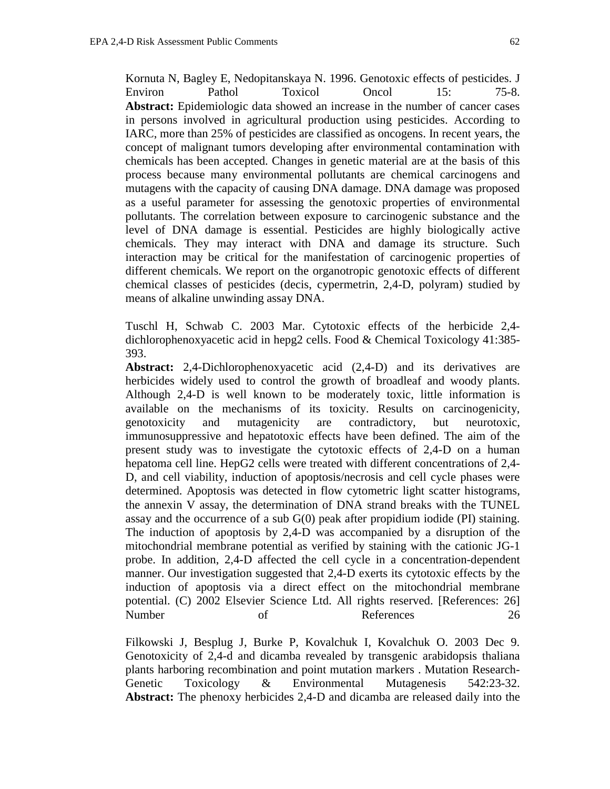Kornuta N, Bagley E, Nedopitanskaya N. 1996. Genotoxic effects of pesticides. J Environ Pathol Toxicol Oncol 15: 75-8. Abstract: Epidemiologic data showed an increase in the number of cancer cases in persons involved in agricultural production using pesticides. According to IARC, more than 25% of pesticides are classified as oncogens. In recent years, the concept of malignant tumors developing after environmental contamination with chemicals has been accepted. Changes in genetic material are at the basis of this process because many environmental pollutants are chemical carcinogens and mutagens with the capacity of causing DNA damage. DNA damage was proposed as a useful parameter for assessing the genotoxic properties of environmental pollutants. The correlation between exposure to carcinogenic substance and the level of DNA damage is essential. Pesticides are highly biologically active chemicals. They may interact with DNA and damage its structure. Such interaction may be critical for the manifestation of carcinogenic properties of different chemicals. We report on the organotropic genotoxic effects of different chemical classes of pesticides (decis, cypermetrin, 2,4-D, polyram) studied by means of alkaline unwinding assay DNA.

Tuschl H, Schwab C. 2003 Mar. Cytotoxic effects of the herbicide 2,4 dichlorophenoxyacetic acid in hepg2 cells. Food & Chemical Toxicology 41:385- 393.

**Abstract:** 2,4-Dichlorophenoxyacetic acid (2,4-D) and its derivatives are herbicides widely used to control the growth of broadleaf and woody plants. Although 2,4-D is well known to be moderately toxic, little information is available on the mechanisms of its toxicity. Results on carcinogenicity, genotoxicity and mutagenicity are contradictory, but neurotoxic, immunosuppressive and hepatotoxic effects have been defined. The aim of the present study was to investigate the cytotoxic effects of 2,4-D on a human hepatoma cell line. HepG2 cells were treated with different concentrations of 2,4- D, and cell viability, induction of apoptosis/necrosis and cell cycle phases were determined. Apoptosis was detected in flow cytometric light scatter histograms, the annexin V assay, the determination of DNA strand breaks with the TUNEL assay and the occurrence of a sub G(0) peak after propidium iodide (PI) staining. The induction of apoptosis by 2,4-D was accompanied by a disruption of the mitochondrial membrane potential as verified by staining with the cationic JG-1 probe. In addition, 2,4-D affected the cell cycle in a concentration-dependent manner. Our investigation suggested that 2,4-D exerts its cytotoxic effects by the induction of apoptosis via a direct effect on the mitochondrial membrane potential. (C) 2002 Elsevier Science Ltd. All rights reserved. [References: 26] Number of References 26

Filkowski J, Besplug J, Burke P, Kovalchuk I, Kovalchuk O. 2003 Dec 9. Genotoxicity of 2,4-d and dicamba revealed by transgenic arabidopsis thaliana plants harboring recombination and point mutation markers . Mutation Research-Genetic Toxicology & Environmental Mutagenesis 542:23-32. **Abstract:** The phenoxy herbicides 2,4-D and dicamba are released daily into the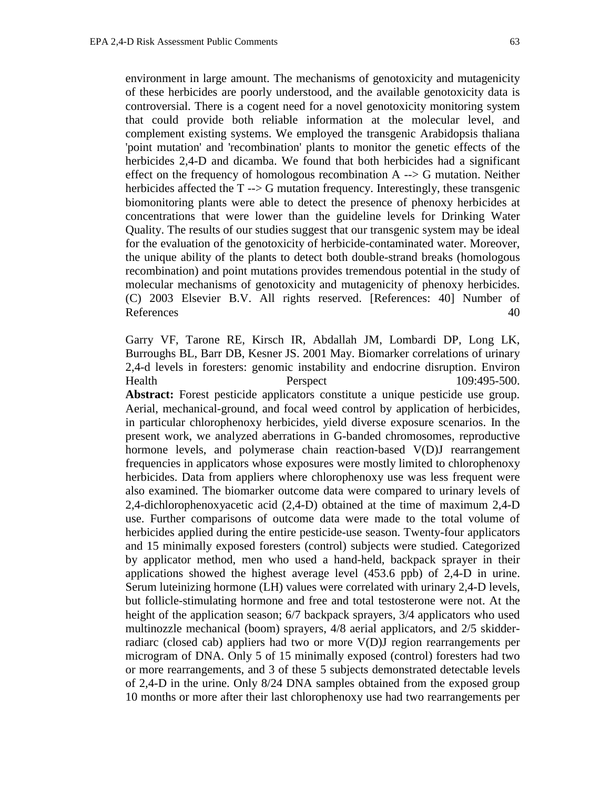environment in large amount. The mechanisms of genotoxicity and mutagenicity of these herbicides are poorly understood, and the available genotoxicity data is controversial. There is a cogent need for a novel genotoxicity monitoring system that could provide both reliable information at the molecular level, and complement existing systems. We employed the transgenic Arabidopsis thaliana 'point mutation' and 'recombination' plants to monitor the genetic effects of the herbicides 2,4-D and dicamba. We found that both herbicides had a significant effect on the frequency of homologous recombination  $A \rightarrowtail G$  mutation. Neither herbicides affected the  $T \rightarrow G$  mutation frequency. Interestingly, these transgenic biomonitoring plants were able to detect the presence of phenoxy herbicides at concentrations that were lower than the guideline levels for Drinking Water Quality. The results of our studies suggest that our transgenic system may be ideal for the evaluation of the genotoxicity of herbicide-contaminated water. Moreover, the unique ability of the plants to detect both double-strand breaks (homologous recombination) and point mutations provides tremendous potential in the study of molecular mechanisms of genotoxicity and mutagenicity of phenoxy herbicides. (C) 2003 Elsevier B.V. All rights reserved. [References: 40] Number of References 40

Garry VF, Tarone RE, Kirsch IR, Abdallah JM, Lombardi DP, Long LK, Burroughs BL, Barr DB, Kesner JS. 2001 May. Biomarker correlations of urinary 2,4-d levels in foresters: genomic instability and endocrine disruption. Environ Health Perspect 109:495-500. **Abstract:** Forest pesticide applicators constitute a unique pesticide use group. Aerial, mechanical-ground, and focal weed control by application of herbicides, in particular chlorophenoxy herbicides, yield diverse exposure scenarios. In the present work, we analyzed aberrations in G-banded chromosomes, reproductive hormone levels, and polymerase chain reaction-based V(D)J rearrangement frequencies in applicators whose exposures were mostly limited to chlorophenoxy herbicides. Data from appliers where chlorophenoxy use was less frequent were also examined. The biomarker outcome data were compared to urinary levels of 2,4-dichlorophenoxyacetic acid (2,4-D) obtained at the time of maximum 2,4-D use. Further comparisons of outcome data were made to the total volume of herbicides applied during the entire pesticide-use season. Twenty-four applicators and 15 minimally exposed foresters (control) subjects were studied. Categorized by applicator method, men who used a hand-held, backpack sprayer in their applications showed the highest average level (453.6 ppb) of 2,4-D in urine. Serum luteinizing hormone (LH) values were correlated with urinary 2,4-D levels, but follicle-stimulating hormone and free and total testosterone were not. At the height of the application season; 6/7 backpack sprayers, 3/4 applicators who used multinozzle mechanical (boom) sprayers, 4/8 aerial applicators, and 2/5 skidderradiarc (closed cab) appliers had two or more V(D)J region rearrangements per microgram of DNA. Only 5 of 15 minimally exposed (control) foresters had two or more rearrangements, and 3 of these 5 subjects demonstrated detectable levels of 2,4-D in the urine. Only 8/24 DNA samples obtained from the exposed group 10 months or more after their last chlorophenoxy use had two rearrangements per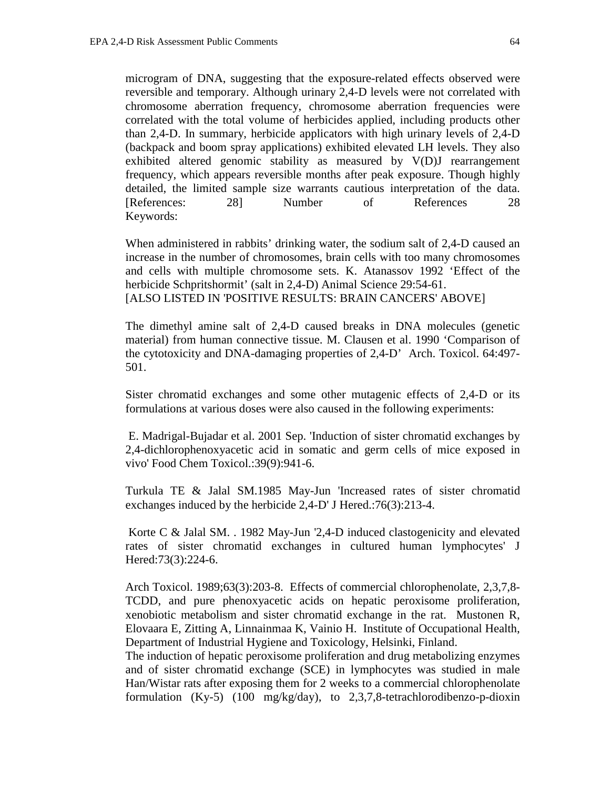microgram of DNA, suggesting that the exposure-related effects observed were reversible and temporary. Although urinary 2,4-D levels were not correlated with chromosome aberration frequency, chromosome aberration frequencies were correlated with the total volume of herbicides applied, including products other than 2,4-D. In summary, herbicide applicators with high urinary levels of 2,4-D (backpack and boom spray applications) exhibited elevated LH levels. They also exhibited altered genomic stability as measured by V(D)J rearrangement frequency, which appears reversible months after peak exposure. Though highly detailed, the limited sample size warrants cautious interpretation of the data. [References: 28] Number of References 28 Keywords:

When administered in rabbits' drinking water, the sodium salt of 2,4-D caused an increase in the number of chromosomes, brain cells with too many chromosomes and cells with multiple chromosome sets. K. Atanassov 1992 'Effect of the herbicide Schpritshormit' (salt in 2,4-D) Animal Science 29:54-61. [ALSO LISTED IN 'POSITIVE RESULTS: BRAIN CANCERS' ABOVE]

The dimethyl amine salt of 2,4-D caused breaks in DNA molecules (genetic material) from human connective tissue. M. Clausen et al. 1990 'Comparison of the cytotoxicity and DNA-damaging properties of 2,4-D' Arch. Toxicol. 64:497- 501.

Sister chromatid exchanges and some other mutagenic effects of 2,4-D or its formulations at various doses were also caused in the following experiments:

 E. Madrigal-Bujadar et al. 2001 Sep. 'Induction of sister chromatid exchanges by 2,4-dichlorophenoxyacetic acid in somatic and germ cells of mice exposed in vivo' Food Chem Toxicol.:39(9):941-6.

Turkula TE & Jalal SM.1985 May-Jun 'Increased rates of sister chromatid exchanges induced by the herbicide 2,4-D' J Hered.:76(3):213-4.

 Korte C & Jalal SM. . 1982 May-Jun '2,4-D induced clastogenicity and elevated rates of sister chromatid exchanges in cultured human lymphocytes' J Hered:73(3):224-6.

Arch Toxicol. 1989;63(3):203-8. Effects of commercial chlorophenolate, 2,3,7,8- TCDD, and pure phenoxyacetic acids on hepatic peroxisome proliferation, xenobiotic metabolism and sister chromatid exchange in the rat. Mustonen R, Elovaara E, Zitting A, Linnainmaa K, Vainio H. Institute of Occupational Health, Department of Industrial Hygiene and Toxicology, Helsinki, Finland.

The induction of hepatic peroxisome proliferation and drug metabolizing enzymes and of sister chromatid exchange (SCE) in lymphocytes was studied in male Han/Wistar rats after exposing them for 2 weeks to a commercial chlorophenolate formulation  $(Ky-5)$  (100 mg/kg/day), to 2,3,7,8-tetrachlorodibenzo-p-dioxin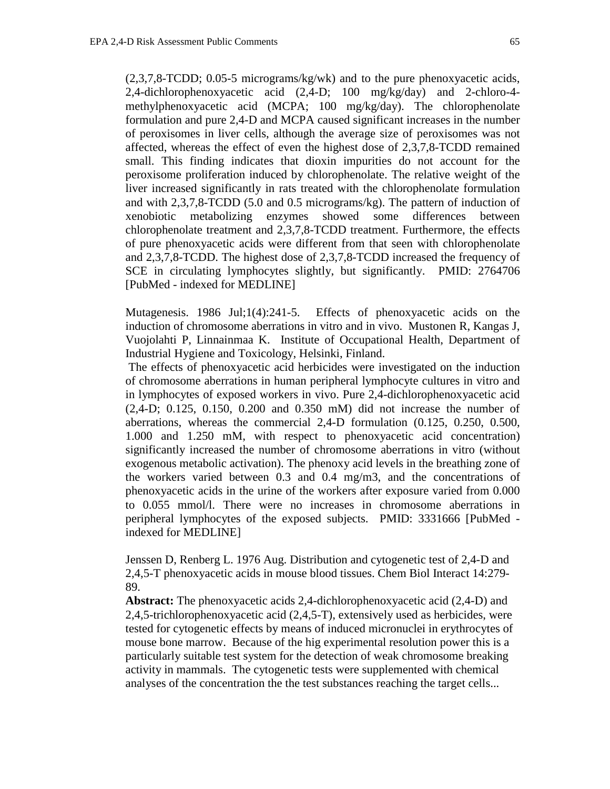(2,3,7,8-TCDD; 0.05-5 micrograms/kg/wk) and to the pure phenoxyacetic acids, 2,4-dichlorophenoxyacetic acid (2,4-D; 100 mg/kg/day) and 2-chloro-4 methylphenoxyacetic acid (MCPA; 100 mg/kg/day). The chlorophenolate formulation and pure 2,4-D and MCPA caused significant increases in the number of peroxisomes in liver cells, although the average size of peroxisomes was not affected, whereas the effect of even the highest dose of 2,3,7,8-TCDD remained small. This finding indicates that dioxin impurities do not account for the peroxisome proliferation induced by chlorophenolate. The relative weight of the liver increased significantly in rats treated with the chlorophenolate formulation and with 2,3,7,8-TCDD (5.0 and 0.5 micrograms/kg). The pattern of induction of xenobiotic metabolizing enzymes showed some differences between chlorophenolate treatment and 2,3,7,8-TCDD treatment. Furthermore, the effects of pure phenoxyacetic acids were different from that seen with chlorophenolate and 2,3,7,8-TCDD. The highest dose of 2,3,7,8-TCDD increased the frequency of SCE in circulating lymphocytes slightly, but significantly. PMID: 2764706 [PubMed - indexed for MEDLINE]

Mutagenesis. 1986 Jul;1(4):241-5. Effects of phenoxyacetic acids on the induction of chromosome aberrations in vitro and in vivo. Mustonen R, Kangas J, Vuojolahti P, Linnainmaa K. Institute of Occupational Health, Department of Industrial Hygiene and Toxicology, Helsinki, Finland.

 The effects of phenoxyacetic acid herbicides were investigated on the induction of chromosome aberrations in human peripheral lymphocyte cultures in vitro and in lymphocytes of exposed workers in vivo. Pure 2,4-dichlorophenoxyacetic acid (2,4-D; 0.125, 0.150, 0.200 and 0.350 mM) did not increase the number of aberrations, whereas the commercial 2,4-D formulation (0.125, 0.250, 0.500, 1.000 and 1.250 mM, with respect to phenoxyacetic acid concentration) significantly increased the number of chromosome aberrations in vitro (without exogenous metabolic activation). The phenoxy acid levels in the breathing zone of the workers varied between 0.3 and 0.4 mg/m3, and the concentrations of phenoxyacetic acids in the urine of the workers after exposure varied from 0.000 to 0.055 mmol/l. There were no increases in chromosome aberrations in peripheral lymphocytes of the exposed subjects. PMID: 3331666 [PubMed indexed for MEDLINE]

Jenssen D, Renberg L. 1976 Aug. Distribution and cytogenetic test of 2,4-D and 2,4,5-T phenoxyacetic acids in mouse blood tissues. Chem Biol Interact 14:279- 89.

**Abstract:** The phenoxyacetic acids 2,4-dichlorophenoxyacetic acid (2,4-D) and 2,4,5-trichlorophenoxyacetic acid (2,4,5-T), extensively used as herbicides, were tested for cytogenetic effects by means of induced micronuclei in erythrocytes of mouse bone marrow. Because of the hig experimental resolution power this is a particularly suitable test system for the detection of weak chromosome breaking activity in mammals. The cytogenetic tests were supplemented with chemical analyses of the concentration the the test substances reaching the target cells...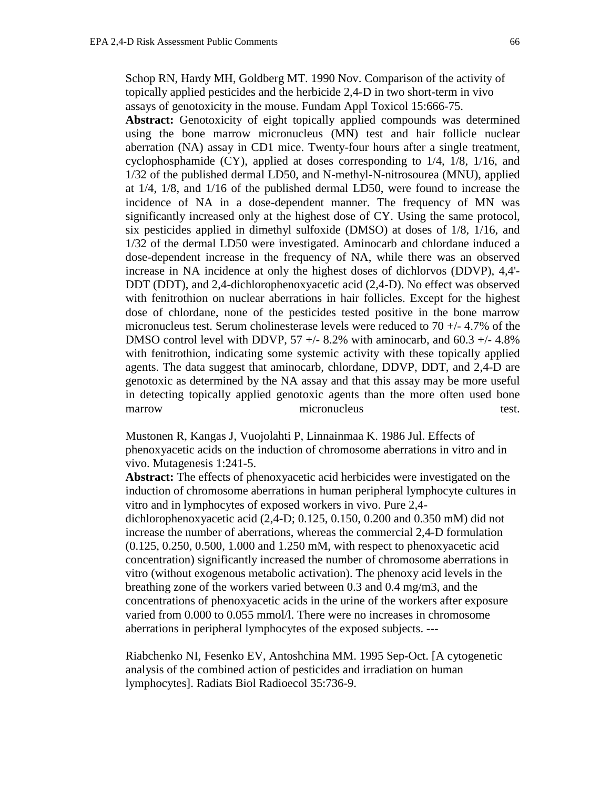Schop RN, Hardy MH, Goldberg MT. 1990 Nov. Comparison of the activity of topically applied pesticides and the herbicide 2,4-D in two short-term in vivo assays of genotoxicity in the mouse. Fundam Appl Toxicol 15:666-75.

Abstract: Genotoxicity of eight topically applied compounds was determined using the bone marrow micronucleus (MN) test and hair follicle nuclear aberration (NA) assay in CD1 mice. Twenty-four hours after a single treatment, cyclophosphamide (CY), applied at doses corresponding to 1/4, 1/8, 1/16, and 1/32 of the published dermal LD50, and N-methyl-N-nitrosourea (MNU), applied at 1/4, 1/8, and 1/16 of the published dermal LD50, were found to increase the incidence of NA in a dose-dependent manner. The frequency of MN was significantly increased only at the highest dose of CY. Using the same protocol, six pesticides applied in dimethyl sulfoxide (DMSO) at doses of 1/8, 1/16, and 1/32 of the dermal LD50 were investigated. Aminocarb and chlordane induced a dose-dependent increase in the frequency of NA, while there was an observed increase in NA incidence at only the highest doses of dichlorvos (DDVP), 4,4'- DDT (DDT), and 2,4-dichlorophenoxyacetic acid (2,4-D). No effect was observed with fenitrothion on nuclear aberrations in hair follicles. Except for the highest dose of chlordane, none of the pesticides tested positive in the bone marrow micronucleus test. Serum cholinesterase levels were reduced to 70 +/- 4.7% of the DMSO control level with DDVP,  $57 +/- 8.2\%$  with aminocarb, and  $60.3 +/- 4.8\%$ with fenitrothion, indicating some systemic activity with these topically applied agents. The data suggest that aminocarb, chlordane, DDVP, DDT, and 2,4-D are genotoxic as determined by the NA assay and that this assay may be more useful in detecting topically applied genotoxic agents than the more often used bone marrow micronucleus test.

Mustonen R, Kangas J, Vuojolahti P, Linnainmaa K. 1986 Jul. Effects of phenoxyacetic acids on the induction of chromosome aberrations in vitro and in vivo. Mutagenesis 1:241-5.

**Abstract:** The effects of phenoxyacetic acid herbicides were investigated on the induction of chromosome aberrations in human peripheral lymphocyte cultures in vitro and in lymphocytes of exposed workers in vivo. Pure 2,4 dichlorophenoxyacetic acid (2,4-D; 0.125, 0.150, 0.200 and 0.350 mM) did not increase the number of aberrations, whereas the commercial 2,4-D formulation (0.125, 0.250, 0.500, 1.000 and 1.250 mM, with respect to phenoxyacetic acid concentration) significantly increased the number of chromosome aberrations in vitro (without exogenous metabolic activation). The phenoxy acid levels in the breathing zone of the workers varied between 0.3 and 0.4 mg/m3, and the concentrations of phenoxyacetic acids in the urine of the workers after exposure varied from 0.000 to 0.055 mmol/l. There were no increases in chromosome aberrations in peripheral lymphocytes of the exposed subjects. ---

Riabchenko NI, Fesenko EV, Antoshchina MM. 1995 Sep-Oct. [A cytogenetic analysis of the combined action of pesticides and irradiation on human lymphocytes]. Radiats Biol Radioecol 35:736-9.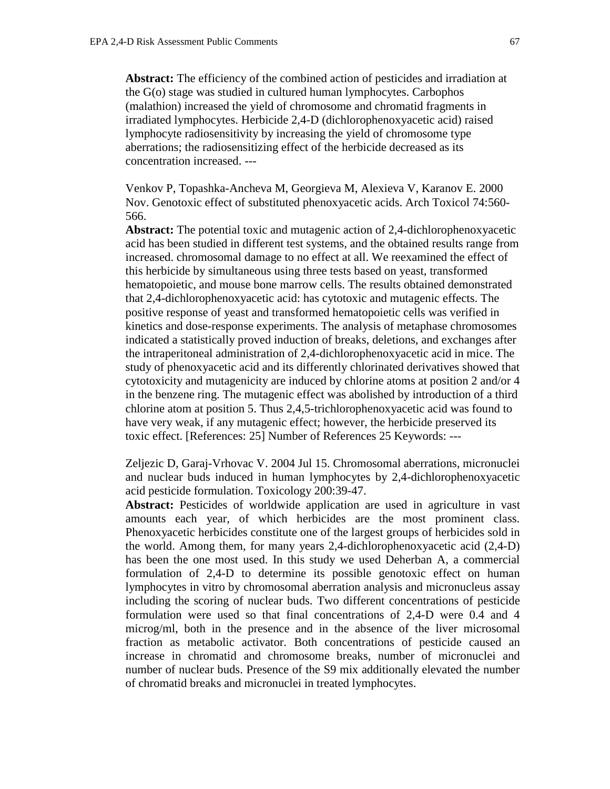**Abstract:** The efficiency of the combined action of pesticides and irradiation at the G(o) stage was studied in cultured human lymphocytes. Carbophos (malathion) increased the yield of chromosome and chromatid fragments in irradiated lymphocytes. Herbicide 2,4-D (dichlorophenoxyacetic acid) raised lymphocyte radiosensitivity by increasing the yield of chromosome type aberrations; the radiosensitizing effect of the herbicide decreased as its concentration increased. ---

Venkov P, Topashka-Ancheva M, Georgieva M, Alexieva V, Karanov E. 2000 Nov. Genotoxic effect of substituted phenoxyacetic acids. Arch Toxicol 74:560- 566.

**Abstract:** The potential toxic and mutagenic action of 2,4-dichlorophenoxyacetic acid has been studied in different test systems, and the obtained results range from increased. chromosomal damage to no effect at all. We reexamined the effect of this herbicide by simultaneous using three tests based on yeast, transformed hematopoietic, and mouse bone marrow cells. The results obtained demonstrated that 2,4-dichlorophenoxyacetic acid: has cytotoxic and mutagenic effects. The positive response of yeast and transformed hematopoietic cells was verified in kinetics and dose-response experiments. The analysis of metaphase chromosomes indicated a statistically proved induction of breaks, deletions, and exchanges after the intraperitoneal administration of 2,4-dichlorophenoxyacetic acid in mice. The study of phenoxyacetic acid and its differently chlorinated derivatives showed that cytotoxicity and mutagenicity are induced by chlorine atoms at position 2 and/or 4 in the benzene ring. The mutagenic effect was abolished by introduction of a third chlorine atom at position 5. Thus 2,4,5-trichlorophenoxyacetic acid was found to have very weak, if any mutagenic effect; however, the herbicide preserved its toxic effect. [References: 25] Number of References 25 Keywords: ---

Zeljezic D, Garaj-Vrhovac V. 2004 Jul 15. Chromosomal aberrations, micronuclei and nuclear buds induced in human lymphocytes by 2,4-dichlorophenoxyacetic acid pesticide formulation. Toxicology 200:39-47.

Abstract: Pesticides of worldwide application are used in agriculture in vast amounts each year, of which herbicides are the most prominent class. Phenoxyacetic herbicides constitute one of the largest groups of herbicides sold in the world. Among them, for many years 2,4-dichlorophenoxyacetic acid (2,4-D) has been the one most used. In this study we used Deherban A, a commercial formulation of 2,4-D to determine its possible genotoxic effect on human lymphocytes in vitro by chromosomal aberration analysis and micronucleus assay including the scoring of nuclear buds. Two different concentrations of pesticide formulation were used so that final concentrations of 2,4-D were 0.4 and 4 microg/ml, both in the presence and in the absence of the liver microsomal fraction as metabolic activator. Both concentrations of pesticide caused an increase in chromatid and chromosome breaks, number of micronuclei and number of nuclear buds. Presence of the S9 mix additionally elevated the number of chromatid breaks and micronuclei in treated lymphocytes.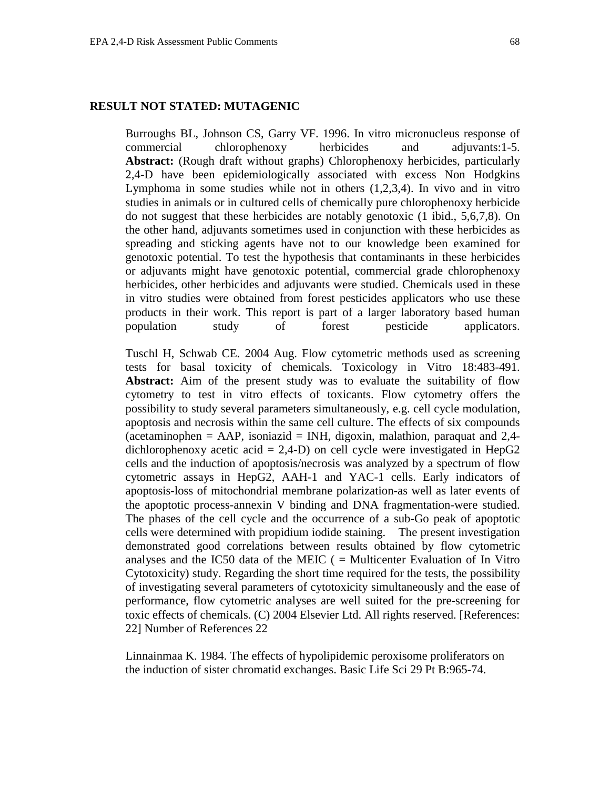Burroughs BL, Johnson CS, Garry VF. 1996. In vitro micronucleus response of commercial chlorophenoxy herbicides and adjuvants:1-5. **Abstract:** (Rough draft without graphs) Chlorophenoxy herbicides, particularly 2,4-D have been epidemiologically associated with excess Non Hodgkins Lymphoma in some studies while not in others (1,2,3,4). In vivo and in vitro studies in animals or in cultured cells of chemically pure chlorophenoxy herbicide do not suggest that these herbicides are notably genotoxic (1 ibid., 5,6,7,8). On the other hand, adjuvants sometimes used in conjunction with these herbicides as spreading and sticking agents have not to our knowledge been examined for genotoxic potential. To test the hypothesis that contaminants in these herbicides or adjuvants might have genotoxic potential, commercial grade chlorophenoxy herbicides, other herbicides and adjuvants were studied. Chemicals used in these in vitro studies were obtained from forest pesticides applicators who use these products in their work. This report is part of a larger laboratory based human population study of forest pesticide applicators.

Tuschl H, Schwab CE. 2004 Aug. Flow cytometric methods used as screening tests for basal toxicity of chemicals. Toxicology in Vitro 18:483-491. Abstract: Aim of the present study was to evaluate the suitability of flow cytometry to test in vitro effects of toxicants. Flow cytometry offers the possibility to study several parameters simultaneously, e.g. cell cycle modulation, apoptosis and necrosis within the same cell culture. The effects of six compounds (acetaminophen = AAP, isoniazid = INH, digoxin, malathion, paraquat and  $2,4$ dichlorophenoxy acetic acid =  $2,4$ -D) on cell cycle were investigated in HepG2 cells and the induction of apoptosis/necrosis was analyzed by a spectrum of flow cytometric assays in HepG2, AAH-1 and YAC-1 cells. Early indicators of apoptosis-loss of mitochondrial membrane polarization-as well as later events of the apoptotic process-annexin V binding and DNA fragmentation-were studied. The phases of the cell cycle and the occurrence of a sub-Go peak of apoptotic cells were determined with propidium iodide staining. The present investigation demonstrated good correlations between results obtained by flow cytometric analyses and the IC50 data of the MEIC  $($  = Multicenter Evaluation of In Vitro Cytotoxicity) study. Regarding the short time required for the tests, the possibility of investigating several parameters of cytotoxicity simultaneously and the ease of performance, flow cytometric analyses are well suited for the pre-screening for toxic effects of chemicals. (C) 2004 Elsevier Ltd. All rights reserved. [References: 22] Number of References 22

Linnainmaa K. 1984. The effects of hypolipidemic peroxisome proliferators on the induction of sister chromatid exchanges. Basic Life Sci 29 Pt B:965-74.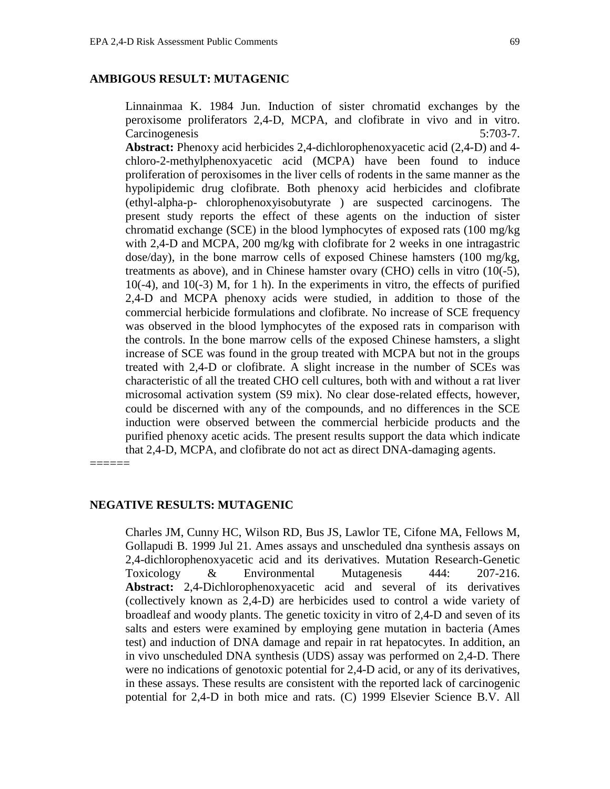## **AMBIGOUS RESULT: MUTAGENIC**

Linnainmaa K. 1984 Jun. Induction of sister chromatid exchanges by the peroxisome proliferators 2,4-D, MCPA, and clofibrate in vivo and in vitro. Carcinogenesis 5:703-7.

**Abstract:** Phenoxy acid herbicides 2,4-dichlorophenoxyacetic acid (2,4-D) and 4 chloro-2-methylphenoxyacetic acid (MCPA) have been found to induce proliferation of peroxisomes in the liver cells of rodents in the same manner as the hypolipidemic drug clofibrate. Both phenoxy acid herbicides and clofibrate (ethyl-alpha-p- chlorophenoxyisobutyrate ) are suspected carcinogens. The present study reports the effect of these agents on the induction of sister chromatid exchange (SCE) in the blood lymphocytes of exposed rats (100 mg/kg with 2,4-D and MCPA, 200 mg/kg with clofibrate for 2 weeks in one intragastric dose/day), in the bone marrow cells of exposed Chinese hamsters (100 mg/kg, treatments as above), and in Chinese hamster ovary (CHO) cells in vitro (10(-5), 10(-4), and 10(-3) M, for 1 h). In the experiments in vitro, the effects of purified 2,4-D and MCPA phenoxy acids were studied, in addition to those of the commercial herbicide formulations and clofibrate. No increase of SCE frequency was observed in the blood lymphocytes of the exposed rats in comparison with the controls. In the bone marrow cells of the exposed Chinese hamsters, a slight increase of SCE was found in the group treated with MCPA but not in the groups treated with 2,4-D or clofibrate. A slight increase in the number of SCEs was characteristic of all the treated CHO cell cultures, both with and without a rat liver microsomal activation system (S9 mix). No clear dose-related effects, however, could be discerned with any of the compounds, and no differences in the SCE induction were observed between the commercial herbicide products and the purified phenoxy acetic acids. The present results support the data which indicate that 2,4-D, MCPA, and clofibrate do not act as direct DNA-damaging agents.

======

#### **NEGATIVE RESULTS: MUTAGENIC**

Charles JM, Cunny HC, Wilson RD, Bus JS, Lawlor TE, Cifone MA, Fellows M, Gollapudi B. 1999 Jul 21. Ames assays and unscheduled dna synthesis assays on 2,4-dichlorophenoxyacetic acid and its derivatives. Mutation Research-Genetic Toxicology & Environmental Mutagenesis 444: 207-216. **Abstract:** 2,4-Dichlorophenoxyacetic acid and several of its derivatives (collectively known as 2,4-D) are herbicides used to control a wide variety of broadleaf and woody plants. The genetic toxicity in vitro of 2,4-D and seven of its salts and esters were examined by employing gene mutation in bacteria (Ames test) and induction of DNA damage and repair in rat hepatocytes. In addition, an in vivo unscheduled DNA synthesis (UDS) assay was performed on 2,4-D. There were no indications of genotoxic potential for 2,4-D acid, or any of its derivatives, in these assays. These results are consistent with the reported lack of carcinogenic potential for 2,4-D in both mice and rats. (C) 1999 Elsevier Science B.V. All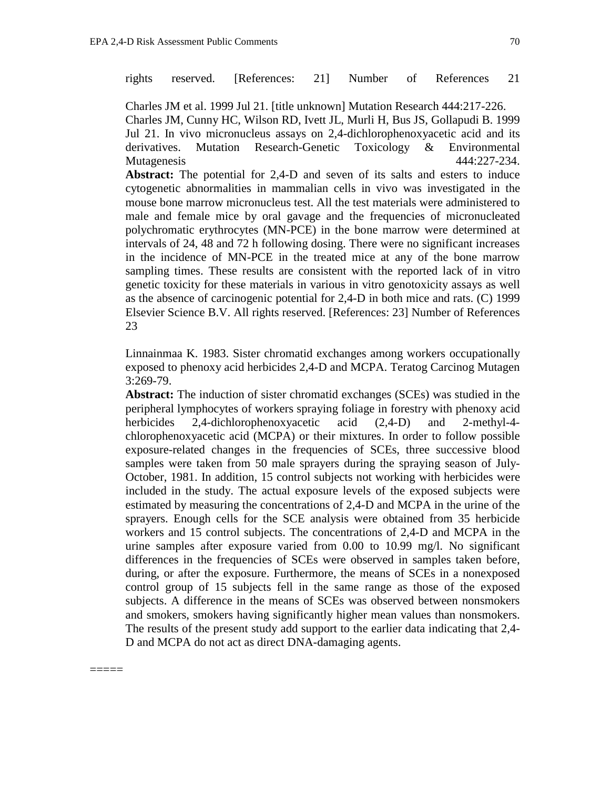=====

rights reserved. [References: 21] Number of References 21

Charles JM et al. 1999 Jul 21. [title unknown] Mutation Research 444:217-226. Charles JM, Cunny HC, Wilson RD, Ivett JL, Murli H, Bus JS, Gollapudi B. 1999 Jul 21. In vivo micronucleus assays on 2,4-dichlorophenoxyacetic acid and its derivatives. Mutation Research-Genetic Toxicology & Environmental Mutagenesis 444:227-234.

Abstract: The potential for 2,4-D and seven of its salts and esters to induce cytogenetic abnormalities in mammalian cells in vivo was investigated in the mouse bone marrow micronucleus test. All the test materials were administered to male and female mice by oral gavage and the frequencies of micronucleated polychromatic erythrocytes (MN-PCE) in the bone marrow were determined at intervals of 24, 48 and 72 h following dosing. There were no significant increases in the incidence of MN-PCE in the treated mice at any of the bone marrow sampling times. These results are consistent with the reported lack of in vitro genetic toxicity for these materials in various in vitro genotoxicity assays as well as the absence of carcinogenic potential for 2,4-D in both mice and rats. (C) 1999 Elsevier Science B.V. All rights reserved. [References: 23] Number of References 23

Linnainmaa K. 1983. Sister chromatid exchanges among workers occupationally exposed to phenoxy acid herbicides 2,4-D and MCPA. Teratog Carcinog Mutagen 3:269-79.

**Abstract:** The induction of sister chromatid exchanges (SCEs) was studied in the peripheral lymphocytes of workers spraying foliage in forestry with phenoxy acid herbicides 2,4-dichlorophenoxyacetic acid (2,4-D) and 2-methyl-4 chlorophenoxyacetic acid (MCPA) or their mixtures. In order to follow possible exposure-related changes in the frequencies of SCEs, three successive blood samples were taken from 50 male sprayers during the spraying season of July-October, 1981. In addition, 15 control subjects not working with herbicides were included in the study. The actual exposure levels of the exposed subjects were estimated by measuring the concentrations of 2,4-D and MCPA in the urine of the sprayers. Enough cells for the SCE analysis were obtained from 35 herbicide workers and 15 control subjects. The concentrations of 2,4-D and MCPA in the urine samples after exposure varied from 0.00 to 10.99 mg/l. No significant differences in the frequencies of SCEs were observed in samples taken before, during, or after the exposure. Furthermore, the means of SCEs in a nonexposed control group of 15 subjects fell in the same range as those of the exposed subjects. A difference in the means of SCEs was observed between nonsmokers and smokers, smokers having significantly higher mean values than nonsmokers. The results of the present study add support to the earlier data indicating that 2,4- D and MCPA do not act as direct DNA-damaging agents.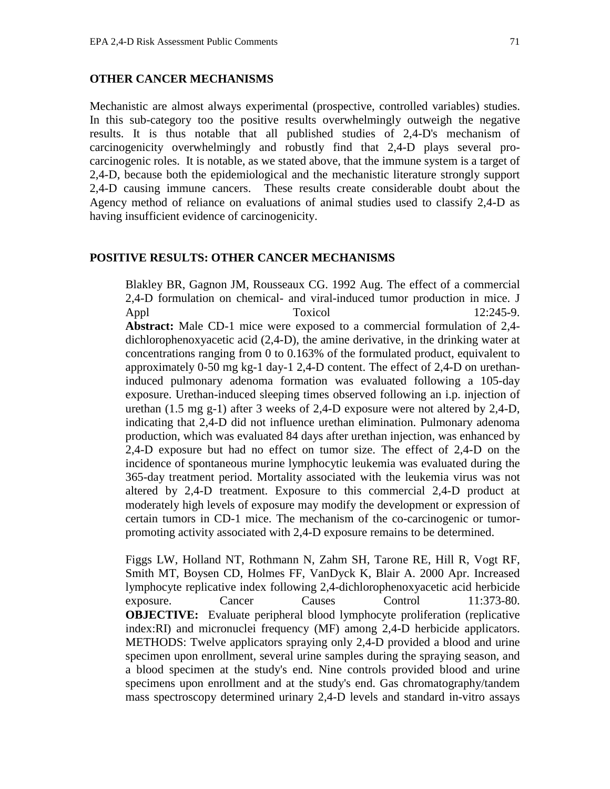## **OTHER CANCER MECHANISMS**

Mechanistic are almost always experimental (prospective, controlled variables) studies. In this sub-category too the positive results overwhelmingly outweigh the negative results. It is thus notable that all published studies of 2,4-D's mechanism of carcinogenicity overwhelmingly and robustly find that 2,4-D plays several procarcinogenic roles. It is notable, as we stated above, that the immune system is a target of 2,4-D, because both the epidemiological and the mechanistic literature strongly support 2,4-D causing immune cancers. These results create considerable doubt about the Agency method of reliance on evaluations of animal studies used to classify 2,4-D as having insufficient evidence of carcinogenicity.

## **POSITIVE RESULTS: OTHER CANCER MECHANISMS**

Blakley BR, Gagnon JM, Rousseaux CG. 1992 Aug. The effect of a commercial 2,4-D formulation on chemical- and viral-induced tumor production in mice. J Appl Toxicol 12:245-9. **Abstract:** Male CD-1 mice were exposed to a commercial formulation of 2,4 dichlorophenoxyacetic acid (2,4-D), the amine derivative, in the drinking water at concentrations ranging from 0 to 0.163% of the formulated product, equivalent to approximately 0-50 mg kg-1 day-1 2,4-D content. The effect of 2,4-D on urethaninduced pulmonary adenoma formation was evaluated following a 105-day exposure. Urethan-induced sleeping times observed following an i.p. injection of urethan (1.5 mg g-1) after 3 weeks of 2,4-D exposure were not altered by 2,4-D, indicating that 2,4-D did not influence urethan elimination. Pulmonary adenoma production, which was evaluated 84 days after urethan injection, was enhanced by 2,4-D exposure but had no effect on tumor size. The effect of 2,4-D on the incidence of spontaneous murine lymphocytic leukemia was evaluated during the 365-day treatment period. Mortality associated with the leukemia virus was not altered by 2,4-D treatment. Exposure to this commercial 2,4-D product at moderately high levels of exposure may modify the development or expression of certain tumors in CD-1 mice. The mechanism of the co-carcinogenic or tumorpromoting activity associated with 2,4-D exposure remains to be determined.

Figgs LW, Holland NT, Rothmann N, Zahm SH, Tarone RE, Hill R, Vogt RF, Smith MT, Boysen CD, Holmes FF, VanDyck K, Blair A. 2000 Apr. Increased lymphocyte replicative index following 2,4-dichlorophenoxyacetic acid herbicide exposure. Cancer Causes Control 11:373-80. **OBJECTIVE:** Evaluate peripheral blood lymphocyte proliferation (replicative index:RI) and micronuclei frequency (MF) among 2,4-D herbicide applicators. METHODS: Twelve applicators spraying only 2,4-D provided a blood and urine specimen upon enrollment, several urine samples during the spraying season, and a blood specimen at the study's end. Nine controls provided blood and urine specimens upon enrollment and at the study's end. Gas chromatography/tandem mass spectroscopy determined urinary 2,4-D levels and standard in-vitro assays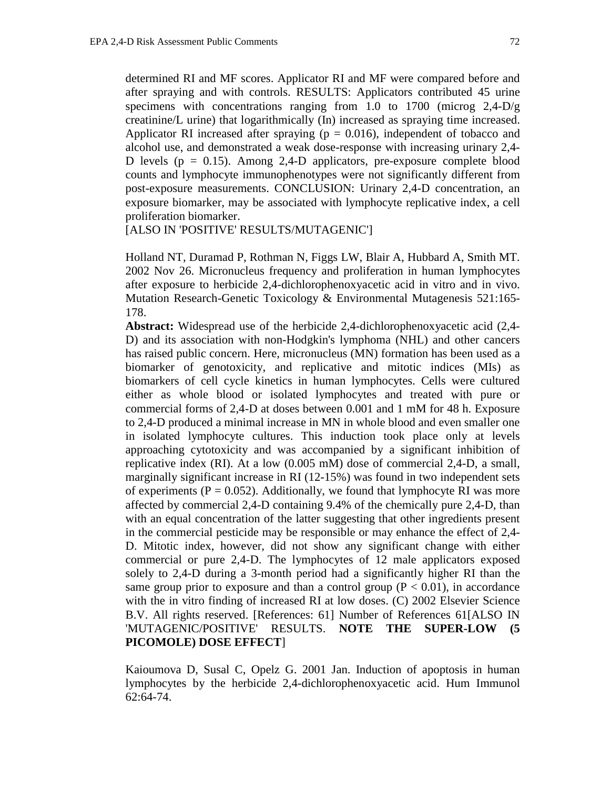determined RI and MF scores. Applicator RI and MF were compared before and after spraying and with controls. RESULTS: Applicators contributed 45 urine specimens with concentrations ranging from 1.0 to 1700 (microg 2,4-D/g creatinine/L urine) that logarithmically (In) increased as spraying time increased. Applicator RI increased after spraying ( $p = 0.016$ ), independent of tobacco and alcohol use, and demonstrated a weak dose-response with increasing urinary 2,4- D levels ( $p = 0.15$ ). Among 2,4-D applicators, pre-exposure complete blood counts and lymphocyte immunophenotypes were not significantly different from post-exposure measurements. CONCLUSION: Urinary 2,4-D concentration, an exposure biomarker, may be associated with lymphocyte replicative index, a cell proliferation biomarker.

[ALSO IN 'POSITIVE' RESULTS/MUTAGENIC']

Holland NT, Duramad P, Rothman N, Figgs LW, Blair A, Hubbard A, Smith MT. 2002 Nov 26. Micronucleus frequency and proliferation in human lymphocytes after exposure to herbicide 2,4-dichlorophenoxyacetic acid in vitro and in vivo. Mutation Research-Genetic Toxicology & Environmental Mutagenesis 521:165- 178.

**Abstract:** Widespread use of the herbicide 2,4-dichlorophenoxyacetic acid (2,4- D) and its association with non-Hodgkin's lymphoma (NHL) and other cancers has raised public concern. Here, micronucleus (MN) formation has been used as a biomarker of genotoxicity, and replicative and mitotic indices (MIs) as biomarkers of cell cycle kinetics in human lymphocytes. Cells were cultured either as whole blood or isolated lymphocytes and treated with pure or commercial forms of 2,4-D at doses between 0.001 and 1 mM for 48 h. Exposure to 2,4-D produced a minimal increase in MN in whole blood and even smaller one in isolated lymphocyte cultures. This induction took place only at levels approaching cytotoxicity and was accompanied by a significant inhibition of replicative index (RI). At a low (0.005 mM) dose of commercial 2,4-D, a small, marginally significant increase in RI (12-15%) was found in two independent sets of experiments ( $P = 0.052$ ). Additionally, we found that lymphocyte RI was more affected by commercial 2,4-D containing 9.4% of the chemically pure 2,4-D, than with an equal concentration of the latter suggesting that other ingredients present in the commercial pesticide may be responsible or may enhance the effect of 2,4- D. Mitotic index, however, did not show any significant change with either commercial or pure 2,4-D. The lymphocytes of 12 male applicators exposed solely to 2,4-D during a 3-month period had a significantly higher RI than the same group prior to exposure and than a control group  $(P < 0.01)$ , in accordance with the in vitro finding of increased RI at low doses. (C) 2002 Elsevier Science B.V. All rights reserved. [References: 61] Number of References 61[ALSO IN 'MUTAGENIC/POSITIVE' RESULTS. **NOTE THE SUPER-LOW (5 PICOMOLE) DOSE EFFECT**]

Kaioumova D, Susal C, Opelz G. 2001 Jan. Induction of apoptosis in human lymphocytes by the herbicide 2,4-dichlorophenoxyacetic acid. Hum Immunol  $62:64-74.$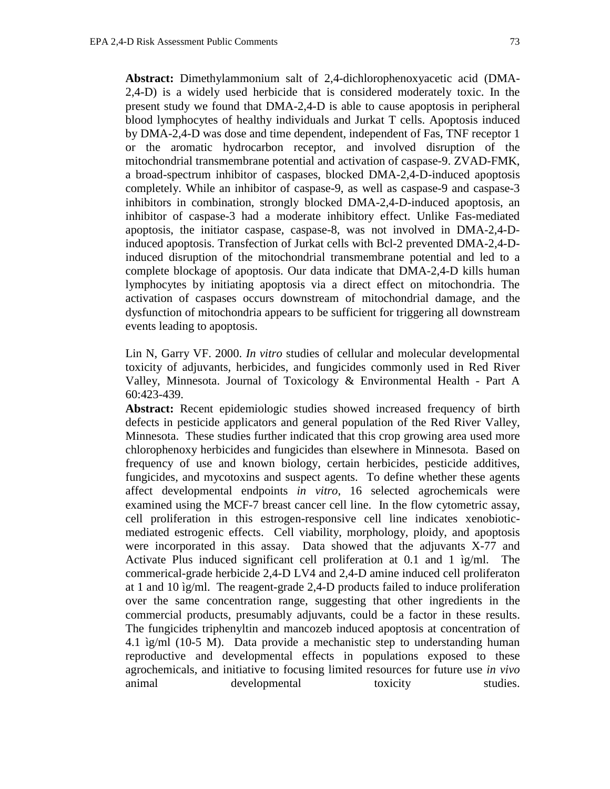**Abstract:** Dimethylammonium salt of 2,4-dichlorophenoxyacetic acid (DMA-2,4-D) is a widely used herbicide that is considered moderately toxic. In the present study we found that DMA-2,4-D is able to cause apoptosis in peripheral blood lymphocytes of healthy individuals and Jurkat T cells. Apoptosis induced by DMA-2,4-D was dose and time dependent, independent of Fas, TNF receptor 1 or the aromatic hydrocarbon receptor, and involved disruption of the mitochondrial transmembrane potential and activation of caspase-9. ZVAD-FMK, a broad-spectrum inhibitor of caspases, blocked DMA-2,4-D-induced apoptosis completely. While an inhibitor of caspase-9, as well as caspase-9 and caspase-3 inhibitors in combination, strongly blocked DMA-2,4-D-induced apoptosis, an inhibitor of caspase-3 had a moderate inhibitory effect. Unlike Fas-mediated apoptosis, the initiator caspase, caspase-8, was not involved in DMA-2,4-Dinduced apoptosis. Transfection of Jurkat cells with Bcl-2 prevented DMA-2,4-Dinduced disruption of the mitochondrial transmembrane potential and led to a complete blockage of apoptosis. Our data indicate that DMA-2,4-D kills human lymphocytes by initiating apoptosis via a direct effect on mitochondria. The activation of caspases occurs downstream of mitochondrial damage, and the dysfunction of mitochondria appears to be sufficient for triggering all downstream events leading to apoptosis.

Lin N, Garry VF. 2000. *In vitro* studies of cellular and molecular developmental toxicity of adjuvants, herbicides, and fungicides commonly used in Red River Valley, Minnesota. Journal of Toxicology & Environmental Health - Part A 60:423-439.

**Abstract:** Recent epidemiologic studies showed increased frequency of birth defects in pesticide applicators and general population of the Red River Valley, Minnesota. These studies further indicated that this crop growing area used more chlorophenoxy herbicides and fungicides than elsewhere in Minnesota. Based on frequency of use and known biology, certain herbicides, pesticide additives, fungicides, and mycotoxins and suspect agents. To define whether these agents affect developmental endpoints *in vitro*, 16 selected agrochemicals were examined using the MCF-7 breast cancer cell line. In the flow cytometric assay, cell proliferation in this estrogen-responsive cell line indicates xenobioticmediated estrogenic effects. Cell viability, morphology, ploidy, and apoptosis were incorporated in this assay. Data showed that the adjuvants X-77 and Activate Plus induced significant cell proliferation at 0.1 and 1 ìg/ml. The commerical-grade herbicide 2,4-D LV4 and 2,4-D amine induced cell proliferaton at 1 and 10 ìg/ml. The reagent-grade 2,4-D products failed to induce proliferation over the same concentration range, suggesting that other ingredients in the commercial products, presumably adjuvants, could be a factor in these results. The fungicides triphenyltin and mancozeb induced apoptosis at concentration of 4.1 ìg/ml (10-5 M). Data provide a mechanistic step to understanding human reproductive and developmental effects in populations exposed to these agrochemicals, and initiative to focusing limited resources for future use *in vivo* animal developmental toxicity studies.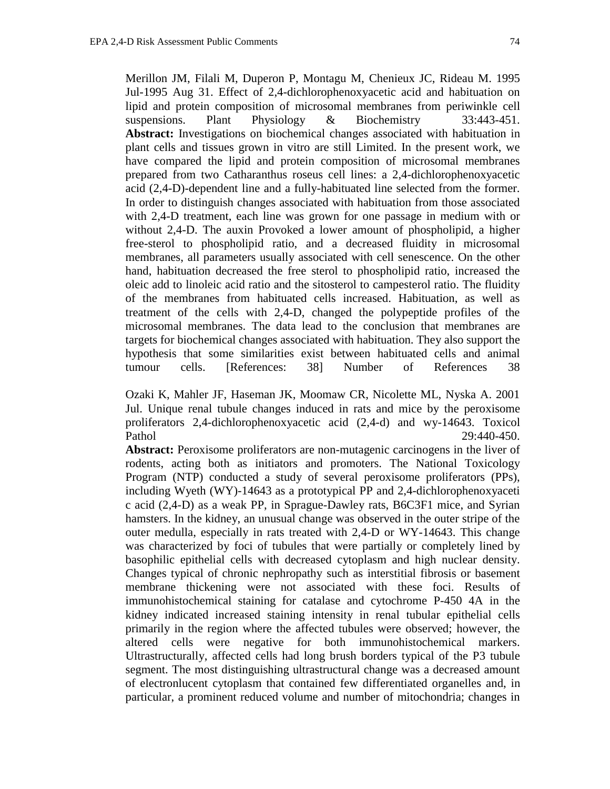Merillon JM, Filali M, Duperon P, Montagu M, Chenieux JC, Rideau M. 1995 Jul-1995 Aug 31. Effect of 2,4-dichlorophenoxyacetic acid and habituation on lipid and protein composition of microsomal membranes from periwinkle cell suspensions. Plant Physiology & Biochemistry 33:443-451. **Abstract:** Investigations on biochemical changes associated with habituation in plant cells and tissues grown in vitro are still Limited. In the present work, we have compared the lipid and protein composition of microsomal membranes prepared from two Catharanthus roseus cell lines: a 2,4-dichlorophenoxyacetic acid (2,4-D)-dependent line and a fully-habituated line selected from the former. In order to distinguish changes associated with habituation from those associated with 2,4-D treatment, each line was grown for one passage in medium with or without 2,4-D. The auxin Provoked a lower amount of phospholipid, a higher free-sterol to phospholipid ratio, and a decreased fluidity in microsomal membranes, all parameters usually associated with cell senescence. On the other hand, habituation decreased the free sterol to phospholipid ratio, increased the oleic add to linoleic acid ratio and the sitosterol to campesterol ratio. The fluidity of the membranes from habituated cells increased. Habituation, as well as treatment of the cells with 2,4-D, changed the polypeptide profiles of the microsomal membranes. The data lead to the conclusion that membranes are targets for biochemical changes associated with habituation. They also support the hypothesis that some similarities exist between habituated cells and animal tumour cells. [References: 38] Number of References 38

Ozaki K, Mahler JF, Haseman JK, Moomaw CR, Nicolette ML, Nyska A. 2001 Jul. Unique renal tubule changes induced in rats and mice by the peroxisome proliferators 2,4-dichlorophenoxyacetic acid (2,4-d) and wy-14643. Toxicol Pathol 29:440-450.

**Abstract:** Peroxisome proliferators are non-mutagenic carcinogens in the liver of rodents, acting both as initiators and promoters. The National Toxicology Program (NTP) conducted a study of several peroxisome proliferators (PPs), including Wyeth (WY)-14643 as a prototypical PP and 2,4-dichlorophenoxyaceti c acid (2,4-D) as a weak PP, in Sprague-Dawley rats, B6C3F1 mice, and Syrian hamsters. In the kidney, an unusual change was observed in the outer stripe of the outer medulla, especially in rats treated with 2,4-D or WY-14643. This change was characterized by foci of tubules that were partially or completely lined by basophilic epithelial cells with decreased cytoplasm and high nuclear density. Changes typical of chronic nephropathy such as interstitial fibrosis or basement membrane thickening were not associated with these foci. Results of immunohistochemical staining for catalase and cytochrome P-450 4A in the kidney indicated increased staining intensity in renal tubular epithelial cells primarily in the region where the affected tubules were observed; however, the altered cells were negative for both immunohistochemical markers. Ultrastructurally, affected cells had long brush borders typical of the P3 tubule segment. The most distinguishing ultrastructural change was a decreased amount of electronlucent cytoplasm that contained few differentiated organelles and, in particular, a prominent reduced volume and number of mitochondria; changes in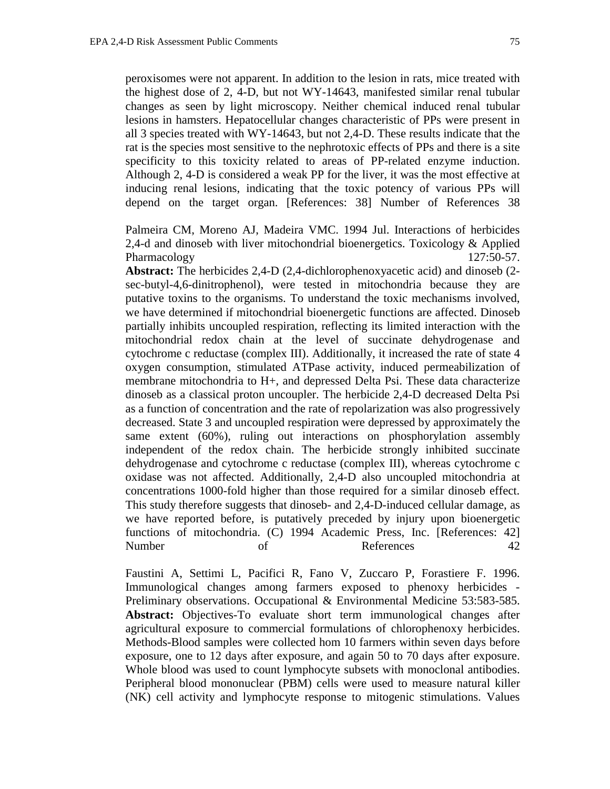peroxisomes were not apparent. In addition to the lesion in rats, mice treated with the highest dose of 2, 4-D, but not WY-14643, manifested similar renal tubular changes as seen by light microscopy. Neither chemical induced renal tubular lesions in hamsters. Hepatocellular changes characteristic of PPs were present in all 3 species treated with WY-14643, but not 2,4-D. These results indicate that the rat is the species most sensitive to the nephrotoxic effects of PPs and there is a site specificity to this toxicity related to areas of PP-related enzyme induction. Although 2, 4-D is considered a weak PP for the liver, it was the most effective at inducing renal lesions, indicating that the toxic potency of various PPs will depend on the target organ. [References: 38] Number of References 38

Palmeira CM, Moreno AJ, Madeira VMC. 1994 Jul. Interactions of herbicides 2,4-d and dinoseb with liver mitochondrial bioenergetics. Toxicology & Applied Pharmacology 127:50-57.

**Abstract:** The herbicides 2,4-D (2,4-dichlorophenoxyacetic acid) and dinoseb (2 sec-butyl-4,6-dinitrophenol), were tested in mitochondria because they are putative toxins to the organisms. To understand the toxic mechanisms involved, we have determined if mitochondrial bioenergetic functions are affected. Dinoseb partially inhibits uncoupled respiration, reflecting its limited interaction with the mitochondrial redox chain at the level of succinate dehydrogenase and cytochrome c reductase (complex III). Additionally, it increased the rate of state 4 oxygen consumption, stimulated ATPase activity, induced permeabilization of membrane mitochondria to H+, and depressed Delta Psi. These data characterize dinoseb as a classical proton uncoupler. The herbicide 2,4-D decreased Delta Psi as a function of concentration and the rate of repolarization was also progressively decreased. State 3 and uncoupled respiration were depressed by approximately the same extent (60%), ruling out interactions on phosphorylation assembly independent of the redox chain. The herbicide strongly inhibited succinate dehydrogenase and cytochrome c reductase (complex III), whereas cytochrome c oxidase was not affected. Additionally, 2,4-D also uncoupled mitochondria at concentrations 1000-fold higher than those required for a similar dinoseb effect. This study therefore suggests that dinoseb- and 2,4-D-induced cellular damage, as we have reported before, is putatively preceded by injury upon bioenergetic functions of mitochondria. (C) 1994 Academic Press, Inc. [References: 42] Number of References 42

Faustini A, Settimi L, Pacifici R, Fano V, Zuccaro P, Forastiere F. 1996. Immunological changes among farmers exposed to phenoxy herbicides - Preliminary observations. Occupational & Environmental Medicine 53:583-585. **Abstract:** Objectives-To evaluate short term immunological changes after agricultural exposure to commercial formulations of chlorophenoxy herbicides. Methods-Blood samples were collected hom 10 farmers within seven days before exposure, one to 12 days after exposure, and again 50 to 70 days after exposure. Whole blood was used to count lymphocyte subsets with monoclonal antibodies. Peripheral blood mononuclear (PBM) cells were used to measure natural killer (NK) cell activity and lymphocyte response to mitogenic stimulations. Values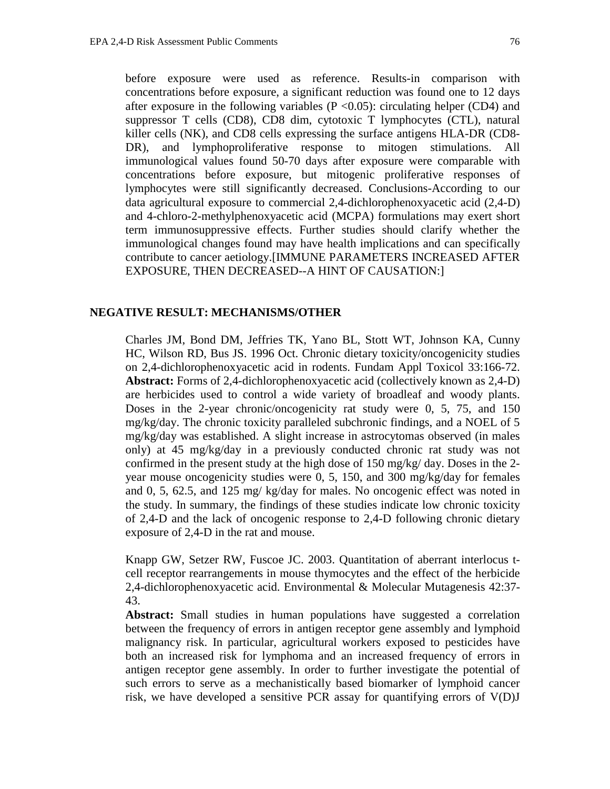before exposure were used as reference. Results-in comparison with concentrations before exposure, a significant reduction was found one to 12 days after exposure in the following variables ( $P \le 0.05$ ): circulating helper (CD4) and suppressor T cells (CD8), CD8 dim, cytotoxic T lymphocytes (CTL), natural killer cells (NK), and CD8 cells expressing the surface antigens HLA-DR (CD8- DR), and lymphoproliferative response to mitogen stimulations. All immunological values found 50-70 days after exposure were comparable with concentrations before exposure, but mitogenic proliferative responses of lymphocytes were still significantly decreased. Conclusions-According to our data agricultural exposure to commercial 2,4-dichlorophenoxyacetic acid (2,4-D) and 4-chloro-2-methylphenoxyacetic acid (MCPA) formulations may exert short term immunosuppressive effects. Further studies should clarify whether the immunological changes found may have health implications and can specifically contribute to cancer aetiology.[IMMUNE PARAMETERS INCREASED AFTER EXPOSURE, THEN DECREASED--A HINT OF CAUSATION:]

## **NEGATIVE RESULT: MECHANISMS/OTHER**

Charles JM, Bond DM, Jeffries TK, Yano BL, Stott WT, Johnson KA, Cunny HC, Wilson RD, Bus JS. 1996 Oct. Chronic dietary toxicity/oncogenicity studies on 2,4-dichlorophenoxyacetic acid in rodents. Fundam Appl Toxicol 33:166-72. **Abstract:** Forms of 2,4-dichlorophenoxyacetic acid (collectively known as 2,4-D) are herbicides used to control a wide variety of broadleaf and woody plants. Doses in the 2-year chronic/oncogenicity rat study were 0, 5, 75, and 150 mg/kg/day. The chronic toxicity paralleled subchronic findings, and a NOEL of 5 mg/kg/day was established. A slight increase in astrocytomas observed (in males only) at 45 mg/kg/day in a previously conducted chronic rat study was not confirmed in the present study at the high dose of 150 mg/kg/ day. Doses in the 2 year mouse oncogenicity studies were 0, 5, 150, and 300 mg/kg/day for females and 0, 5, 62.5, and 125 mg/ kg/day for males. No oncogenic effect was noted in the study. In summary, the findings of these studies indicate low chronic toxicity of 2,4-D and the lack of oncogenic response to 2,4-D following chronic dietary exposure of 2,4-D in the rat and mouse.

Knapp GW, Setzer RW, Fuscoe JC. 2003. Quantitation of aberrant interlocus tcell receptor rearrangements in mouse thymocytes and the effect of the herbicide 2,4-dichlorophenoxyacetic acid. Environmental & Molecular Mutagenesis 42:37- 43.

**Abstract:** Small studies in human populations have suggested a correlation between the frequency of errors in antigen receptor gene assembly and lymphoid malignancy risk. In particular, agricultural workers exposed to pesticides have both an increased risk for lymphoma and an increased frequency of errors in antigen receptor gene assembly. In order to further investigate the potential of such errors to serve as a mechanistically based biomarker of lymphoid cancer risk, we have developed a sensitive PCR assay for quantifying errors of V(D)J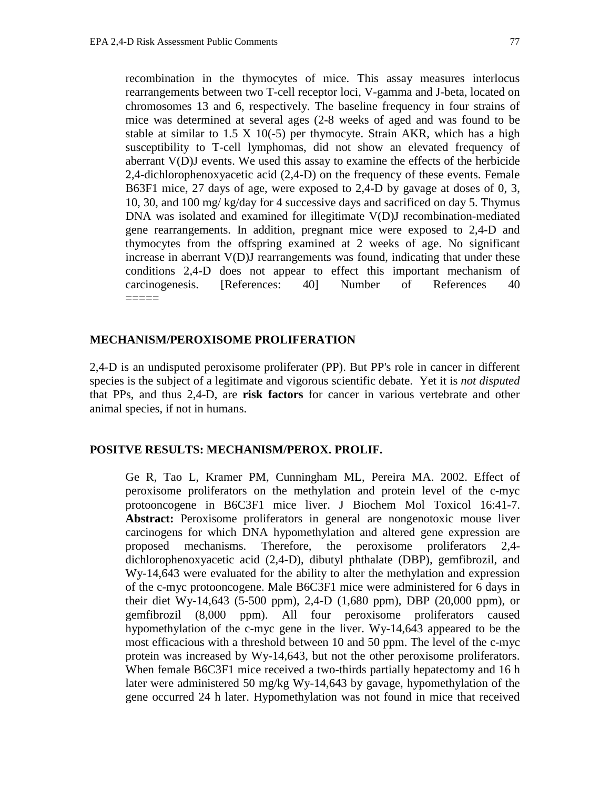recombination in the thymocytes of mice. This assay measures interlocus rearrangements between two T-cell receptor loci, V-gamma and J-beta, located on chromosomes 13 and 6, respectively. The baseline frequency in four strains of mice was determined at several ages (2-8 weeks of aged and was found to be stable at similar to  $1.5 \text{ X } 10(-5)$  per thymocyte. Strain AKR, which has a high susceptibility to T-cell lymphomas, did not show an elevated frequency of aberrant V(D)J events. We used this assay to examine the effects of the herbicide 2,4-dichlorophenoxyacetic acid (2,4-D) on the frequency of these events. Female B63F1 mice, 27 days of age, were exposed to 2,4-D by gavage at doses of 0, 3, 10, 30, and 100 mg/ kg/day for 4 successive days and sacrificed on day 5. Thymus DNA was isolated and examined for illegitimate V(D)J recombination-mediated gene rearrangements. In addition, pregnant mice were exposed to 2,4-D and thymocytes from the offspring examined at 2 weeks of age. No significant increase in aberrant V(D)J rearrangements was found, indicating that under these conditions 2,4-D does not appear to effect this important mechanism of carcinogenesis. [References: 40] Number of References 40 =====

## **MECHANISM/PEROXISOME PROLIFERATION**

2,4-D is an undisputed peroxisome proliferater (PP). But PP's role in cancer in different species is the subject of a legitimate and vigorous scientific debate. Yet it is *not disputed* that PPs, and thus 2,4-D, are **risk factors** for cancer in various vertebrate and other animal species, if not in humans.

## **POSITVE RESULTS: MECHANISM/PEROX. PROLIF.**

Ge R, Tao L, Kramer PM, Cunningham ML, Pereira MA. 2002. Effect of peroxisome proliferators on the methylation and protein level of the c-myc protooncogene in B6C3F1 mice liver. J Biochem Mol Toxicol 16:41-7. **Abstract:** Peroxisome proliferators in general are nongenotoxic mouse liver carcinogens for which DNA hypomethylation and altered gene expression are proposed mechanisms. Therefore, the peroxisome proliferators 2,4 dichlorophenoxyacetic acid (2,4-D), dibutyl phthalate (DBP), gemfibrozil, and Wy-14,643 were evaluated for the ability to alter the methylation and expression of the c-myc protooncogene. Male B6C3F1 mice were administered for 6 days in their diet Wy-14,643 (5-500 ppm), 2,4-D (1,680 ppm), DBP (20,000 ppm), or gemfibrozil (8,000 ppm). All four peroxisome proliferators caused hypomethylation of the c-myc gene in the liver. Wy-14,643 appeared to be the most efficacious with a threshold between 10 and 50 ppm. The level of the c-myc protein was increased by Wy-14,643, but not the other peroxisome proliferators. When female B6C3F1 mice received a two-thirds partially hepatectomy and 16 h later were administered 50 mg/kg Wy-14,643 by gavage, hypomethylation of the gene occurred 24 h later. Hypomethylation was not found in mice that received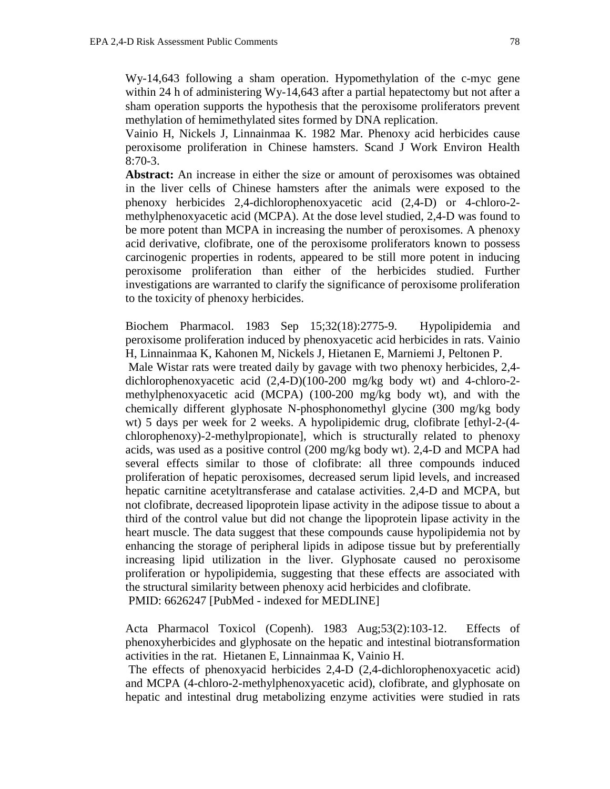Wy-14,643 following a sham operation. Hypomethylation of the c-myc gene within 24 h of administering Wy-14,643 after a partial hepatectomy but not after a sham operation supports the hypothesis that the peroxisome proliferators prevent methylation of hemimethylated sites formed by DNA replication.

Vainio H, Nickels J, Linnainmaa K. 1982 Mar. Phenoxy acid herbicides cause peroxisome proliferation in Chinese hamsters. Scand J Work Environ Health 8:70-3.

**Abstract:** An increase in either the size or amount of peroxisomes was obtained in the liver cells of Chinese hamsters after the animals were exposed to the phenoxy herbicides 2,4-dichlorophenoxyacetic acid (2,4-D) or 4-chloro-2 methylphenoxyacetic acid (MCPA). At the dose level studied, 2,4-D was found to be more potent than MCPA in increasing the number of peroxisomes. A phenoxy acid derivative, clofibrate, one of the peroxisome proliferators known to possess carcinogenic properties in rodents, appeared to be still more potent in inducing peroxisome proliferation than either of the herbicides studied. Further investigations are warranted to clarify the significance of peroxisome proliferation to the toxicity of phenoxy herbicides.

Biochem Pharmacol. 1983 Sep 15;32(18):2775-9. Hypolipidemia and peroxisome proliferation induced by phenoxyacetic acid herbicides in rats. Vainio H, Linnainmaa K, Kahonen M, Nickels J, Hietanen E, Marniemi J, Peltonen P.

 Male Wistar rats were treated daily by gavage with two phenoxy herbicides, 2,4 dichlorophenoxyacetic acid (2,4-D)(100-200 mg/kg body wt) and 4-chloro-2 methylphenoxyacetic acid (MCPA) (100-200 mg/kg body wt), and with the chemically different glyphosate N-phosphonomethyl glycine (300 mg/kg body wt) 5 days per week for 2 weeks. A hypolipidemic drug, clofibrate [ethyl-2-(4 chlorophenoxy)-2-methylpropionate], which is structurally related to phenoxy acids, was used as a positive control (200 mg/kg body wt). 2,4-D and MCPA had several effects similar to those of clofibrate: all three compounds induced proliferation of hepatic peroxisomes, decreased serum lipid levels, and increased hepatic carnitine acetyltransferase and catalase activities. 2,4-D and MCPA, but not clofibrate, decreased lipoprotein lipase activity in the adipose tissue to about a third of the control value but did not change the lipoprotein lipase activity in the heart muscle. The data suggest that these compounds cause hypolipidemia not by enhancing the storage of peripheral lipids in adipose tissue but by preferentially increasing lipid utilization in the liver. Glyphosate caused no peroxisome proliferation or hypolipidemia, suggesting that these effects are associated with the structural similarity between phenoxy acid herbicides and clofibrate. PMID: 6626247 [PubMed - indexed for MEDLINE]

Acta Pharmacol Toxicol (Copenh). 1983 Aug;53(2):103-12. Effects of phenoxyherbicides and glyphosate on the hepatic and intestinal biotransformation activities in the rat. Hietanen E, Linnainmaa K, Vainio H.

 The effects of phenoxyacid herbicides 2,4-D (2,4-dichlorophenoxyacetic acid) and MCPA (4-chloro-2-methylphenoxyacetic acid), clofibrate, and glyphosate on hepatic and intestinal drug metabolizing enzyme activities were studied in rats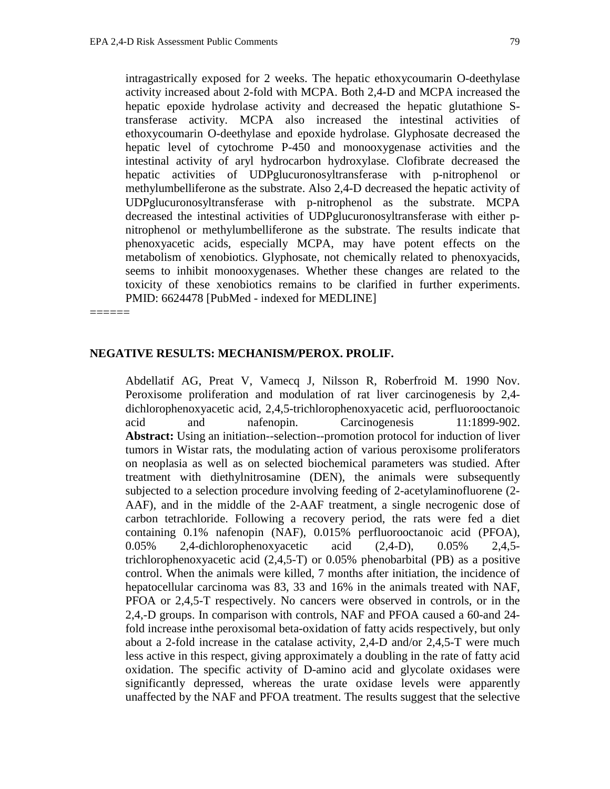intragastrically exposed for 2 weeks. The hepatic ethoxycoumarin O-deethylase activity increased about 2-fold with MCPA. Both 2,4-D and MCPA increased the hepatic epoxide hydrolase activity and decreased the hepatic glutathione Stransferase activity. MCPA also increased the intestinal activities of ethoxycoumarin O-deethylase and epoxide hydrolase. Glyphosate decreased the hepatic level of cytochrome P-450 and monooxygenase activities and the intestinal activity of aryl hydrocarbon hydroxylase. Clofibrate decreased the hepatic activities of UDPglucuronosyltransferase with p-nitrophenol or methylumbelliferone as the substrate. Also 2,4-D decreased the hepatic activity of UDPglucuronosyltransferase with p-nitrophenol as the substrate. MCPA decreased the intestinal activities of UDPglucuronosyltransferase with either pnitrophenol or methylumbelliferone as the substrate. The results indicate that phenoxyacetic acids, especially MCPA, may have potent effects on the metabolism of xenobiotics. Glyphosate, not chemically related to phenoxyacids, seems to inhibit monooxygenases. Whether these changes are related to the toxicity of these xenobiotics remains to be clarified in further experiments. PMID: 6624478 [PubMed - indexed for MEDLINE]

======

## **NEGATIVE RESULTS: MECHANISM/PEROX. PROLIF.**

Abdellatif AG, Preat V, Vamecq J, Nilsson R, Roberfroid M. 1990 Nov. Peroxisome proliferation and modulation of rat liver carcinogenesis by 2,4 dichlorophenoxyacetic acid, 2,4,5-trichlorophenoxyacetic acid, perfluorooctanoic acid and nafenopin. Carcinogenesis 11:1899-902. **Abstract:** Using an initiation--selection--promotion protocol for induction of liver tumors in Wistar rats, the modulating action of various peroxisome proliferators on neoplasia as well as on selected biochemical parameters was studied. After treatment with diethylnitrosamine (DEN), the animals were subsequently subjected to a selection procedure involving feeding of 2-acetylaminofluorene (2- AAF), and in the middle of the 2-AAF treatment, a single necrogenic dose of carbon tetrachloride. Following a recovery period, the rats were fed a diet containing 0.1% nafenopin (NAF), 0.015% perfluorooctanoic acid (PFOA), 0.05% 2,4-dichlorophenoxyacetic acid (2,4-D), 0.05% 2,4,5 trichlorophenoxyacetic acid (2,4,5-T) or 0.05% phenobarbital (PB) as a positive control. When the animals were killed, 7 months after initiation, the incidence of hepatocellular carcinoma was 83, 33 and 16% in the animals treated with NAF, PFOA or 2,4,5-T respectively. No cancers were observed in controls, or in the 2,4,-D groups. In comparison with controls, NAF and PFOA caused a 60-and 24 fold increase inthe peroxisomal beta-oxidation of fatty acids respectively, but only about a 2-fold increase in the catalase activity, 2,4-D and/or 2,4,5-T were much less active in this respect, giving approximately a doubling in the rate of fatty acid oxidation. The specific activity of D-amino acid and glycolate oxidases were significantly depressed, whereas the urate oxidase levels were apparently unaffected by the NAF and PFOA treatment. The results suggest that the selective